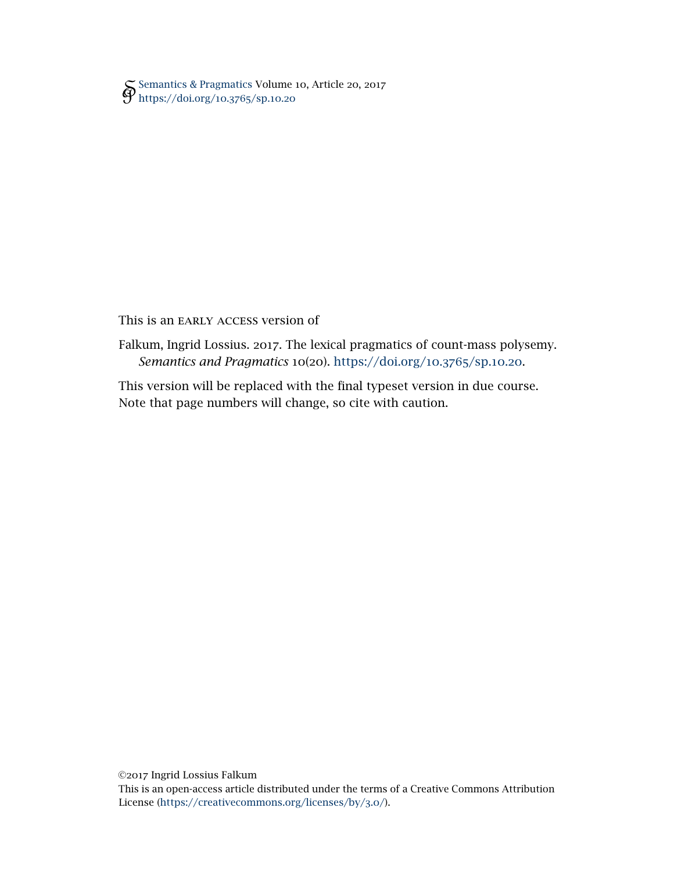[Semantics & Pragmatics](http://semprag.org/) Volume 10, Article 20, 2017 [https://doi.org/](https://doi.org/10.3765/sp.10.20)10.3765/sp.10.20

# This is an EARLY ACCESS version of

Falkum, Ingrid Lossius. 2017. The lexical pragmatics of count-mass polysemy. *Semantics and Pragmatics* 10(20). [https://doi.org/](https://doi.org/10.3765/sp.10.20)10.3765/sp.10.20.

This version will be replaced with the final typeset version in due course. Note that page numbers will change, so cite with caution.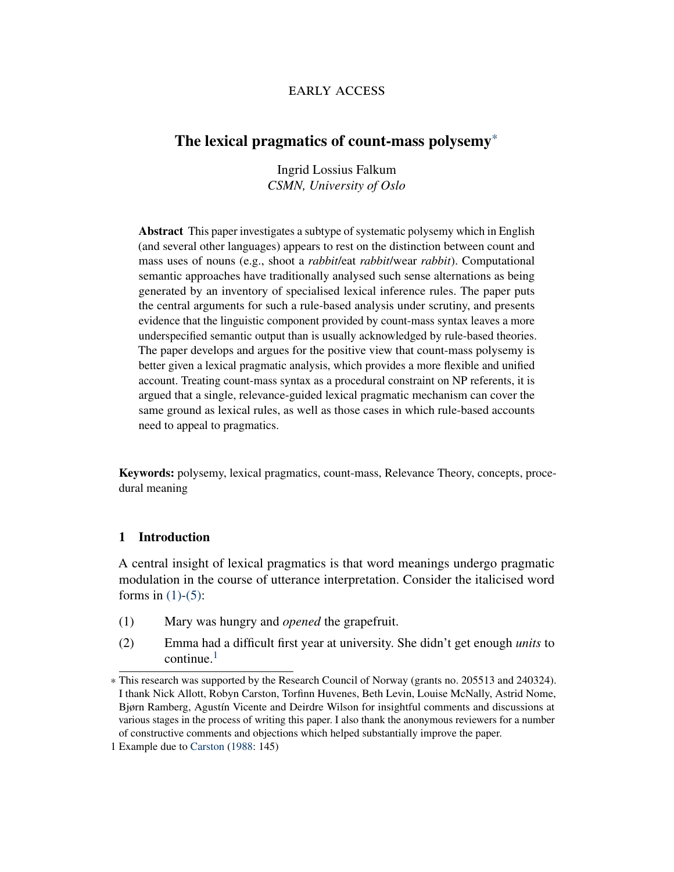# early access

# The lexical pragmatics of count-mass polysemy\*

Ingrid Lossius Falkum *CSMN, University of Oslo*

Abstract This paper investigates a subtype of systematic polysemy which in English (and several other languages) appears to rest on the distinction between count and mass uses of nouns (e.g., shoot a *rabbit*/eat *rabbit*/wear *rabbit*). Computational semantic approaches have traditionally analysed such sense alternations as being generated by an inventory of specialised lexical inference rules. The paper puts the central arguments for such a rule-based analysis under scrutiny, and presents evidence that the linguistic component provided by count-mass syntax leaves a more underspecified semantic output than is usually acknowledged by rule-based theories. The paper develops and argues for the positive view that count-mass polysemy is better given a lexical pragmatic analysis, which provides a more flexible and unified account. Treating count-mass syntax as a procedural constraint on NP referents, it is argued that a single, relevance-guided lexical pragmatic mechanism can cover the same ground as lexical rules, as well as those cases in which rule-based accounts need to appeal to pragmatics.

Keywords: polysemy, lexical pragmatics, count-mass, Relevance Theory, concepts, procedural meaning

## 1 Introduction

<span id="page-1-0"></span>A central insight of lexical pragmatics is that word meanings undergo pragmatic modulation in the course of utterance interpretation. Consider the italicised word forms in  $(1)-(5)$  $(1)-(5)$ :

- <span id="page-1-2"></span>(1) Mary was hungry and *opened* the grapefruit.
- (2) Emma had a difficult first year at university. She didn't get enough *units* to continue. $<sup>1</sup>$  $<sup>1</sup>$  $<sup>1</sup>$ </sup>

<sup>\*</sup> This research was supported by the Research Council of Norway (grants no. 205513 and 240324). I thank Nick Allott, Robyn Carston, Torfinn Huvenes, Beth Levin, Louise McNally, Astrid Nome, Bjørn Ramberg, Agustín Vicente and Deirdre Wilson for insightful comments and discussions at various stages in the process of writing this paper. I also thank the anonymous reviewers for a number of constructive comments and objections which helped substantially improve the paper.

<span id="page-1-1"></span><sup>1</sup> Example due to [Carston](#page-40-0) [\(1988:](#page-40-0) 145)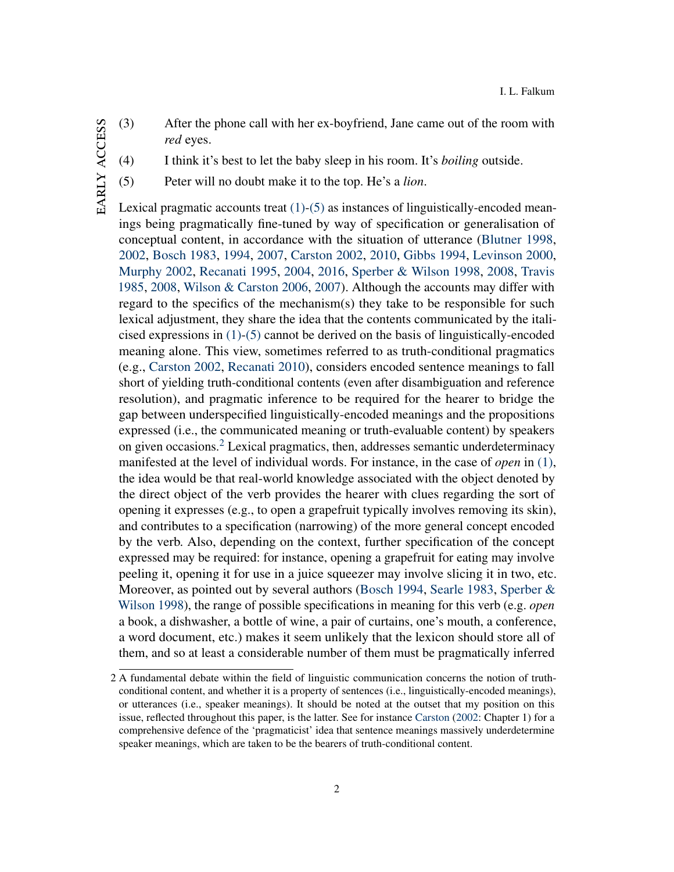- <span id="page-2-3"></span><span id="page-2-2"></span>(3) After the phone call with her ex-boyfriend, Jane came out of the room with *red* eyes.
	- (4) I think it's best to let the baby sleep in his room. It's *boiling* outside.
- <span id="page-2-0"></span>(5) Peter will no doubt make it to the top. He's a *lion*.

Lexical pragmatic accounts treat  $(1)-(5)$  $(1)-(5)$  as instances of linguistically-encoded meanings being pragmatically fine-tuned by way of specification or generalisation of conceptual content, in accordance with the situation of utterance [\(Blutner](#page-39-0) [1998,](#page-39-0) [2002,](#page-39-1) [Bosch](#page-40-1) [1983,](#page-40-1) [1994,](#page-40-2) [2007,](#page-40-3) [Carston](#page-40-4) [2002,](#page-40-4) [2010,](#page-40-5) [Gibbs](#page-42-0) [1994,](#page-42-0) [Levinson](#page-43-0) [2000,](#page-43-0) [Murphy](#page-44-0) [2002,](#page-44-0) [Recanati](#page-45-0) [1995,](#page-45-0) [2004,](#page-45-1) [2016,](#page-45-2) [Sperber & Wilson](#page-46-0) [1998,](#page-46-0) [2008,](#page-46-1) [Travis](#page-46-2) [1985,](#page-46-2) [2008,](#page-46-3) [Wilson & Carston](#page-47-0) [2006,](#page-47-0) [2007\)](#page-47-1). Although the accounts may differ with regard to the specifics of the mechanism(s) they take to be responsible for such lexical adjustment, they share the idea that the contents communicated by the italicised expressions in  $(1)-(5)$  $(1)-(5)$  cannot be derived on the basis of linguistically-encoded meaning alone. This view, sometimes referred to as truth-conditional pragmatics (e.g., [Carston](#page-40-4) [2002,](#page-40-4) [Recanati](#page-45-3) [2010\)](#page-45-3), considers encoded sentence meanings to fall short of yielding truth-conditional contents (even after disambiguation and reference resolution), and pragmatic inference to be required for the hearer to bridge the gap between underspecified linguistically-encoded meanings and the propositions expressed (i.e., the communicated meaning or truth-evaluable content) by speakers on given occasions.<sup>[2](#page-2-1)</sup> Lexical pragmatics, then, addresses semantic underdeterminacy manifested at the level of individual words. For instance, in the case of *open* in [\(1\),](#page-1-0) the idea would be that real-world knowledge associated with the object denoted by the direct object of the verb provides the hearer with clues regarding the sort of opening it expresses (e.g., to open a grapefruit typically involves removing its skin), and contributes to a specification (narrowing) of the more general concept encoded by the verb. Also, depending on the context, further specification of the concept expressed may be required: for instance, opening a grapefruit for eating may involve peeling it, opening it for use in a juice squeezer may involve slicing it in two, etc. Moreover, as pointed out by several authors [\(Bosch](#page-40-2) [1994,](#page-40-2) [Searle](#page-45-4) [1983,](#page-45-4) [Sperber &](#page-46-0) [Wilson](#page-46-0) [1998\)](#page-46-0), the range of possible specifications in meaning for this verb (e.g. *open* a book, a dishwasher, a bottle of wine, a pair of curtains, one's mouth, a conference, a word document, etc.) makes it seem unlikely that the lexicon should store all of them, and so at least a considerable number of them must be pragmatically inferred

<span id="page-2-1"></span><sup>2</sup> A fundamental debate within the field of linguistic communication concerns the notion of truthconditional content, and whether it is a property of sentences (i.e., linguistically-encoded meanings), or utterances (i.e., speaker meanings). It should be noted at the outset that my position on this issue, reflected throughout this paper, is the latter. See for instance [Carston](#page-40-4) [\(2002:](#page-40-4) Chapter 1) for a comprehensive defence of the 'pragmaticist' idea that sentence meanings massively underdetermine speaker meanings, which are taken to be the bearers of truth-conditional content.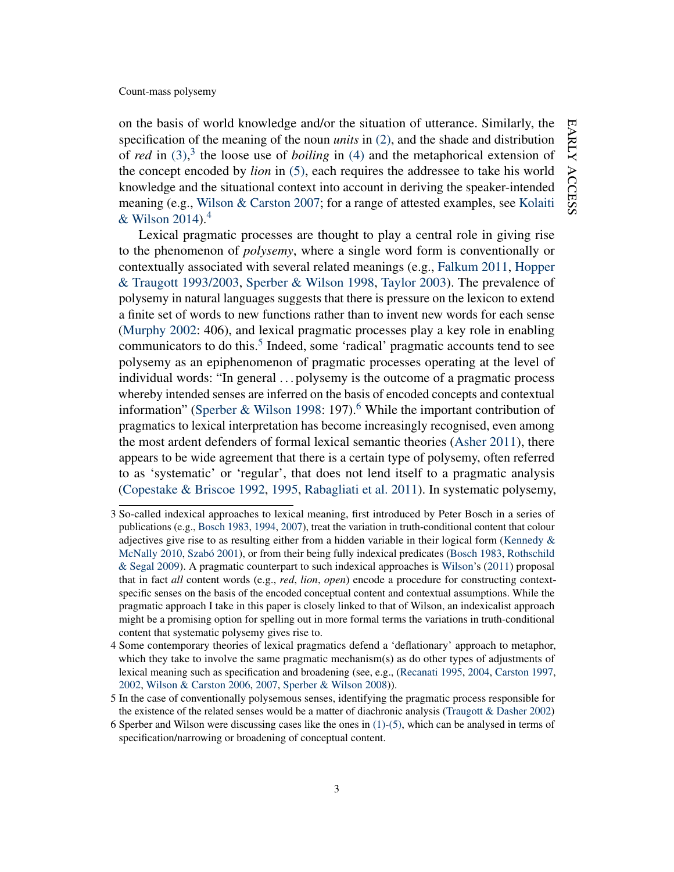on the basis of world knowledge and/or the situation of utterance. Similarly, the specification of the meaning of the noun *units* in [\(2\),](#page-1-2) and the shade and distribution of *red* in [\(3\),](#page-2-2) [3](#page-3-0) the loose use of *boiling* in [\(4\)](#page-2-3) and the metaphorical extension of the concept encoded by *lion* in [\(5\),](#page-2-0) each requires the addressee to take his world knowledge and the situational context into account in deriving the speaker-intended meaning (e.g., [Wilson & Carston](#page-47-1) [2007;](#page-47-1) for a range of attested examples, see [Kolaiti](#page-43-1) [& Wilson](#page-43-1)  $2014$  $2014$ .<sup>4</sup>

Lexical pragmatic processes are thought to play a central role in giving rise to the phenomenon of *polysemy*, where a single word form is conventionally or contextually associated with several related meanings (e.g., [Falkum](#page-42-1) [2011,](#page-42-1) [Hopper](#page-42-2) [& Traugott](#page-42-2) [1993/2003,](#page-42-2) [Sperber & Wilson](#page-46-0) [1998,](#page-46-0) [Taylor](#page-46-4) [2003\)](#page-46-4). The prevalence of polysemy in natural languages suggests that there is pressure on the lexicon to extend a finite set of words to new functions rather than to invent new words for each sense [\(Murphy](#page-44-0) [2002:](#page-44-0) 406), and lexical pragmatic processes play a key role in enabling communicators to do this.<sup>[5](#page-3-2)</sup> Indeed, some 'radical' pragmatic accounts tend to see polysemy as an epiphenomenon of pragmatic processes operating at the level of individual words: "In general . . . polysemy is the outcome of a pragmatic process whereby intended senses are inferred on the basis of encoded concepts and contextual information" [\(Sperber & Wilson](#page-46-0) [1998:](#page-46-0) 197).<sup>[6](#page-3-3)</sup> While the important contribution of pragmatics to lexical interpretation has become increasingly recognised, even among the most ardent defenders of formal lexical semantic theories [\(Asher](#page-39-2) [2011\)](#page-39-2), there appears to be wide agreement that there is a certain type of polysemy, often referred to as 'systematic' or 'regular', that does not lend itself to a pragmatic analysis [\(Copestake & Briscoe](#page-41-0) [1992,](#page-41-0) [1995,](#page-41-1) [Rabagliati et al.](#page-45-5) [2011\)](#page-45-5). In systematic polysemy,

<span id="page-3-0"></span><sup>3</sup> So-called indexical approaches to lexical meaning, first introduced by Peter Bosch in a series of publications (e.g., [Bosch](#page-40-1) [1983,](#page-40-1) [1994,](#page-40-2) [2007\)](#page-40-3), treat the variation in truth-conditional content that colour adjectives give rise to as resulting either from a hidden variable in their logical form (Kennedy  $\&$ [McNally](#page-43-2) [2010,](#page-43-2) [Szabó](#page-46-5) [2001\)](#page-46-5), or from their being fully indexical predicates [\(Bosch](#page-40-1) [1983,](#page-40-1) [Rothschild](#page-45-6) [& Segal](#page-45-6) [2009\)](#page-45-6). A pragmatic counterpart to such indexical approaches is [Wilson'](#page-46-6)s [\(2011\)](#page-46-6) proposal that in fact *all* content words (e.g., *red*, *lion*, *open*) encode a procedure for constructing contextspecific senses on the basis of the encoded conceptual content and contextual assumptions. While the pragmatic approach I take in this paper is closely linked to that of Wilson, an indexicalist approach might be a promising option for spelling out in more formal terms the variations in truth-conditional content that systematic polysemy gives rise to.

<span id="page-3-1"></span><sup>4</sup> Some contemporary theories of lexical pragmatics defend a 'deflationary' approach to metaphor, which they take to involve the same pragmatic mechanism(s) as do other types of adjustments of lexical meaning such as specification and broadening (see, e.g., [\(Recanati](#page-45-0) [1995,](#page-45-0) [2004,](#page-45-1) [Carston](#page-40-6) [1997,](#page-40-6) [2002,](#page-40-4) [Wilson & Carston](#page-47-0) [2006,](#page-47-0) [2007,](#page-47-1) [Sperber & Wilson](#page-46-1) [2008\)](#page-46-1)).

<span id="page-3-2"></span><sup>5</sup> In the case of conventionally polysemous senses, identifying the pragmatic process responsible for the existence of the related senses would be a matter of diachronic analysis [\(Traugott & Dasher](#page-46-7) [2002\)](#page-46-7)

<span id="page-3-3"></span><sup>6</sup> Sperber and Wilson were discussing cases like the ones in [\(1\)-](#page-1-0)[\(5\),](#page-2-0) which can be analysed in terms of specification/narrowing or broadening of conceptual content.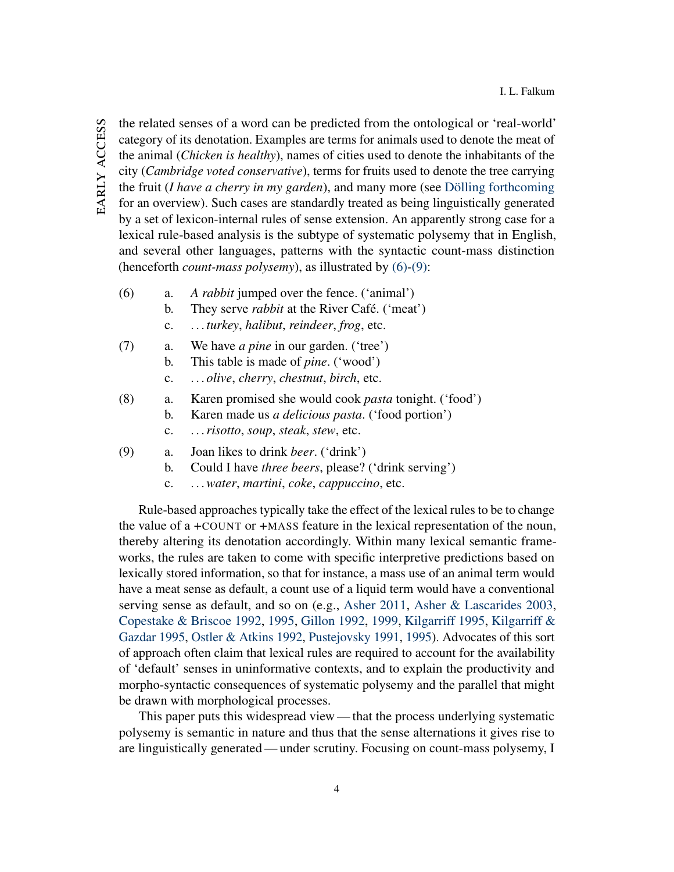EARLY ACCESS early access

the related senses of a word can be predicted from the ontological or 'real-world' category of its denotation. Examples are terms for animals used to denote the meat of the animal (*Chicken is healthy*), names of cities used to denote the inhabitants of the city (*Cambridge voted conservative*), terms for fruits used to denote the tree carrying the fruit (*I have a cherry in my garden*), and many more (see [Dölling](#page-41-2) [forthcoming](#page-41-2) for an overview). Such cases are standardly treated as being linguistically generated by a set of lexicon-internal rules of sense extension. An apparently strong case for a lexical rule-based analysis is the subtype of systematic polysemy that in English, and several other languages, patterns with the syntactic count-mass distinction (henceforth *count-mass polysemy*), as illustrated by [\(6\)](#page-4-0)[-\(9\):](#page-4-1)

- <span id="page-4-0"></span>(6) a. *A rabbit* jumped over the fence. ('animal')
	- b. They serve *rabbit* at the River Café. ('meat')
	- c. . . . *turkey*, *halibut*, *reindeer*, *frog*, etc.
- (7) a. We have *a pine* in our garden. ('tree')
	- b. This table is made of *pine*. ('wood')
	- c. . . . *olive*, *cherry*, *chestnut*, *birch*, etc.
- (8) a. Karen promised she would cook *pasta* tonight. ('food') b. Karen made us *a delicious pasta*. ('food portion')
	- c. . . .*risotto*, *soup*, *steak*, *stew*, etc.
- <span id="page-4-1"></span>(9) a. Joan likes to drink *beer*. ('drink')
	- b. Could I have *three beers*, please? ('drink serving')
	- c. . . .*water*, *martini*, *coke*, *cappuccino*, etc.

Rule-based approaches typically take the effect of the lexical rules to be to change the value of a +COUNT or +MASS feature in the lexical representation of the noun, thereby altering its denotation accordingly. Within many lexical semantic frameworks, the rules are taken to come with specific interpretive predictions based on lexically stored information, so that for instance, a mass use of an animal term would have a meat sense as default, a count use of a liquid term would have a conventional serving sense as default, and so on (e.g., [Asher](#page-39-2) [2011,](#page-39-2) [Asher & Lascarides](#page-39-3) [2003,](#page-39-3) [Copestake & Briscoe](#page-41-0) [1992,](#page-41-0) [1995,](#page-41-1) [Gillon](#page-42-3) [1992,](#page-42-3) [1999,](#page-42-4) [Kilgarriff](#page-43-3) [1995,](#page-43-3) [Kilgarriff &](#page-43-4) [Gazdar](#page-43-4) [1995,](#page-43-4) [Ostler & Atkins](#page-44-1) [1992,](#page-44-1) [Pustejovsky](#page-45-7) [1991,](#page-45-7) [1995\)](#page-45-8). Advocates of this sort of approach often claim that lexical rules are required to account for the availability of 'default' senses in uninformative contexts, and to explain the productivity and morpho-syntactic consequences of systematic polysemy and the parallel that might be drawn with morphological processes.

This paper puts this widespread view— that the process underlying systematic polysemy is semantic in nature and thus that the sense alternations it gives rise to are linguistically generated— under scrutiny. Focusing on count-mass polysemy, I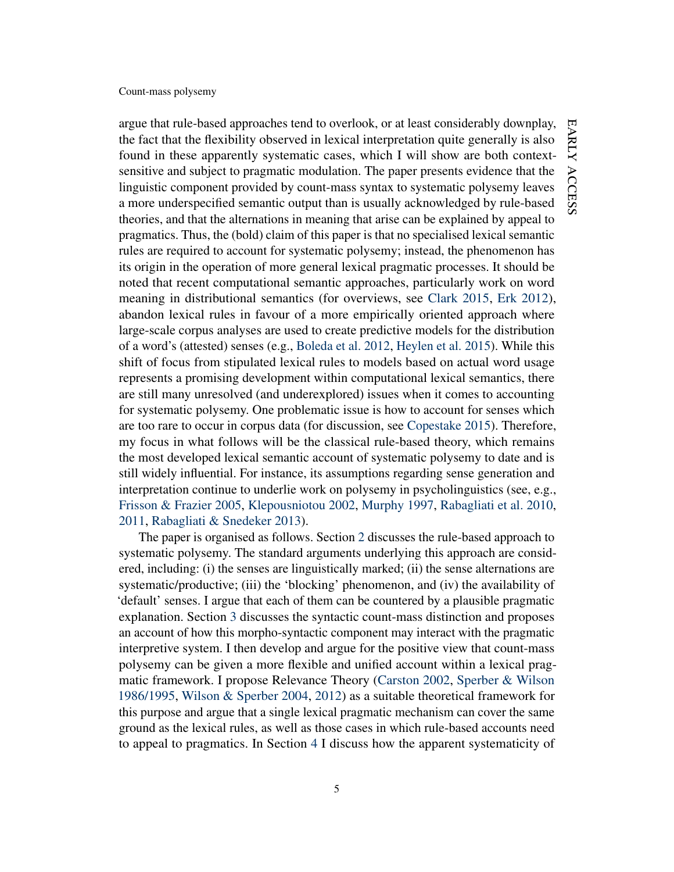argue that rule-based approaches tend to overlook, or at least considerably downplay, the fact that the flexibility observed in lexical interpretation quite generally is also found in these apparently systematic cases, which I will show are both contextsensitive and subject to pragmatic modulation. The paper presents evidence that the linguistic component provided by count-mass syntax to systematic polysemy leaves a more underspecified semantic output than is usually acknowledged by rule-based theories, and that the alternations in meaning that arise can be explained by appeal to pragmatics. Thus, the (bold) claim of this paper is that no specialised lexical semantic rules are required to account for systematic polysemy; instead, the phenomenon has its origin in the operation of more general lexical pragmatic processes. It should be noted that recent computational semantic approaches, particularly work on word meaning in distributional semantics (for overviews, see [Clark](#page-41-3) [2015,](#page-41-3) [Erk](#page-41-4) [2012\)](#page-41-4), abandon lexical rules in favour of a more empirically oriented approach where large-scale corpus analyses are used to create predictive models for the distribution of a word's (attested) senses (e.g., [Boleda et al.](#page-40-7) [2012,](#page-40-7) [Heylen et al.](#page-42-5) [2015\)](#page-42-5). While this shift of focus from stipulated lexical rules to models based on actual word usage represents a promising development within computational lexical semantics, there are still many unresolved (and underexplored) issues when it comes to accounting for systematic polysemy. One problematic issue is how to account for senses which are too rare to occur in corpus data (for discussion, see [Copestake](#page-41-5) [2015\)](#page-41-5). Therefore, my focus in what follows will be the classical rule-based theory, which remains the most developed lexical semantic account of systematic polysemy to date and is still widely influential. For instance, its assumptions regarding sense generation and interpretation continue to underlie work on polysemy in psycholinguistics (see, e.g., [Frisson & Frazier](#page-42-6) [2005,](#page-42-6) [Klepousniotou](#page-43-5) [2002,](#page-43-5) [Murphy](#page-44-2) [1997,](#page-44-2) [Rabagliati et al.](#page-45-9) [2010,](#page-45-9) [2011,](#page-45-5) [Rabagliati & Snedeker](#page-45-10) [2013\)](#page-45-10).

The paper is organised as follows. Section [2](#page-6-0) discusses the rule-based approach to systematic polysemy. The standard arguments underlying this approach are considered, including: (i) the senses are linguistically marked; (ii) the sense alternations are systematic/productive; (iii) the 'blocking' phenomenon, and (iv) the availability of 'default' senses. I argue that each of them can be countered by a plausible pragmatic explanation. Section [3](#page-18-0) discusses the syntactic count-mass distinction and proposes an account of how this morpho-syntactic component may interact with the pragmatic interpretive system. I then develop and argue for the positive view that count-mass polysemy can be given a more flexible and unified account within a lexical pragmatic framework. I propose Relevance Theory [\(Carston](#page-40-4) [2002,](#page-40-4) [Sperber & Wilson](#page-45-11) [1986/1995,](#page-45-11) [Wilson & Sperber](#page-47-2) [2004,](#page-47-2) [2012\)](#page-47-3) as a suitable theoretical framework for this purpose and argue that a single lexical pragmatic mechanism can cover the same ground as the lexical rules, as well as those cases in which rule-based accounts need to appeal to pragmatics. In Section [4](#page-33-0) I discuss how the apparent systematicity of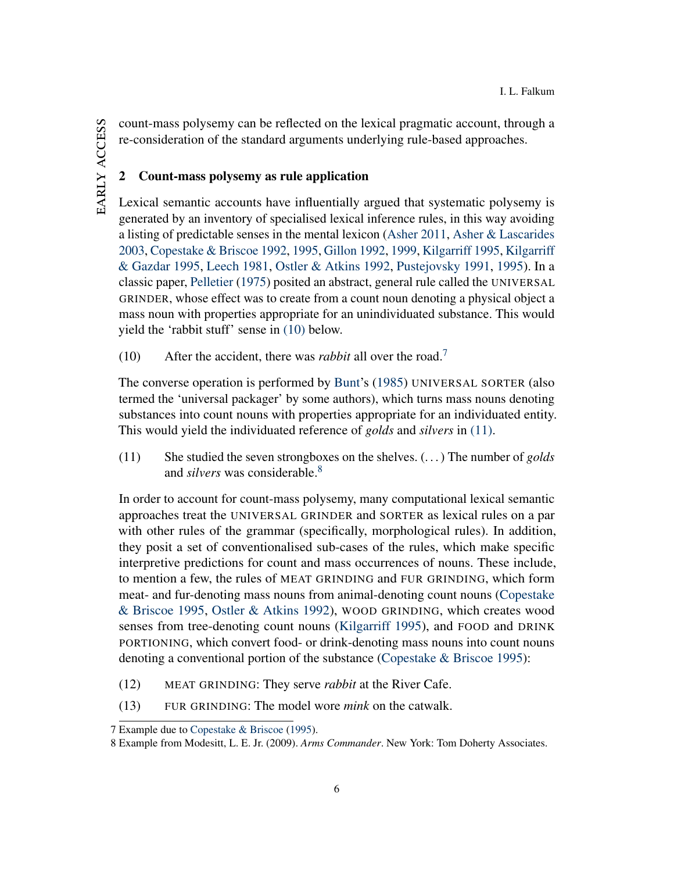count-mass polysemy can be reflected on the lexical pragmatic account, through a re-consideration of the standard arguments underlying rule-based approaches.

# <span id="page-6-0"></span>2 Count-mass polysemy as rule application

Lexical semantic accounts have influentially argued that systematic polysemy is generated by an inventory of specialised lexical inference rules, in this way avoiding a listing of predictable senses in the mental lexicon [\(Asher](#page-39-2) [2011,](#page-39-2) [Asher & Lascarides](#page-39-3) [2003,](#page-39-3) [Copestake & Briscoe](#page-41-0) [1992,](#page-41-0) [1995,](#page-41-1) [Gillon](#page-42-3) [1992,](#page-42-3) [1999,](#page-42-4) [Kilgarriff](#page-43-3) [1995,](#page-43-3) [Kilgarriff](#page-43-4) [& Gazdar](#page-43-4) [1995,](#page-43-4) [Leech](#page-43-6) [1981,](#page-43-6) [Ostler & Atkins](#page-44-1) [1992,](#page-44-1) [Pustejovsky](#page-45-7) [1991,](#page-45-7) [1995\)](#page-45-8). In a classic paper, [Pelletier](#page-44-3) [\(1975\)](#page-44-3) posited an abstract, general rule called the UNIVERSAL GRINDER, whose effect was to create from a count noun denoting a physical object a mass noun with properties appropriate for an unindividuated substance. This would yield the 'rabbit stuff' sense in [\(10\)](#page-6-1) below.

<span id="page-6-1"></span>(10) After the accident, there was *rabbit* all over the road.[7](#page-6-2)

The converse operation is performed by [Bunt'](#page-40-8)s [\(1985\)](#page-40-8) UNIVERSAL SORTER (also termed the 'universal packager' by some authors), which turns mass nouns denoting substances into count nouns with properties appropriate for an individuated entity. This would yield the individuated reference of *golds* and *silvers* in [\(11\).](#page-6-3)

<span id="page-6-3"></span>(11) She studied the seven strongboxes on the shelves. (. . . ) The number of *golds* and *silvers* was considerable.[8](#page-6-4)

In order to account for count-mass polysemy, many computational lexical semantic approaches treat the UNIVERSAL GRINDER and SORTER as lexical rules on a par with other rules of the grammar (specifically, morphological rules). In addition, they posit a set of conventionalised sub-cases of the rules, which make specific interpretive predictions for count and mass occurrences of nouns. These include, to mention a few, the rules of MEAT GRINDING and FUR GRINDING, which form meat- and fur-denoting mass nouns from animal-denoting count nouns [\(Copestake](#page-41-1) [& Briscoe](#page-41-1) [1995,](#page-41-1) [Ostler & Atkins](#page-44-1) [1992\)](#page-44-1), WOOD GRINDING, which creates wood senses from tree-denoting count nouns [\(Kilgarriff](#page-43-3) [1995\)](#page-43-3), and FOOD and DRINK PORTIONING, which convert food- or drink-denoting mass nouns into count nouns denoting a conventional portion of the substance [\(Copestake & Briscoe](#page-41-1) [1995\)](#page-41-1):

- (12) MEAT GRINDING: They serve *rabbit* at the River Cafe.
- (13) FUR GRINDING: The model wore *mink* on the catwalk.

<span id="page-6-2"></span><sup>7</sup> Example due to [Copestake & Briscoe](#page-41-1) [\(1995\)](#page-41-1).

<span id="page-6-4"></span><sup>8</sup> Example from Modesitt, L. E. Jr. (2009). *Arms Commander*. New York: Tom Doherty Associates.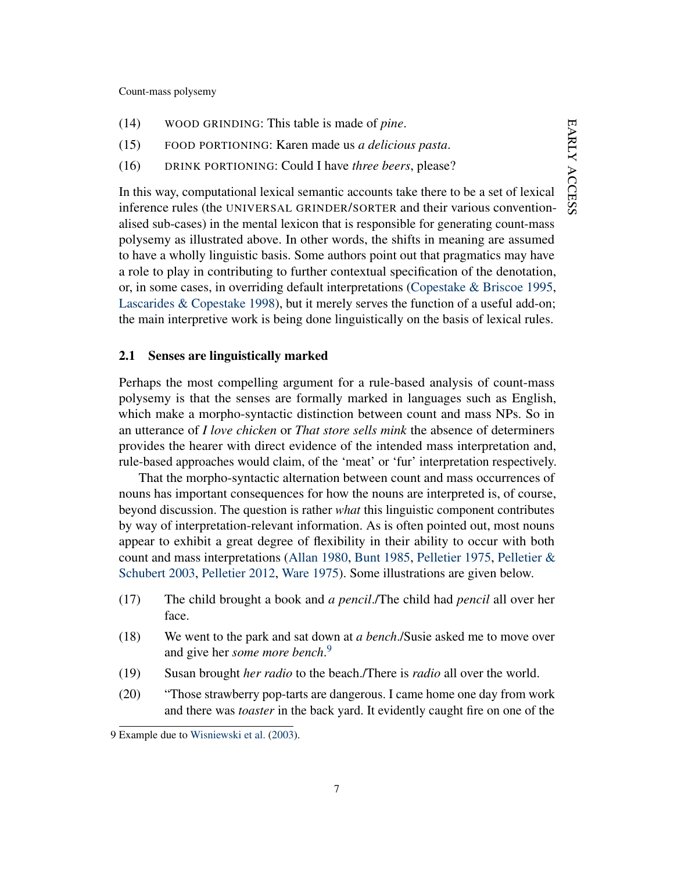- (14) WOOD GRINDING: This table is made of *pine*.
- (15) FOOD PORTIONING: Karen made us *a delicious pasta*.
- (16) DRINK PORTIONING: Could I have *three beers*, please?

In this way, computational lexical semantic accounts take there to be a set of lexical inference rules (the UNIVERSAL GRINDER/SORTER and their various conventionalised sub-cases) in the mental lexicon that is responsible for generating count-mass polysemy as illustrated above. In other words, the shifts in meaning are assumed to have a wholly linguistic basis. Some authors point out that pragmatics may have a role to play in contributing to further contextual specification of the denotation, or, in some cases, in overriding default interpretations [\(Copestake & Briscoe](#page-41-1) [1995,](#page-41-1) [Lascarides & Copestake](#page-43-7) [1998\)](#page-43-7), but it merely serves the function of a useful add-on; the main interpretive work is being done linguistically on the basis of lexical rules.

### <span id="page-7-3"></span>2.1 Senses are linguistically marked

Perhaps the most compelling argument for a rule-based analysis of count-mass polysemy is that the senses are formally marked in languages such as English, which make a morpho-syntactic distinction between count and mass NPs. So in an utterance of *I love chicken* or *That store sells mink* the absence of determiners provides the hearer with direct evidence of the intended mass interpretation and, rule-based approaches would claim, of the 'meat' or 'fur' interpretation respectively.

That the morpho-syntactic alternation between count and mass occurrences of nouns has important consequences for how the nouns are interpreted is, of course, beyond discussion. The question is rather *what* this linguistic component contributes by way of interpretation-relevant information. As is often pointed out, most nouns appear to exhibit a great degree of flexibility in their ability to occur with both count and mass interpretations [\(Allan](#page-38-0) [1980,](#page-38-0) [Bunt](#page-40-8) [1985,](#page-40-8) [Pelletier](#page-44-3) [1975,](#page-44-3) [Pelletier &](#page-44-4) [Schubert](#page-44-4) [2003,](#page-44-4) [Pelletier](#page-44-5) [2012,](#page-44-5) [Ware](#page-46-8) [1975\)](#page-46-8). Some illustrations are given below.

- (17) The child brought a book and *a pencil*./The child had *pencil* all over her face.
- <span id="page-7-1"></span>(18) We went to the park and sat down at *a bench*./Susie asked me to move over and give her *some more bench*. [9](#page-7-0)
- <span id="page-7-2"></span>(19) Susan brought *her radio* to the beach./There is *radio* all over the world.
- (20) "Those strawberry pop-tarts are dangerous. I came home one day from work and there was *toaster* in the back yard. It evidently caught fire on one of the

<span id="page-7-0"></span><sup>9</sup> Example due to [Wisniewski et al.](#page-47-4) [\(2003\)](#page-47-4).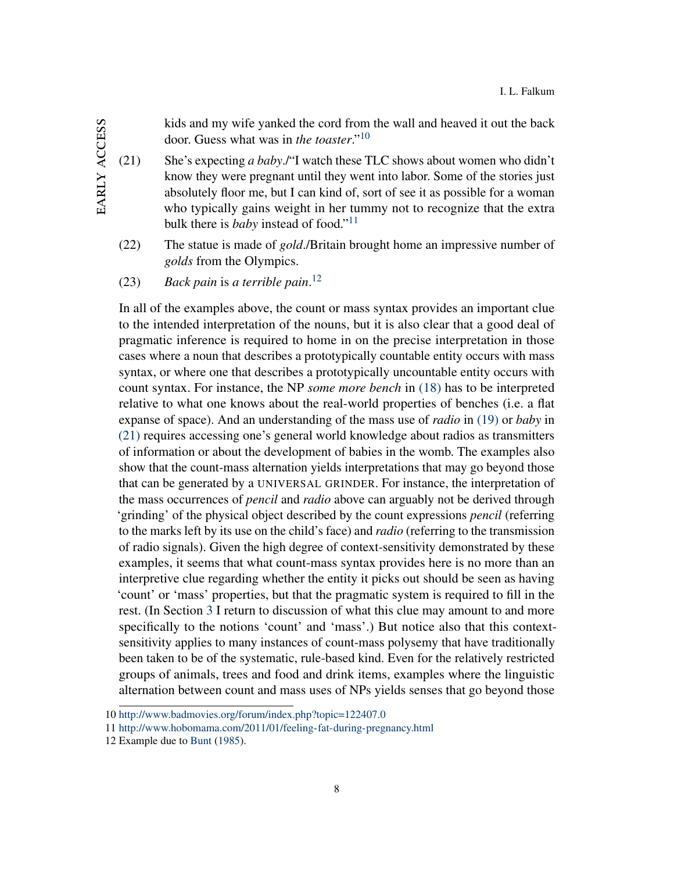kids and my wife yanked the cord from the wall and heaved it out the back door. Guess what was in *the toaster*."[10](#page-8-0)

- <span id="page-8-3"></span>(21) She's expecting *a baby*./"I watch these TLC shows about women who didn't know they were pregnant until they went into labor. Some of the stories just absolutely floor me, but I can kind of, sort of see it as possible for a woman who typically gains weight in her tummy not to recognize that the extra bulk there is *baby* instead of food."[11](#page-8-1)
- (22) The statue is made of *gold*./Britain brought home an impressive number of *golds* from the Olympics.
- (23) *Back pain* is *a terrible pain*. [12](#page-8-2)

In all of the examples above, the count or mass syntax provides an important clue to the intended interpretation of the nouns, but it is also clear that a good deal of pragmatic inference is required to home in on the precise interpretation in those cases where a noun that describes a prototypically countable entity occurs with mass syntax, or where one that describes a prototypically uncountable entity occurs with count syntax. For instance, the NP *some more bench* in [\(18\)](#page-7-1) has to be interpreted relative to what one knows about the real-world properties of benches (i.e. a flat expanse of space). And an understanding of the mass use of *radio* in [\(19\)](#page-7-2) or *baby* in [\(21\)](#page-8-3) requires accessing one's general world knowledge about radios as transmitters of information or about the development of babies in the womb. The examples also show that the count-mass alternation yields interpretations that may go beyond those that can be generated by a UNIVERSAL GRINDER. For instance, the interpretation of the mass occurrences of *pencil* and *radio* above can arguably not be derived through 'grinding' of the physical object described by the count expressions *pencil* (referring to the marks left by its use on the child's face) and *radio* (referring to the transmission of radio signals). Given the high degree of context-sensitivity demonstrated by these examples, it seems that what count-mass syntax provides here is no more than an interpretive clue regarding whether the entity it picks out should be seen as having 'count' or 'mass' properties, but that the pragmatic system is required to fill in the rest. (In Section [3](#page-18-0) I return to discussion of what this clue may amount to and more specifically to the notions 'count' and 'mass'.) But notice also that this contextsensitivity applies to many instances of count-mass polysemy that have traditionally been taken to be of the systematic, rule-based kind. Even for the relatively restricted groups of animals, trees and food and drink items, examples where the linguistic alternation between count and mass uses of NPs yields senses that go beyond those

<span id="page-8-0"></span><sup>10</sup> <http://www.badmovies.org/forum/index.php?topic=122407.0>

<span id="page-8-1"></span><sup>11</sup> <http://www.hobomama.com/2011/01/feeling-fat-during-pregnancy.html>

<span id="page-8-2"></span><sup>12</sup> Example due to [Bunt](#page-40-8) [\(1985\)](#page-40-8).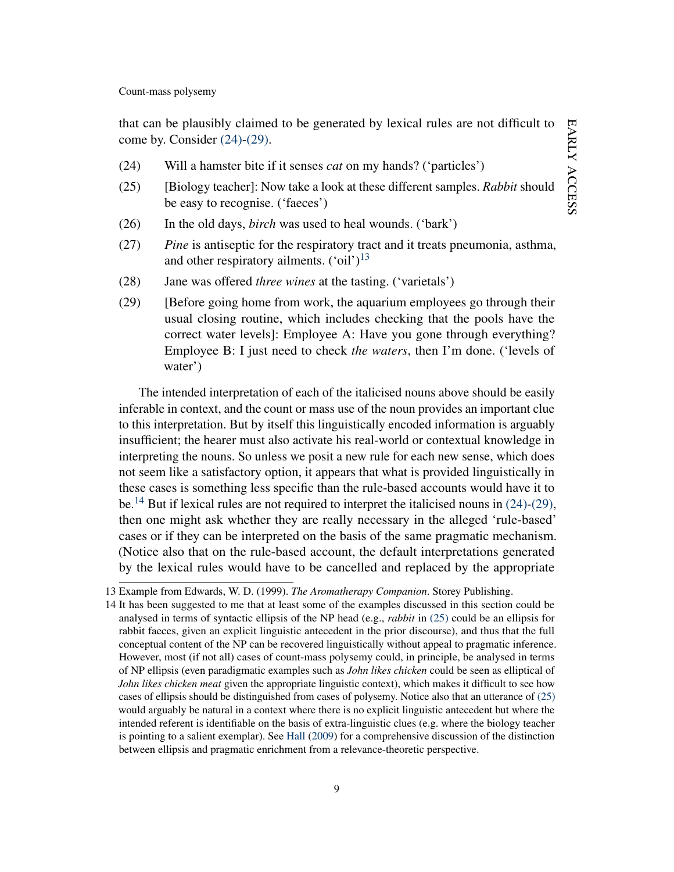that can be plausibly claimed to be generated by lexical rules are not difficult to come by. Consider [\(24\)](#page-9-0)[-\(29\).](#page-9-1)

- <span id="page-9-4"></span><span id="page-9-0"></span>(24) Will a hamster bite if it senses *cat* on my hands? ('particles')
- (25) [Biology teacher]: Now take a look at these different samples. *Rabbit* should be easy to recognise. ('faeces')
- (26) In the old days, *birch* was used to heal wounds. ('bark')
- (27) *Pine* is antiseptic for the respiratory tract and it treats pneumonia, asthma, and other respiratory ailments.  $({\text{`oil'}})^{13}$  $({\text{`oil'}})^{13}$  $({\text{`oil'}})^{13}$
- <span id="page-9-1"></span>(28) Jane was offered *three wines* at the tasting. ('varietals')
- (29) [Before going home from work, the aquarium employees go through their usual closing routine, which includes checking that the pools have the correct water levels]: Employee A: Have you gone through everything? Employee B: I just need to check *the waters*, then I'm done. ('levels of water')

The intended interpretation of each of the italicised nouns above should be easily inferable in context, and the count or mass use of the noun provides an important clue to this interpretation. But by itself this linguistically encoded information is arguably insufficient; the hearer must also activate his real-world or contextual knowledge in interpreting the nouns. So unless we posit a new rule for each new sense, which does not seem like a satisfactory option, it appears that what is provided linguistically in these cases is something less specific than the rule-based accounts would have it to be.<sup>[14](#page-9-3)</sup> But if lexical rules are not required to interpret the italicised nouns in  $(24)-(29)$  $(24)-(29)$ , then one might ask whether they are really necessary in the alleged 'rule-based' cases or if they can be interpreted on the basis of the same pragmatic mechanism. (Notice also that on the rule-based account, the default interpretations generated by the lexical rules would have to be cancelled and replaced by the appropriate

<span id="page-9-2"></span><sup>13</sup> Example from Edwards, W. D. (1999). *The Aromatherapy Companion*. Storey Publishing.

<span id="page-9-3"></span><sup>14</sup> It has been suggested to me that at least some of the examples discussed in this section could be analysed in terms of syntactic ellipsis of the NP head (e.g., *rabbit* in [\(25\)](#page-9-4) could be an ellipsis for rabbit faeces, given an explicit linguistic antecedent in the prior discourse), and thus that the full conceptual content of the NP can be recovered linguistically without appeal to pragmatic inference. However, most (if not all) cases of count-mass polysemy could, in principle, be analysed in terms of NP ellipsis (even paradigmatic examples such as *John likes chicken* could be seen as elliptical of *John likes chicken meat* given the appropriate linguistic context), which makes it difficult to see how cases of ellipsis should be distinguished from cases of polysemy. Notice also that an utterance of [\(25\)](#page-9-4) would arguably be natural in a context where there is no explicit linguistic antecedent but where the intended referent is identifiable on the basis of extra-linguistic clues (e.g. where the biology teacher is pointing to a salient exemplar). See [Hall](#page-42-7) [\(2009\)](#page-42-7) for a comprehensive discussion of the distinction between ellipsis and pragmatic enrichment from a relevance-theoretic perspective.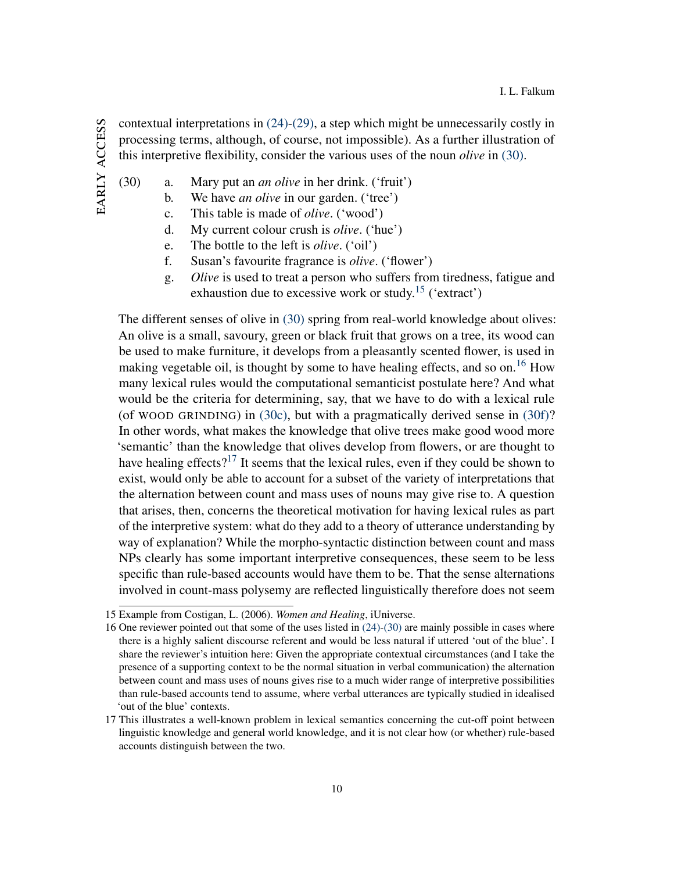contextual interpretations in [\(24\)-](#page-9-0)[\(29\),](#page-9-1) a step which might be unnecessarily costly in processing terms, although, of course, not impossible). As a further illustration of this interpretive flexibility, consider the various uses of the noun *olive* in [\(30\).](#page-10-0)

- EARLY ACCESS early access
- <span id="page-10-3"></span><span id="page-10-0"></span>(30) a. Mary put an *an olive* in her drink. ('fruit')
	- b. We have *an olive* in our garden. ('tree')
		- c. This table is made of *olive*. ('wood')
		- d. My current colour crush is *olive*. ('hue')
		- e. The bottle to the left is *olive*. ('oil')
		- f. Susan's favourite fragrance is *olive*. ('flower')
		- g. *Olive* is used to treat a person who suffers from tiredness, fatigue and exhaustion due to excessive work or study.<sup>[15](#page-10-1)</sup> ('extract')

<span id="page-10-4"></span>The different senses of olive in [\(30\)](#page-10-0) spring from real-world knowledge about olives: An olive is a small, savoury, green or black fruit that grows on a tree, its wood can be used to make furniture, it develops from a pleasantly scented flower, is used in making vegetable oil, is thought by some to have healing effects, and so on.<sup>[16](#page-10-2)</sup> How many lexical rules would the computational semanticist postulate here? And what would be the criteria for determining, say, that we have to do with a lexical rule (of WOOD GRINDING) in [\(30c\),](#page-10-3) but with a pragmatically derived sense in [\(30f\)?](#page-10-4) In other words, what makes the knowledge that olive trees make good wood more 'semantic' than the knowledge that olives develop from flowers, or are thought to have healing effects?<sup>[17](#page-10-5)</sup> It seems that the lexical rules, even if they could be shown to exist, would only be able to account for a subset of the variety of interpretations that the alternation between count and mass uses of nouns may give rise to. A question that arises, then, concerns the theoretical motivation for having lexical rules as part of the interpretive system: what do they add to a theory of utterance understanding by way of explanation? While the morpho-syntactic distinction between count and mass NPs clearly has some important interpretive consequences, these seem to be less specific than rule-based accounts would have them to be. That the sense alternations involved in count-mass polysemy are reflected linguistically therefore does not seem

<span id="page-10-1"></span><sup>15</sup> Example from Costigan, L. (2006). *Women and Healing*, iUniverse.

<span id="page-10-2"></span><sup>16</sup> One reviewer pointed out that some of the uses listed in [\(24\)-](#page-9-0)[\(30\)](#page-10-0) are mainly possible in cases where there is a highly salient discourse referent and would be less natural if uttered 'out of the blue'. I share the reviewer's intuition here: Given the appropriate contextual circumstances (and I take the presence of a supporting context to be the normal situation in verbal communication) the alternation between count and mass uses of nouns gives rise to a much wider range of interpretive possibilities than rule-based accounts tend to assume, where verbal utterances are typically studied in idealised 'out of the blue' contexts.

<span id="page-10-5"></span><sup>17</sup> This illustrates a well-known problem in lexical semantics concerning the cut-off point between linguistic knowledge and general world knowledge, and it is not clear how (or whether) rule-based accounts distinguish between the two.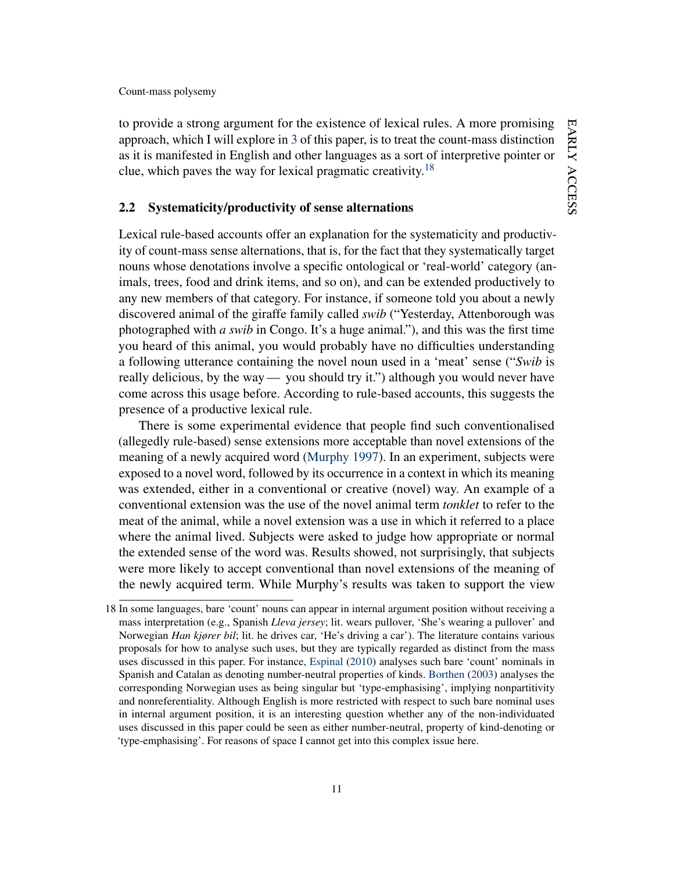to provide a strong argument for the existence of lexical rules. A more promising approach, which I will explore in [3](#page-18-0) of this paper, is to treat the count-mass distinction as it is manifested in English and other languages as a sort of interpretive pointer or clue, which paves the way for lexical pragmatic creativity.<sup>[18](#page-11-0)</sup>

# <span id="page-11-1"></span>2.2 Systematicity/productivity of sense alternations

Lexical rule-based accounts offer an explanation for the systematicity and productivity of count-mass sense alternations, that is, for the fact that they systematically target nouns whose denotations involve a specific ontological or 'real-world' category (animals, trees, food and drink items, and so on), and can be extended productively to any new members of that category. For instance, if someone told you about a newly discovered animal of the giraffe family called *swib* ("Yesterday, Attenborough was photographed with *a swib* in Congo. It's a huge animal."), and this was the first time you heard of this animal, you would probably have no difficulties understanding a following utterance containing the novel noun used in a 'meat' sense ("*Swib* is really delicious, by the way— you should try it.") although you would never have come across this usage before. According to rule-based accounts, this suggests the presence of a productive lexical rule.

There is some experimental evidence that people find such conventionalised (allegedly rule-based) sense extensions more acceptable than novel extensions of the meaning of a newly acquired word [\(Murphy](#page-44-2) [1997\)](#page-44-2). In an experiment, subjects were exposed to a novel word, followed by its occurrence in a context in which its meaning was extended, either in a conventional or creative (novel) way. An example of a conventional extension was the use of the novel animal term *tonklet* to refer to the meat of the animal, while a novel extension was a use in which it referred to a place where the animal lived. Subjects were asked to judge how appropriate or normal the extended sense of the word was. Results showed, not surprisingly, that subjects were more likely to accept conventional than novel extensions of the meaning of the newly acquired term. While Murphy's results was taken to support the view

<span id="page-11-0"></span><sup>18</sup> In some languages, bare 'count' nouns can appear in internal argument position without receiving a mass interpretation (e.g., Spanish *Lleva jersey*; lit. wears pullover, 'She's wearing a pullover' and Norwegian *Han kjører bil*; lit. he drives car, 'He's driving a car'). The literature contains various proposals for how to analyse such uses, but they are typically regarded as distinct from the mass uses discussed in this paper. For instance, [Espinal](#page-41-6) [\(2010\)](#page-41-6) analyses such bare 'count' nominals in Spanish and Catalan as denoting number-neutral properties of kinds. [Borthen](#page-40-9) [\(2003\)](#page-40-9) analyses the corresponding Norwegian uses as being singular but 'type-emphasising', implying nonpartitivity and nonreferentiality. Although English is more restricted with respect to such bare nominal uses in internal argument position, it is an interesting question whether any of the non-individuated uses discussed in this paper could be seen as either number-neutral, property of kind-denoting or 'type-emphasising'. For reasons of space I cannot get into this complex issue here.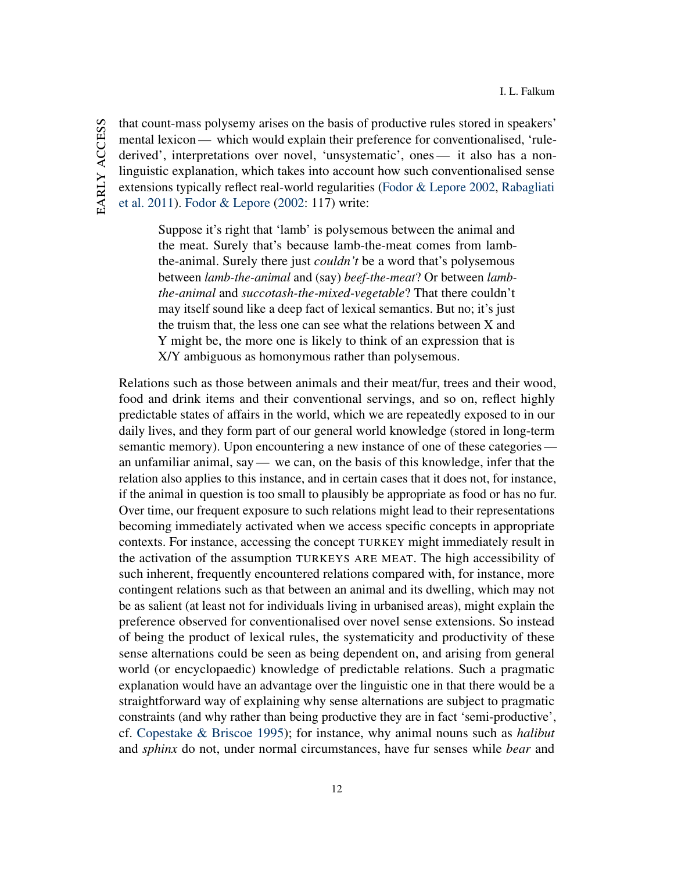EARLY ACCESS early access

that count-mass polysemy arises on the basis of productive rules stored in speakers' mental lexicon — which would explain their preference for conventionalised, 'rulederived', interpretations over novel, 'unsystematic', ones— it also has a nonlinguistic explanation, which takes into account how such conventionalised sense extensions typically reflect real-world regularities [\(Fodor & Lepore](#page-42-8) [2002,](#page-42-8) [Rabagliati](#page-45-5) [et al.](#page-45-5) [2011\)](#page-45-5). [Fodor & Lepore](#page-42-8) [\(2002:](#page-42-8) 117) write:

> Suppose it's right that 'lamb' is polysemous between the animal and the meat. Surely that's because lamb-the-meat comes from lambthe-animal. Surely there just *couldn't* be a word that's polysemous between *lamb-the-animal* and (say) *beef-the-meat*? Or between *lambthe-animal* and *succotash-the-mixed-vegetable*? That there couldn't may itself sound like a deep fact of lexical semantics. But no; it's just the truism that, the less one can see what the relations between X and Y might be, the more one is likely to think of an expression that is X/Y ambiguous as homonymous rather than polysemous.

Relations such as those between animals and their meat/fur, trees and their wood, food and drink items and their conventional servings, and so on, reflect highly predictable states of affairs in the world, which we are repeatedly exposed to in our daily lives, and they form part of our general world knowledge (stored in long-term semantic memory). Upon encountering a new instance of one of these categories an unfamiliar animal, say— we can, on the basis of this knowledge, infer that the relation also applies to this instance, and in certain cases that it does not, for instance, if the animal in question is too small to plausibly be appropriate as food or has no fur. Over time, our frequent exposure to such relations might lead to their representations becoming immediately activated when we access specific concepts in appropriate contexts. For instance, accessing the concept TURKEY might immediately result in the activation of the assumption TURKEYS ARE MEAT. The high accessibility of such inherent, frequently encountered relations compared with, for instance, more contingent relations such as that between an animal and its dwelling, which may not be as salient (at least not for individuals living in urbanised areas), might explain the preference observed for conventionalised over novel sense extensions. So instead of being the product of lexical rules, the systematicity and productivity of these sense alternations could be seen as being dependent on, and arising from general world (or encyclopaedic) knowledge of predictable relations. Such a pragmatic explanation would have an advantage over the linguistic one in that there would be a straightforward way of explaining why sense alternations are subject to pragmatic constraints (and why rather than being productive they are in fact 'semi-productive', cf. [Copestake & Briscoe](#page-41-1) [1995\)](#page-41-1); for instance, why animal nouns such as *halibut* and *sphinx* do not, under normal circumstances, have fur senses while *bear* and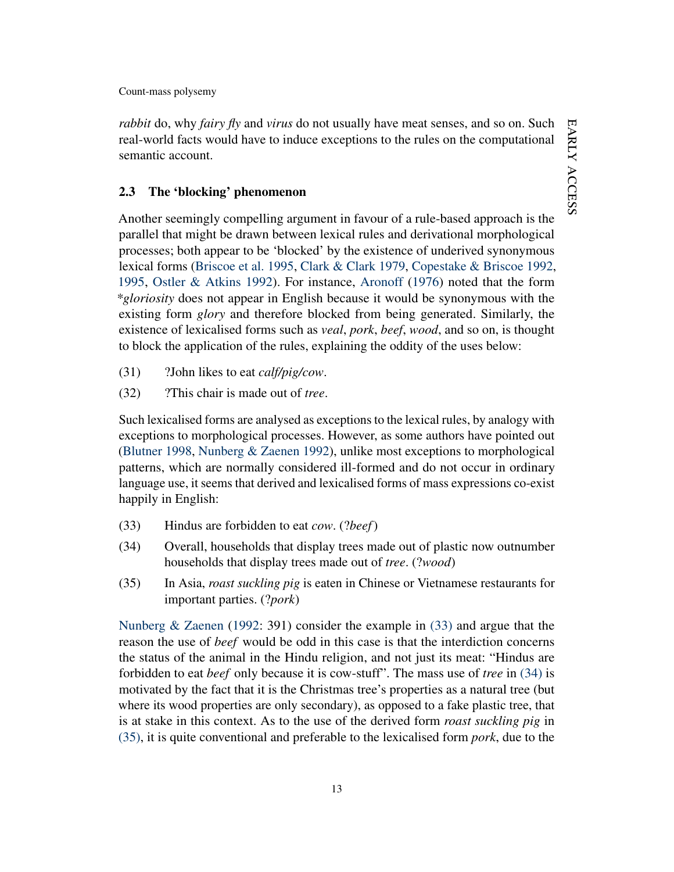*rabbit* do, why *fairy fly* and *virus* do not usually have meat senses, and so on. Such real-world facts would have to induce exceptions to the rules on the computational semantic account.

# <span id="page-13-3"></span>2.3 The 'blocking' phenomenon

Another seemingly compelling argument in favour of a rule-based approach is the parallel that might be drawn between lexical rules and derivational morphological processes; both appear to be 'blocked' by the existence of underived synonymous lexical forms [\(Briscoe et al.](#page-40-10) [1995,](#page-40-10) [Clark & Clark](#page-41-7) [1979,](#page-41-7) [Copestake & Briscoe](#page-41-0) [1992,](#page-41-0) [1995,](#page-41-1) [Ostler & Atkins](#page-44-1) [1992\)](#page-44-1). For instance, [Aronoff](#page-39-4) [\(1976\)](#page-39-4) noted that the form *\*gloriosity* does not appear in English because it would be synonymous with the existing form *glory* and therefore blocked from being generated. Similarly, the existence of lexicalised forms such as *veal*, *pork*, *beef*, *wood*, and so on, is thought to block the application of the rules, explaining the oddity of the uses below:

- (31) ?John likes to eat *calf/pig/cow*.
- (32) ?This chair is made out of *tree*.

Such lexicalised forms are analysed as exceptions to the lexical rules, by analogy with exceptions to morphological processes. However, as some authors have pointed out [\(Blutner](#page-39-0) [1998,](#page-39-0) [Nunberg & Zaenen](#page-44-6) [1992\)](#page-44-6), unlike most exceptions to morphological patterns, which are normally considered ill-formed and do not occur in ordinary language use, it seems that derived and lexicalised forms of mass expressions co-exist happily in English:

- <span id="page-13-1"></span><span id="page-13-0"></span>(33) Hindus are forbidden to eat *cow*. (?*beef*)
- (34) Overall, households that display trees made out of plastic now outnumber households that display trees made out of *tree*. (?*wood*)
- <span id="page-13-2"></span>(35) In Asia, *roast suckling pig* is eaten in Chinese or Vietnamese restaurants for important parties. (?*pork*)

[Nunberg & Zaenen](#page-44-6) [\(1992:](#page-44-6) 391) consider the example in [\(33\)](#page-13-0) and argue that the reason the use of *beef* would be odd in this case is that the interdiction concerns the status of the animal in the Hindu religion, and not just its meat: "Hindus are forbidden to eat *beef* only because it is cow-stuff". The mass use of *tree* in [\(34\)](#page-13-1) is motivated by the fact that it is the Christmas tree's properties as a natural tree (but where its wood properties are only secondary), as opposed to a fake plastic tree, that is at stake in this context. As to the use of the derived form *roast suckling pig* in [\(35\),](#page-13-2) it is quite conventional and preferable to the lexicalised form *pork*, due to the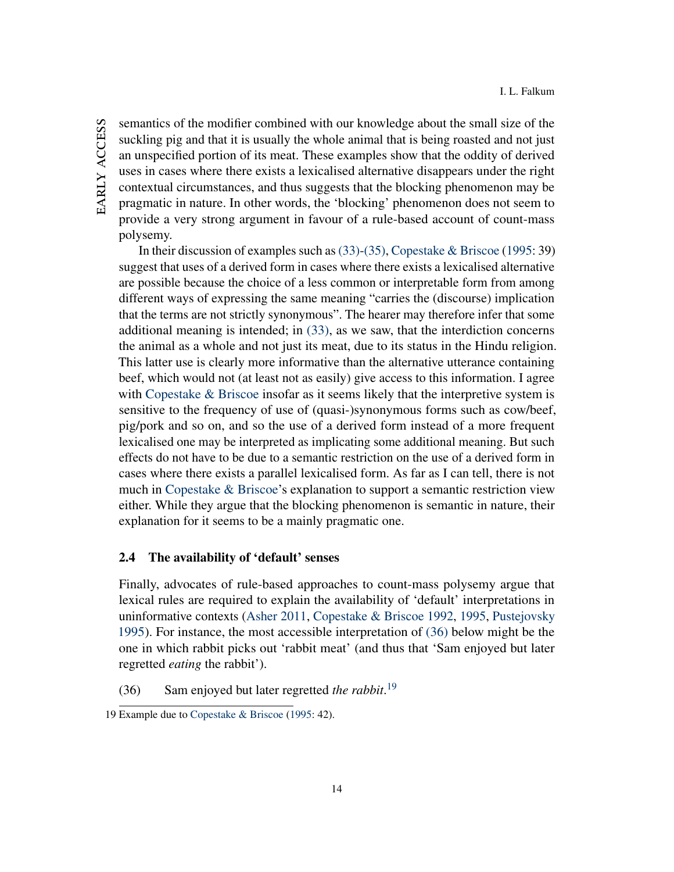semantics of the modifier combined with our knowledge about the small size of the suckling pig and that it is usually the whole animal that is being roasted and not just an unspecified portion of its meat. These examples show that the oddity of derived uses in cases where there exists a lexicalised alternative disappears under the right contextual circumstances, and thus suggests that the blocking phenomenon may be pragmatic in nature. In other words, the 'blocking' phenomenon does not seem to provide a very strong argument in favour of a rule-based account of count-mass polysemy.

In their discussion of examples such as [\(33\)-](#page-13-0)[\(35\),](#page-13-2) [Copestake & Briscoe](#page-41-1) [\(1995:](#page-41-1) 39) suggest that uses of a derived form in cases where there exists a lexicalised alternative are possible because the choice of a less common or interpretable form from among different ways of expressing the same meaning "carries the (discourse) implication that the terms are not strictly synonymous". The hearer may therefore infer that some additional meaning is intended; in [\(33\),](#page-13-0) as we saw, that the interdiction concerns the animal as a whole and not just its meat, due to its status in the Hindu religion. This latter use is clearly more informative than the alternative utterance containing beef, which would not (at least not as easily) give access to this information. I agree with [Copestake & Briscoe](#page-41-1) insofar as it seems likely that the interpretive system is sensitive to the frequency of use of (quasi-)synonymous forms such as cow/beef, pig/pork and so on, and so the use of a derived form instead of a more frequent lexicalised one may be interpreted as implicating some additional meaning. But such effects do not have to be due to a semantic restriction on the use of a derived form in cases where there exists a parallel lexicalised form. As far as I can tell, there is not much in [Copestake & Briscoe'](#page-41-1)s explanation to support a semantic restriction view either. While they argue that the blocking phenomenon is semantic in nature, their explanation for it seems to be a mainly pragmatic one.

# <span id="page-14-2"></span>2.4 The availability of 'default' senses

Finally, advocates of rule-based approaches to count-mass polysemy argue that lexical rules are required to explain the availability of 'default' interpretations in uninformative contexts [\(Asher](#page-39-2) [2011,](#page-39-2) [Copestake & Briscoe](#page-41-0) [1992,](#page-41-0) [1995,](#page-41-1) [Pustejovsky](#page-45-8) [1995\)](#page-45-8). For instance, the most accessible interpretation of [\(36\)](#page-14-0) below might be the one in which rabbit picks out 'rabbit meat' (and thus that 'Sam enjoyed but later regretted *eating* the rabbit').

<span id="page-14-0"></span>(36) Sam enjoyed but later regretted *the rabbit*. [19](#page-14-1)

<span id="page-14-1"></span><sup>19</sup> Example due to [Copestake & Briscoe](#page-41-1) [\(1995:](#page-41-1) 42).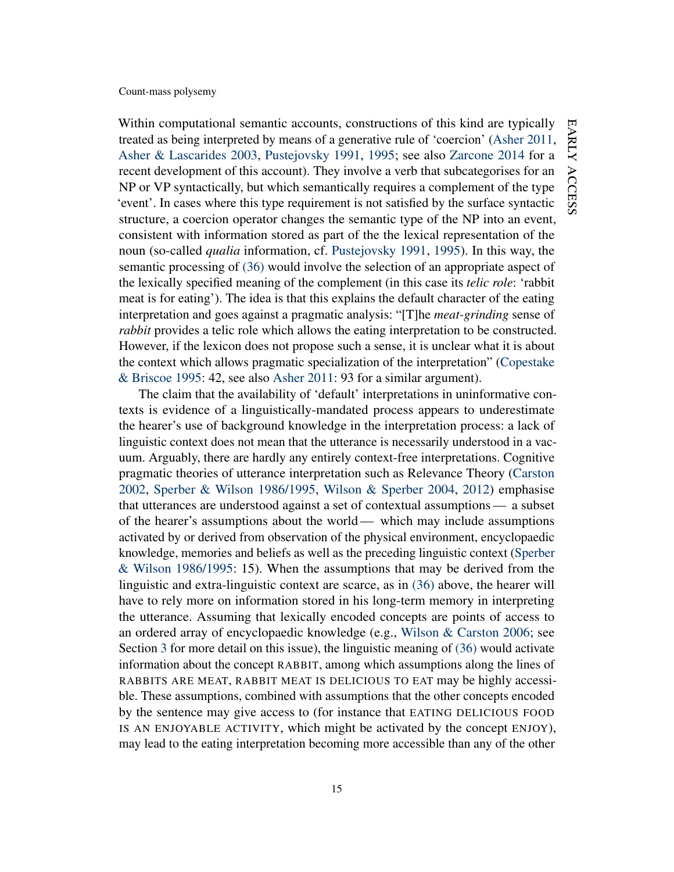Within computational semantic accounts, constructions of this kind are typically treated as being interpreted by means of a generative rule of 'coercion' [\(Asher](#page-39-2) [2011,](#page-39-2) [Asher & Lascarides](#page-39-3) [2003,](#page-39-3) [Pustejovsky](#page-45-7) [1991,](#page-45-7) [1995;](#page-45-8) see also [Zarcone](#page-47-5) [2014](#page-47-5) for a recent development of this account). They involve a verb that subcategorises for an NP or VP syntactically, but which semantically requires a complement of the type 'event'. In cases where this type requirement is not satisfied by the surface syntactic structure, a coercion operator changes the semantic type of the NP into an event, consistent with information stored as part of the the lexical representation of the noun (so-called *qualia* information, cf. [Pustejovsky](#page-45-7) [1991,](#page-45-7) [1995\)](#page-45-8). In this way, the semantic processing of [\(36\)](#page-14-0) would involve the selection of an appropriate aspect of the lexically specified meaning of the complement (in this case its *telic role*: 'rabbit meat is for eating'). The idea is that this explains the default character of the eating interpretation and goes against a pragmatic analysis: "[T]he *meat-grinding* sense of *rabbit* provides a telic role which allows the eating interpretation to be constructed. However, if the lexicon does not propose such a sense, it is unclear what it is about the context which allows pragmatic specialization of the interpretation" [\(Copestake](#page-41-1) [& Briscoe](#page-41-1) [1995:](#page-41-1) 42, see also [Asher](#page-39-2) [2011:](#page-39-2) 93 for a similar argument).

The claim that the availability of 'default' interpretations in uninformative contexts is evidence of a linguistically-mandated process appears to underestimate the hearer's use of background knowledge in the interpretation process: a lack of linguistic context does not mean that the utterance is necessarily understood in a vacuum. Arguably, there are hardly any entirely context-free interpretations. Cognitive pragmatic theories of utterance interpretation such as Relevance Theory [\(Carston](#page-40-4) [2002,](#page-40-4) [Sperber & Wilson](#page-45-11) [1986/1995,](#page-45-11) [Wilson & Sperber](#page-47-2) [2004,](#page-47-2) [2012\)](#page-47-3) emphasise that utterances are understood against a set of contextual assumptions— a subset of the hearer's assumptions about the world— which may include assumptions activated by or derived from observation of the physical environment, encyclopaedic knowledge, memories and beliefs as well as the preceding linguistic context [\(Sperber](#page-45-11) [& Wilson](#page-45-11) [1986/1995:](#page-45-11) 15). When the assumptions that may be derived from the linguistic and extra-linguistic context are scarce, as in [\(36\)](#page-14-0) above, the hearer will have to rely more on information stored in his long-term memory in interpreting the utterance. Assuming that lexically encoded concepts are points of access to an ordered array of encyclopaedic knowledge (e.g., [Wilson & Carston](#page-47-0) [2006;](#page-47-0) see Section [3](#page-18-0) for more detail on this issue), the linguistic meaning of [\(36\)](#page-14-0) would activate information about the concept RABBIT, among which assumptions along the lines of RABBITS ARE MEAT, RABBIT MEAT IS DELICIOUS TO EAT may be highly accessible. These assumptions, combined with assumptions that the other concepts encoded by the sentence may give access to (for instance that EATING DELICIOUS FOOD IS AN ENJOYABLE ACTIVITY, which might be activated by the concept ENJOY), may lead to the eating interpretation becoming more accessible than any of the other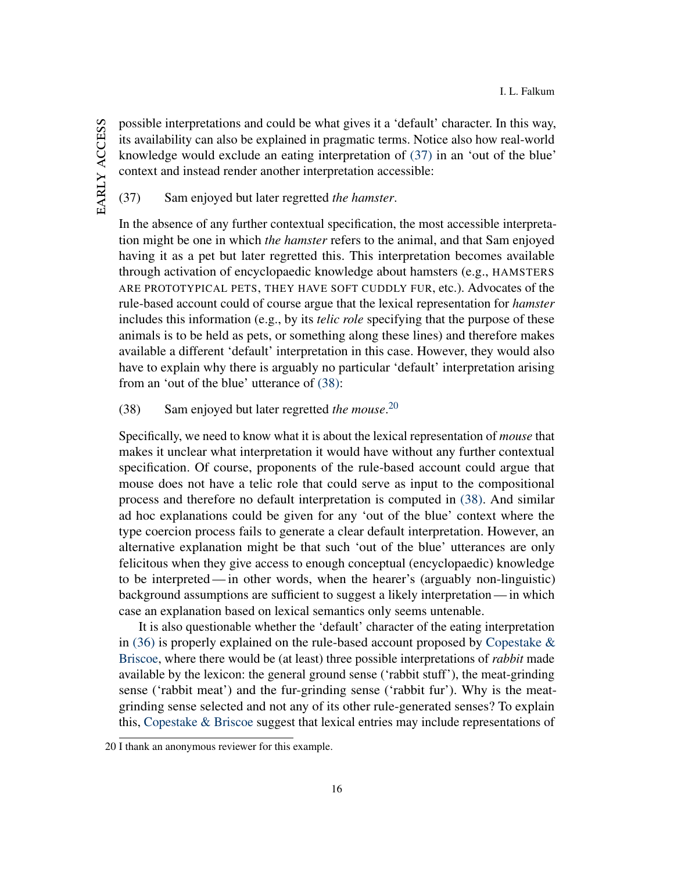<span id="page-16-0"></span>I. L. Falkum

possible interpretations and could be what gives it a 'default' character. In this way, its availability can also be explained in pragmatic terms. Notice also how real-world knowledge would exclude an eating interpretation of [\(37\)](#page-16-0) in an 'out of the blue' context and instead render another interpretation accessible:

(37) Sam enjoyed but later regretted *the hamster*.

In the absence of any further contextual specification, the most accessible interpretation might be one in which *the hamster* refers to the animal, and that Sam enjoyed having it as a pet but later regretted this. This interpretation becomes available through activation of encyclopaedic knowledge about hamsters (e.g., HAMSTERS ARE PROTOTYPICAL PETS, THEY HAVE SOFT CUDDLY FUR, etc.). Advocates of the rule-based account could of course argue that the lexical representation for *hamster* includes this information (e.g., by its *telic role* specifying that the purpose of these animals is to be held as pets, or something along these lines) and therefore makes available a different 'default' interpretation in this case. However, they would also have to explain why there is arguably no particular 'default' interpretation arising from an 'out of the blue' utterance of [\(38\):](#page-16-1)

<span id="page-16-1"></span>(38) Sam enjoyed but later regretted *the mouse*. [20](#page-16-2)

Specifically, we need to know what it is about the lexical representation of *mouse* that makes it unclear what interpretation it would have without any further contextual specification. Of course, proponents of the rule-based account could argue that mouse does not have a telic role that could serve as input to the compositional process and therefore no default interpretation is computed in [\(38\).](#page-16-1) And similar ad hoc explanations could be given for any 'out of the blue' context where the type coercion process fails to generate a clear default interpretation. However, an alternative explanation might be that such 'out of the blue' utterances are only felicitous when they give access to enough conceptual (encyclopaedic) knowledge to be interpreted— in other words, when the hearer's (arguably non-linguistic) background assumptions are sufficient to suggest a likely interpretation — in which case an explanation based on lexical semantics only seems untenable.

It is also questionable whether the 'default' character of the eating interpretation in [\(36\)](#page-14-0) is properly explained on the rule-based account proposed by [Copestake &](#page-41-1) [Briscoe,](#page-41-1) where there would be (at least) three possible interpretations of *rabbit* made available by the lexicon: the general ground sense ('rabbit stuff'), the meat-grinding sense ('rabbit meat') and the fur-grinding sense ('rabbit fur'). Why is the meatgrinding sense selected and not any of its other rule-generated senses? To explain this, [Copestake & Briscoe](#page-41-1) suggest that lexical entries may include representations of

<span id="page-16-2"></span><sup>20</sup> I thank an anonymous reviewer for this example.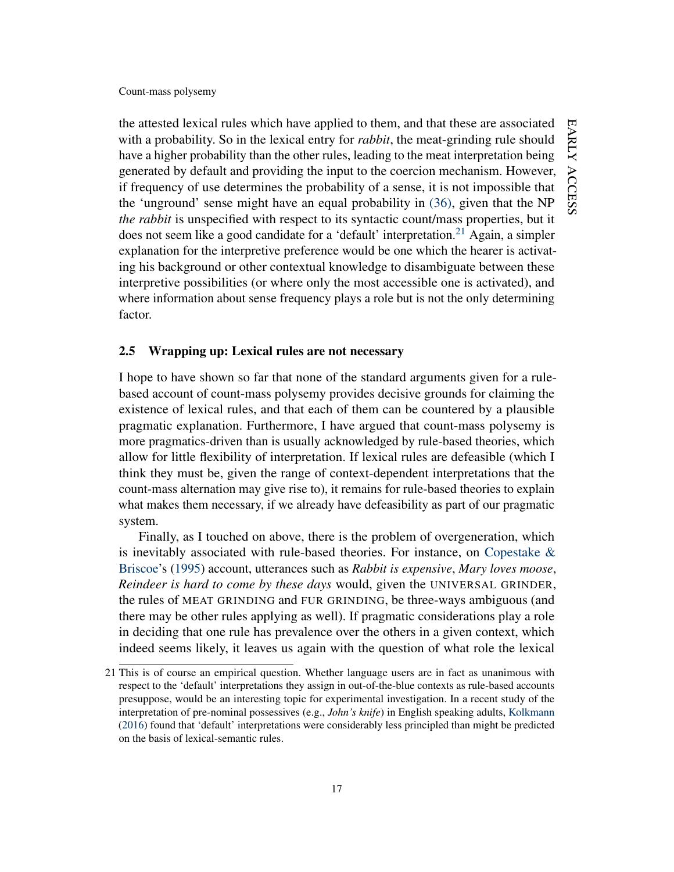the attested lexical rules which have applied to them, and that these are associated with a probability. So in the lexical entry for *rabbit*, the meat-grinding rule should have a higher probability than the other rules, leading to the meat interpretation being generated by default and providing the input to the coercion mechanism. However, if frequency of use determines the probability of a sense, it is not impossible that the 'unground' sense might have an equal probability in [\(36\),](#page-14-0) given that the NP *the rabbit* is unspecified with respect to its syntactic count/mass properties, but it does not seem like a good candidate for a 'default' interpretation.<sup>[21](#page-17-0)</sup> Again, a simpler explanation for the interpretive preference would be one which the hearer is activating his background or other contextual knowledge to disambiguate between these interpretive possibilities (or where only the most accessible one is activated), and where information about sense frequency plays a role but is not the only determining factor.

# 2.5 Wrapping up: Lexical rules are not necessary

I hope to have shown so far that none of the standard arguments given for a rulebased account of count-mass polysemy provides decisive grounds for claiming the existence of lexical rules, and that each of them can be countered by a plausible pragmatic explanation. Furthermore, I have argued that count-mass polysemy is more pragmatics-driven than is usually acknowledged by rule-based theories, which allow for little flexibility of interpretation. If lexical rules are defeasible (which I think they must be, given the range of context-dependent interpretations that the count-mass alternation may give rise to), it remains for rule-based theories to explain what makes them necessary, if we already have defeasibility as part of our pragmatic system.

Finally, as I touched on above, there is the problem of overgeneration, which is inevitably associated with rule-based theories. For instance, on Copestake  $\&$ [Briscoe'](#page-41-1)s [\(1995\)](#page-41-1) account, utterances such as *Rabbit is expensive*, *Mary loves moose*, *Reindeer is hard to come by these days* would, given the UNIVERSAL GRINDER, the rules of MEAT GRINDING and FUR GRINDING, be three-ways ambiguous (and there may be other rules applying as well). If pragmatic considerations play a role in deciding that one rule has prevalence over the others in a given context, which indeed seems likely, it leaves us again with the question of what role the lexical

<span id="page-17-0"></span><sup>21</sup> This is of course an empirical question. Whether language users are in fact as unanimous with respect to the 'default' interpretations they assign in out-of-the-blue contexts as rule-based accounts presuppose, would be an interesting topic for experimental investigation. In a recent study of the interpretation of pre-nominal possessives (e.g., *John's knife*) in English speaking adults, [Kolkmann](#page-43-8) [\(2016\)](#page-43-8) found that 'default' interpretations were considerably less principled than might be predicted on the basis of lexical-semantic rules.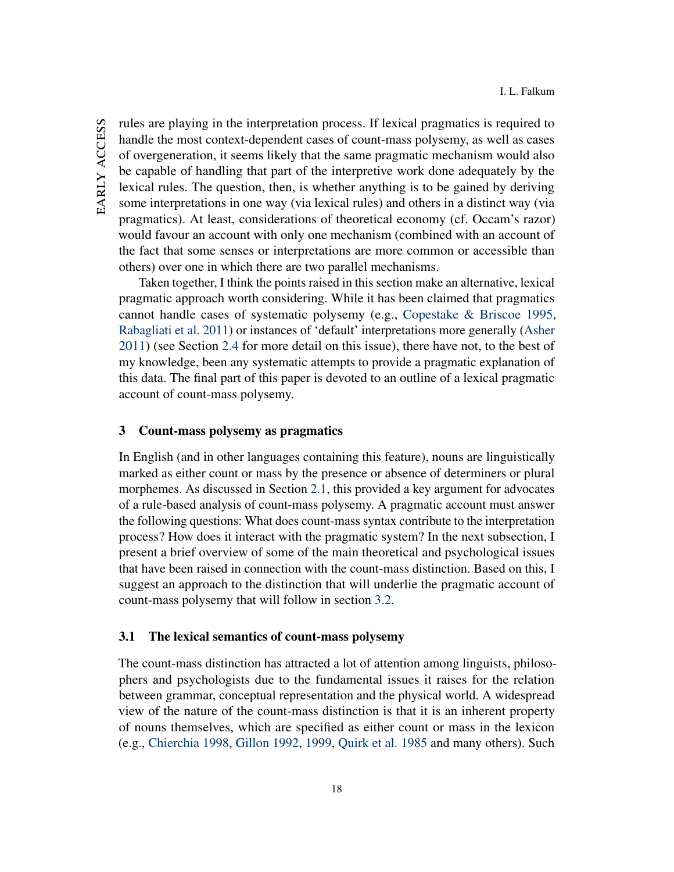EARLY ACCESS early access rules are playing in the interpretation process. If lexical pragmatics is required to handle the most context-dependent cases of count-mass polysemy, as well as cases of overgeneration, it seems likely that the same pragmatic mechanism would also be capable of handling that part of the interpretive work done adequately by the lexical rules. The question, then, is whether anything is to be gained by deriving some interpretations in one way (via lexical rules) and others in a distinct way (via pragmatics). At least, considerations of theoretical economy (cf. Occam's razor) would favour an account with only one mechanism (combined with an account of the fact that some senses or interpretations are more common or accessible than others) over one in which there are two parallel mechanisms.

Taken together, I think the points raised in this section make an alternative, lexical pragmatic approach worth considering. While it has been claimed that pragmatics cannot handle cases of systematic polysemy (e.g., [Copestake & Briscoe](#page-41-1) [1995,](#page-41-1) [Rabagliati et al.](#page-45-5) [2011\)](#page-45-5) or instances of 'default' interpretations more generally [\(Asher](#page-39-2) [2011\)](#page-39-2) (see Section [2.4](#page-14-2) for more detail on this issue), there have not, to the best of my knowledge, been any systematic attempts to provide a pragmatic explanation of this data. The final part of this paper is devoted to an outline of a lexical pragmatic account of count-mass polysemy.

## <span id="page-18-0"></span>3 Count-mass polysemy as pragmatics

In English (and in other languages containing this feature), nouns are linguistically marked as either count or mass by the presence or absence of determiners or plural morphemes. As discussed in Section [2.1,](#page-7-3) this provided a key argument for advocates of a rule-based analysis of count-mass polysemy. A pragmatic account must answer the following questions: What does count-mass syntax contribute to the interpretation process? How does it interact with the pragmatic system? In the next subsection, I present a brief overview of some of the main theoretical and psychological issues that have been raised in connection with the count-mass distinction. Based on this, I suggest an approach to the distinction that will underlie the pragmatic account of count-mass polysemy that will follow in section [3.2.](#page-22-0)

### <span id="page-18-1"></span>3.1 The lexical semantics of count-mass polysemy

The count-mass distinction has attracted a lot of attention among linguists, philosophers and psychologists due to the fundamental issues it raises for the relation between grammar, conceptual representation and the physical world. A widespread view of the nature of the count-mass distinction is that it is an inherent property of nouns themselves, which are specified as either count or mass in the lexicon (e.g., [Chierchia](#page-41-8) [1998,](#page-41-8) [Gillon](#page-42-3) [1992,](#page-42-3) [1999,](#page-42-4) [Quirk et al.](#page-45-12) [1985](#page-45-12) and many others). Such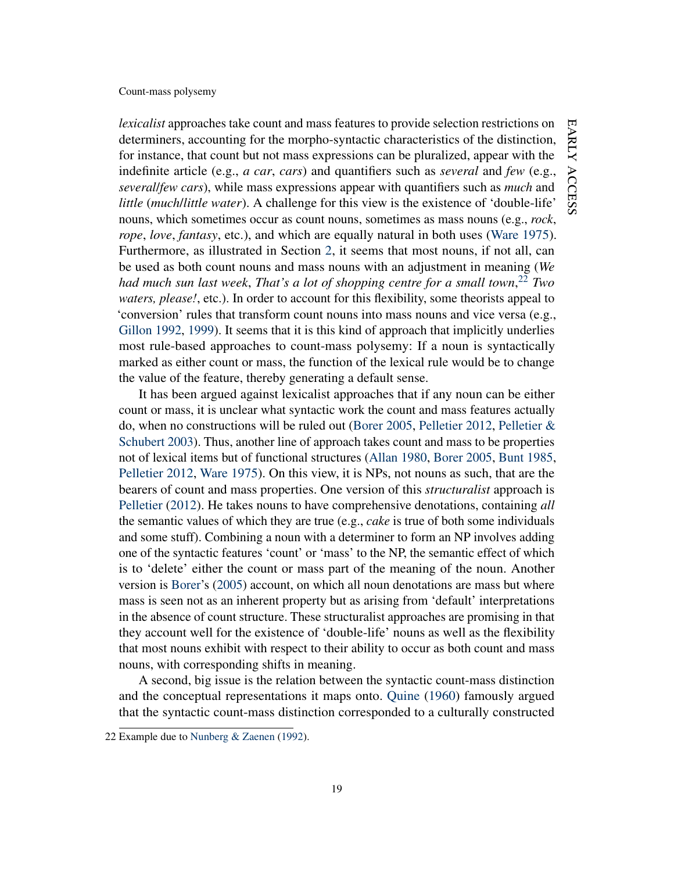*lexicalist* approaches take count and mass features to provide selection restrictions on determiners, accounting for the morpho-syntactic characteristics of the distinction, for instance, that count but not mass expressions can be pluralized, appear with the indefinite article (e.g., *a car*, *cars*) and quantifiers such as *several* and *few* (e.g., *several*/*few cars*), while mass expressions appear with quantifiers such as *much* and *little* (*much*/*little water*). A challenge for this view is the existence of 'double-life' nouns, which sometimes occur as count nouns, sometimes as mass nouns (e.g., *rock*, *rope*, *love*, *fantasy*, etc.), and which are equally natural in both uses [\(Ware](#page-46-8) [1975\)](#page-46-8). Furthermore, as illustrated in Section [2,](#page-6-0) it seems that most nouns, if not all, can be used as both count nouns and mass nouns with an adjustment in meaning (*We had much sun last week*, *That's a lot of shopping centre for a small town*, [22](#page-19-0) *Two waters, please!*, etc.). In order to account for this flexibility, some theorists appeal to 'conversion' rules that transform count nouns into mass nouns and vice versa (e.g., [Gillon](#page-42-3) [1992,](#page-42-3) [1999\)](#page-42-4). It seems that it is this kind of approach that implicitly underlies most rule-based approaches to count-mass polysemy: If a noun is syntactically marked as either count or mass, the function of the lexical rule would be to change the value of the feature, thereby generating a default sense.

It has been argued against lexicalist approaches that if any noun can be either count or mass, it is unclear what syntactic work the count and mass features actually do, when no constructions will be ruled out [\(Borer](#page-40-11) [2005,](#page-40-11) [Pelletier](#page-44-5) [2012,](#page-44-5) [Pelletier &](#page-44-4) [Schubert](#page-44-4) [2003\)](#page-44-4). Thus, another line of approach takes count and mass to be properties not of lexical items but of functional structures [\(Allan](#page-38-0) [1980,](#page-38-0) [Borer](#page-40-11) [2005,](#page-40-11) [Bunt](#page-40-8) [1985,](#page-40-8) [Pelletier](#page-44-5) [2012,](#page-44-5) [Ware](#page-46-8) [1975\)](#page-46-8). On this view, it is NPs, not nouns as such, that are the bearers of count and mass properties. One version of this *structuralist* approach is [Pelletier](#page-44-5) [\(2012\)](#page-44-5). He takes nouns to have comprehensive denotations, containing *all* the semantic values of which they are true (e.g., *cake* is true of both some individuals and some stuff). Combining a noun with a determiner to form an NP involves adding one of the syntactic features 'count' or 'mass' to the NP, the semantic effect of which is to 'delete' either the count or mass part of the meaning of the noun. Another version is [Borer'](#page-40-11)s [\(2005\)](#page-40-11) account, on which all noun denotations are mass but where mass is seen not as an inherent property but as arising from 'default' interpretations in the absence of count structure. These structuralist approaches are promising in that they account well for the existence of 'double-life' nouns as well as the flexibility that most nouns exhibit with respect to their ability to occur as both count and mass nouns, with corresponding shifts in meaning.

A second, big issue is the relation between the syntactic count-mass distinction and the conceptual representations it maps onto. [Quine](#page-45-13) [\(1960\)](#page-45-13) famously argued that the syntactic count-mass distinction corresponded to a culturally constructed

<span id="page-19-0"></span><sup>22</sup> Example due to [Nunberg & Zaenen](#page-44-6) [\(1992\)](#page-44-6).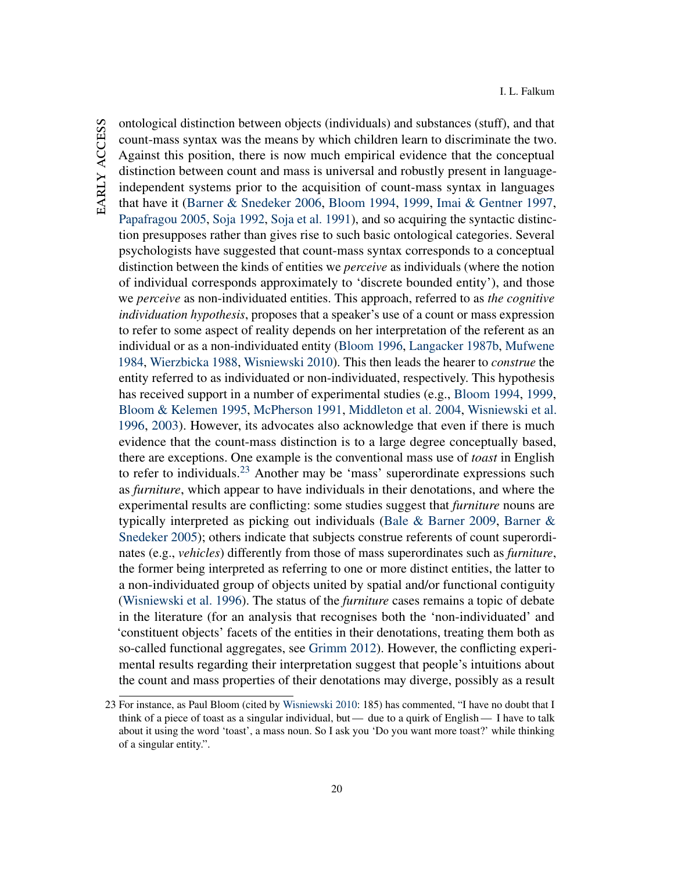ontological distinction between objects (individuals) and substances (stuff), and that count-mass syntax was the means by which children learn to discriminate the two. Against this position, there is now much empirical evidence that the conceptual distinction between count and mass is universal and robustly present in languageindependent systems prior to the acquisition of count-mass syntax in languages that have it [\(Barner & Snedeker](#page-39-5) [2006,](#page-39-5) [Bloom](#page-39-6) [1994,](#page-39-6) [1999,](#page-39-7) [Imai & Gentner](#page-42-9) [1997,](#page-42-9) [Papafragou](#page-44-7) [2005,](#page-44-7) [Soja](#page-45-14) [1992,](#page-45-14) [Soja et al.](#page-45-15) [1991\)](#page-45-15), and so acquiring the syntactic distinction presupposes rather than gives rise to such basic ontological categories. Several psychologists have suggested that count-mass syntax corresponds to a conceptual distinction between the kinds of entities we *perceive* as individuals (where the notion of individual corresponds approximately to 'discrete bounded entity'), and those we *perceive* as non-individuated entities. This approach, referred to as *the cognitive individuation hypothesis*, proposes that a speaker's use of a count or mass expression to refer to some aspect of reality depends on her interpretation of the referent as an individual or as a non-individuated entity [\(Bloom](#page-39-8) [1996,](#page-39-8) [Langacker](#page-43-9) [1987b,](#page-43-9) [Mufwene](#page-44-8) [1984,](#page-44-8) [Wierzbicka](#page-46-9) [1988,](#page-46-9) [Wisniewski](#page-47-6) [2010\)](#page-47-6). This then leads the hearer to *construe* the entity referred to as individuated or non-individuated, respectively. This hypothesis has received support in a number of experimental studies (e.g., [Bloom](#page-39-6) [1994,](#page-39-6) [1999,](#page-39-7) [Bloom & Kelemen](#page-39-9) [1995,](#page-39-9) [McPherson](#page-43-10) [1991,](#page-43-10) [Middleton et al.](#page-43-11) [2004,](#page-43-11) [Wisniewski et al.](#page-47-7) [1996,](#page-47-7) [2003\)](#page-47-4). However, its advocates also acknowledge that even if there is much evidence that the count-mass distinction is to a large degree conceptually based, there are exceptions. One example is the conventional mass use of *toast* in English to refer to individuals.<sup>[23](#page-20-0)</sup> Another may be 'mass' superordinate expressions such as *furniture*, which appear to have individuals in their denotations, and where the experimental results are conflicting: some studies suggest that *furniture* nouns are typically interpreted as picking out individuals [\(Bale & Barner](#page-39-10) [2009,](#page-39-10) [Barner &](#page-39-11) [Snedeker](#page-39-11) [2005\)](#page-39-11); others indicate that subjects construe referents of count superordinates (e.g., *vehicles*) differently from those of mass superordinates such as *furniture*, the former being interpreted as referring to one or more distinct entities, the latter to a non-individuated group of objects united by spatial and/or functional contiguity [\(Wisniewski et al.](#page-47-7) [1996\)](#page-47-7). The status of the *furniture* cases remains a topic of debate in the literature (for an analysis that recognises both the 'non-individuated' and 'constituent objects' facets of the entities in their denotations, treating them both as so-called functional aggregates, see [Grimm](#page-42-10) [2012\)](#page-42-10). However, the conflicting experimental results regarding their interpretation suggest that people's intuitions about the count and mass properties of their denotations may diverge, possibly as a result

<span id="page-20-0"></span><sup>23</sup> For instance, as Paul Bloom (cited by [Wisniewski](#page-47-6) [2010:](#page-47-6) 185) has commented, "I have no doubt that I think of a piece of toast as a singular individual, but— due to a quirk of English— I have to talk about it using the word 'toast', a mass noun. So I ask you 'Do you want more toast?' while thinking of a singular entity.".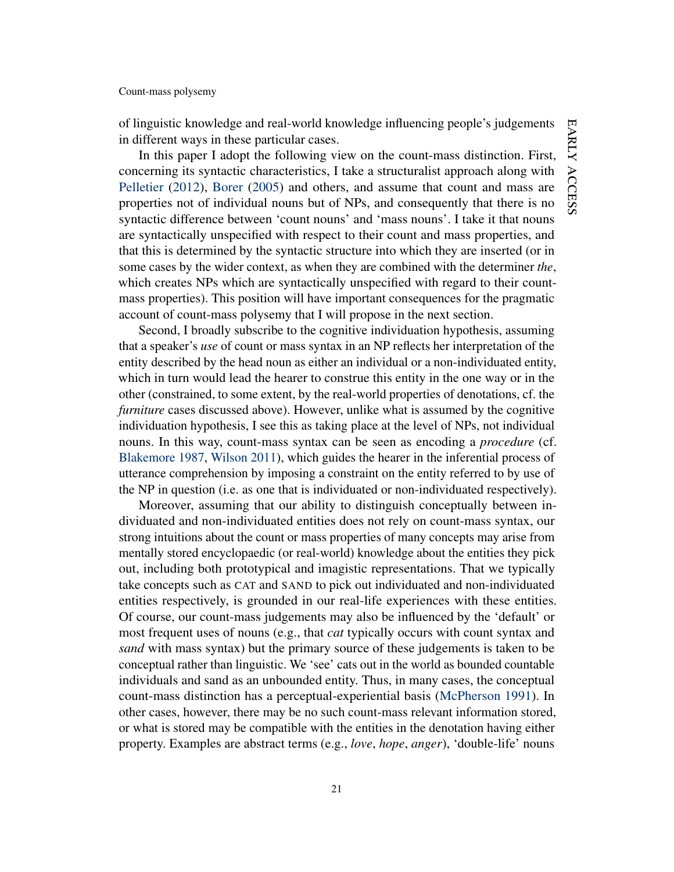of linguistic knowledge and real-world knowledge influencing people's judgements in different ways in these particular cases.

In this paper I adopt the following view on the count-mass distinction. First, concerning its syntactic characteristics, I take a structuralist approach along with [Pelletier](#page-44-5) [\(2012\)](#page-44-5), [Borer](#page-40-11) [\(2005\)](#page-40-11) and others, and assume that count and mass are properties not of individual nouns but of NPs, and consequently that there is no syntactic difference between 'count nouns' and 'mass nouns'. I take it that nouns are syntactically unspecified with respect to their count and mass properties, and that this is determined by the syntactic structure into which they are inserted (or in some cases by the wider context, as when they are combined with the determiner *the*, which creates NPs which are syntactically unspecified with regard to their countmass properties). This position will have important consequences for the pragmatic account of count-mass polysemy that I will propose in the next section.

Second, I broadly subscribe to the cognitive individuation hypothesis, assuming that a speaker's *use* of count or mass syntax in an NP reflects her interpretation of the entity described by the head noun as either an individual or a non-individuated entity, which in turn would lead the hearer to construe this entity in the one way or in the other (constrained, to some extent, by the real-world properties of denotations, cf. the *furniture* cases discussed above). However, unlike what is assumed by the cognitive individuation hypothesis, I see this as taking place at the level of NPs, not individual nouns. In this way, count-mass syntax can be seen as encoding a *procedure* (cf. [Blakemore](#page-39-12) [1987,](#page-39-12) [Wilson](#page-46-6) [2011\)](#page-46-6), which guides the hearer in the inferential process of utterance comprehension by imposing a constraint on the entity referred to by use of the NP in question (i.e. as one that is individuated or non-individuated respectively).

Moreover, assuming that our ability to distinguish conceptually between individuated and non-individuated entities does not rely on count-mass syntax, our strong intuitions about the count or mass properties of many concepts may arise from mentally stored encyclopaedic (or real-world) knowledge about the entities they pick out, including both prototypical and imagistic representations. That we typically take concepts such as CAT and SAND to pick out individuated and non-individuated entities respectively, is grounded in our real-life experiences with these entities. Of course, our count-mass judgements may also be influenced by the 'default' or most frequent uses of nouns (e.g., that *cat* typically occurs with count syntax and *sand* with mass syntax) but the primary source of these judgements is taken to be conceptual rather than linguistic. We 'see' cats out in the world as bounded countable individuals and sand as an unbounded entity. Thus, in many cases, the conceptual count-mass distinction has a perceptual-experiential basis [\(McPherson](#page-43-10) [1991\)](#page-43-10). In other cases, however, there may be no such count-mass relevant information stored, or what is stored may be compatible with the entities in the denotation having either property. Examples are abstract terms (e.g., *love*, *hope*, *anger*), 'double-life' nouns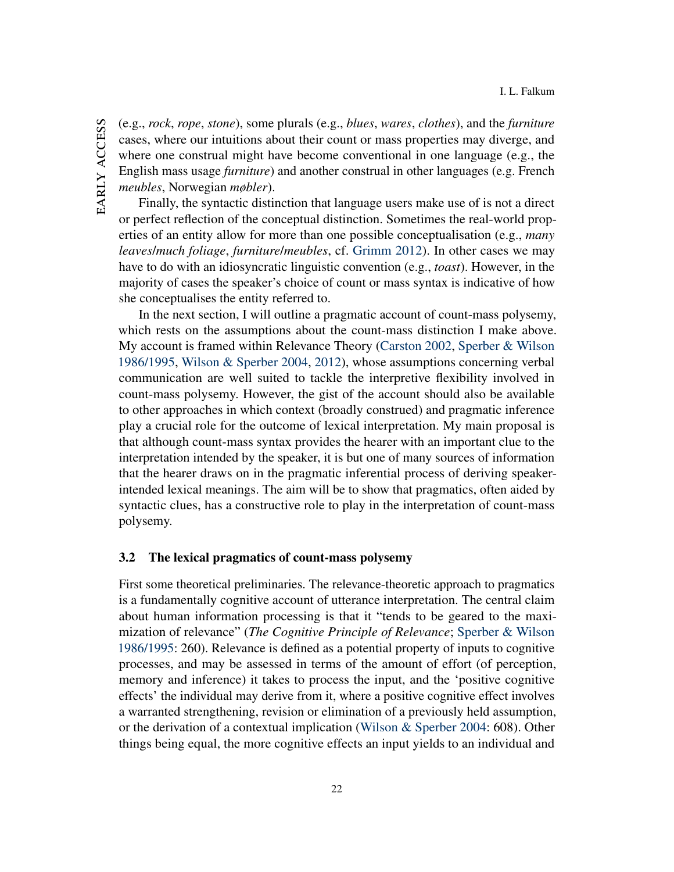EARLY ACCESS early access (e.g., *rock*, *rope*, *stone*), some plurals (e.g., *blues*, *wares*, *clothes*), and the *furniture* cases, where our intuitions about their count or mass properties may diverge, and where one construal might have become conventional in one language (e.g., the English mass usage *furniture*) and another construal in other languages (e.g. French *meubles*, Norwegian *møbler*).

Finally, the syntactic distinction that language users make use of is not a direct or perfect reflection of the conceptual distinction. Sometimes the real-world properties of an entity allow for more than one possible conceptualisation (e.g., *many leaves*/*much foliage*, *furniture*/*meubles*, cf. [Grimm](#page-42-10) [2012\)](#page-42-10). In other cases we may have to do with an idiosyncratic linguistic convention (e.g., *toast*). However, in the majority of cases the speaker's choice of count or mass syntax is indicative of how she conceptualises the entity referred to.

In the next section, I will outline a pragmatic account of count-mass polysemy, which rests on the assumptions about the count-mass distinction I make above. My account is framed within Relevance Theory [\(Carston](#page-40-4) [2002,](#page-40-4) [Sperber & Wilson](#page-45-11) [1986/1995,](#page-45-11) [Wilson & Sperber](#page-47-2) [2004,](#page-47-2) [2012\)](#page-47-3), whose assumptions concerning verbal communication are well suited to tackle the interpretive flexibility involved in count-mass polysemy. However, the gist of the account should also be available to other approaches in which context (broadly construed) and pragmatic inference play a crucial role for the outcome of lexical interpretation. My main proposal is that although count-mass syntax provides the hearer with an important clue to the interpretation intended by the speaker, it is but one of many sources of information that the hearer draws on in the pragmatic inferential process of deriving speakerintended lexical meanings. The aim will be to show that pragmatics, often aided by syntactic clues, has a constructive role to play in the interpretation of count-mass polysemy.

# <span id="page-22-0"></span>3.2 The lexical pragmatics of count-mass polysemy

First some theoretical preliminaries. The relevance-theoretic approach to pragmatics is a fundamentally cognitive account of utterance interpretation. The central claim about human information processing is that it "tends to be geared to the maximization of relevance" (*The Cognitive Principle of Relevance*; [Sperber & Wilson](#page-45-11) [1986/1995:](#page-45-11) 260). Relevance is defined as a potential property of inputs to cognitive processes, and may be assessed in terms of the amount of effort (of perception, memory and inference) it takes to process the input, and the 'positive cognitive effects' the individual may derive from it, where a positive cognitive effect involves a warranted strengthening, revision or elimination of a previously held assumption, or the derivation of a contextual implication [\(Wilson & Sperber](#page-47-2) [2004:](#page-47-2) 608). Other things being equal, the more cognitive effects an input yields to an individual and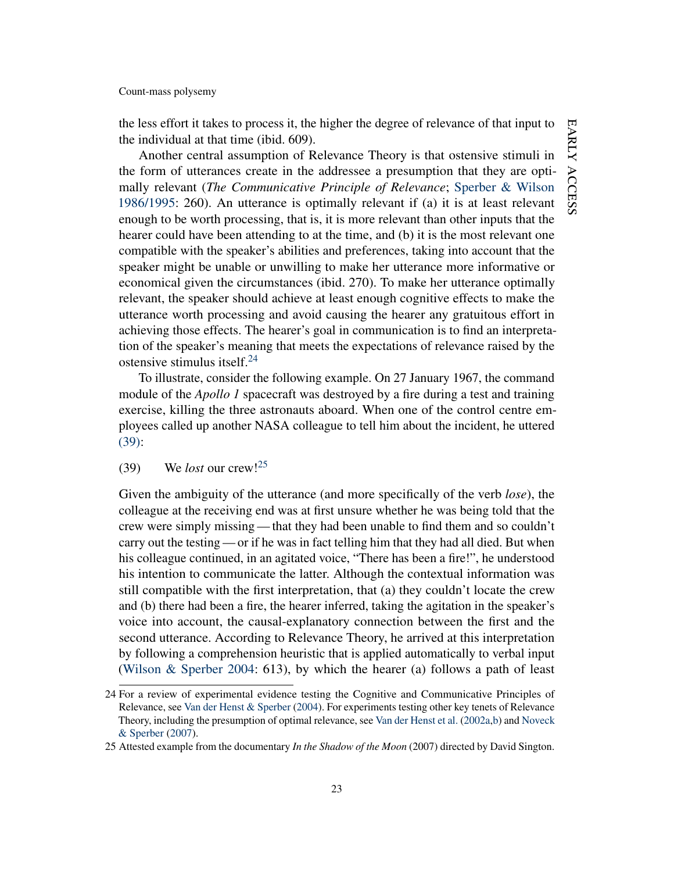the less effort it takes to process it, the higher the degree of relevance of that input to the individual at that time (ibid. 609).

Another central assumption of Relevance Theory is that ostensive stimuli in the form of utterances create in the addressee a presumption that they are optimally relevant (*The Communicative Principle of Relevance*; [Sperber & Wilson](#page-45-11) [1986/1995:](#page-45-11) 260). An utterance is optimally relevant if (a) it is at least relevant enough to be worth processing, that is, it is more relevant than other inputs that the hearer could have been attending to at the time, and (b) it is the most relevant one compatible with the speaker's abilities and preferences, taking into account that the speaker might be unable or unwilling to make her utterance more informative or economical given the circumstances (ibid. 270). To make her utterance optimally relevant, the speaker should achieve at least enough cognitive effects to make the utterance worth processing and avoid causing the hearer any gratuitous effort in achieving those effects. The hearer's goal in communication is to find an interpretation of the speaker's meaning that meets the expectations of relevance raised by the ostensive stimulus itself. $^{24}$  $^{24}$  $^{24}$ 

To illustrate, consider the following example. On 27 January 1967, the command module of the *Apollo 1* spacecraft was destroyed by a fire during a test and training exercise, killing the three astronauts aboard. When one of the control centre employees called up another NASA colleague to tell him about the incident, he uttered [\(39\):](#page-23-1)

# <span id="page-23-1"></span>(39) We *lost* our crew![25](#page-23-2)

Given the ambiguity of the utterance (and more specifically of the verb *lose*), the colleague at the receiving end was at first unsure whether he was being told that the crew were simply missing — that they had been unable to find them and so couldn't carry out the testing — or if he was in fact telling him that they had all died. But when his colleague continued, in an agitated voice, "There has been a fire!", he understood his intention to communicate the latter. Although the contextual information was still compatible with the first interpretation, that (a) they couldn't locate the crew and (b) there had been a fire, the hearer inferred, taking the agitation in the speaker's voice into account, the causal-explanatory connection between the first and the second utterance. According to Relevance Theory, he arrived at this interpretation by following a comprehension heuristic that is applied automatically to verbal input [\(Wilson & Sperber](#page-47-2) [2004:](#page-47-2) 613), by which the hearer (a) follows a path of least

<span id="page-23-0"></span><sup>24</sup> For a review of experimental evidence testing the Cognitive and Communicative Principles of Relevance, see [Van der Henst & Sperber](#page-46-10) [\(2004\)](#page-46-10). For experiments testing other key tenets of Relevance Theory, including the presumption of optimal relevance, see [Van der Henst et al.](#page-46-11) [\(2002a](#page-46-11)[,b\)](#page-46-12) and [Noveck](#page-44-9) [& Sperber](#page-44-9) [\(2007\)](#page-44-9).

<span id="page-23-2"></span><sup>25</sup> Attested example from the documentary *In the Shadow of the Moon* (2007) directed by David Sington.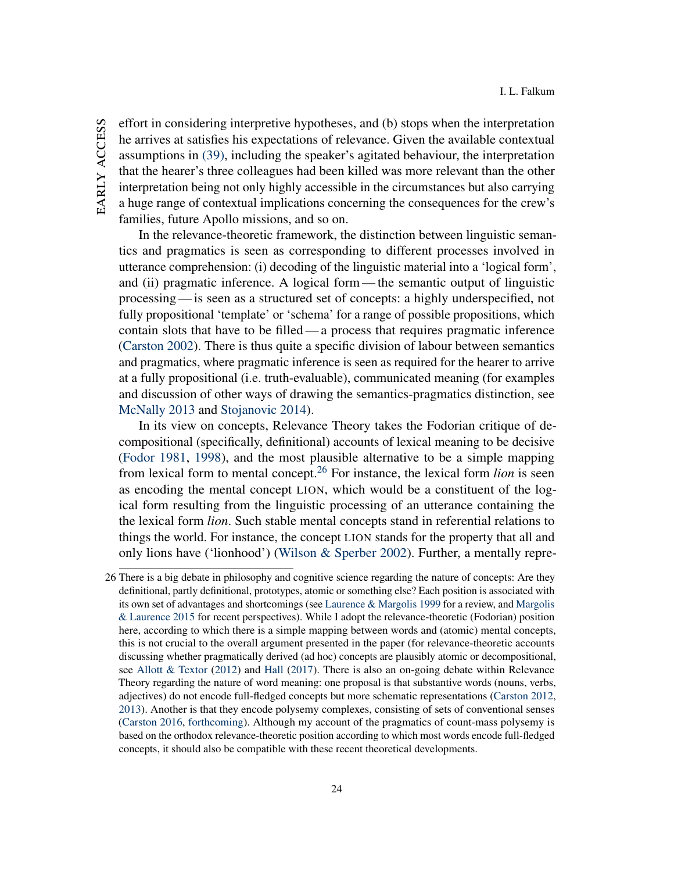EARLY ACCESS early access effort in considering interpretive hypotheses, and (b) stops when the interpretation he arrives at satisfies his expectations of relevance. Given the available contextual assumptions in [\(39\),](#page-23-1) including the speaker's agitated behaviour, the interpretation that the hearer's three colleagues had been killed was more relevant than the other interpretation being not only highly accessible in the circumstances but also carrying a huge range of contextual implications concerning the consequences for the crew's families, future Apollo missions, and so on.

In the relevance-theoretic framework, the distinction between linguistic semantics and pragmatics is seen as corresponding to different processes involved in utterance comprehension: (i) decoding of the linguistic material into a 'logical form', and (ii) pragmatic inference. A logical form— the semantic output of linguistic processing— is seen as a structured set of concepts: a highly underspecified, not fully propositional 'template' or 'schema' for a range of possible propositions, which contain slots that have to be filled— a process that requires pragmatic inference [\(Carston](#page-40-4) [2002\)](#page-40-4). There is thus quite a specific division of labour between semantics and pragmatics, where pragmatic inference is seen as required for the hearer to arrive at a fully propositional (i.e. truth-evaluable), communicated meaning (for examples and discussion of other ways of drawing the semantics-pragmatics distinction, see [McNally](#page-43-12) [2013](#page-43-12) and [Stojanovic](#page-46-13) [2014\)](#page-46-13).

In its view on concepts, Relevance Theory takes the Fodorian critique of decompositional (specifically, definitional) accounts of lexical meaning to be decisive [\(Fodor](#page-42-11) [1981,](#page-42-11) [1998\)](#page-42-12), and the most plausible alternative to be a simple mapping from lexical form to mental concept.[26](#page-24-0) For instance, the lexical form *lion* is seen as encoding the mental concept LION, which would be a constituent of the logical form resulting from the linguistic processing of an utterance containing the the lexical form *lion*. Such stable mental concepts stand in referential relations to things the world. For instance, the concept LION stands for the property that all and only lions have ('lionhood') [\(Wilson & Sperber](#page-47-8) [2002\)](#page-47-8). Further, a mentally repre-

<span id="page-24-0"></span><sup>26</sup> There is a big debate in philosophy and cognitive science regarding the nature of concepts: Are they definitional, partly definitional, prototypes, atomic or something else? Each position is associated with its own set of advantages and shortcomings (see [Laurence & Margolis](#page-43-13) [1999](#page-43-13) for a review, and [Margolis](#page-43-14) [& Laurence](#page-43-14) [2015](#page-43-14) for recent perspectives). While I adopt the relevance-theoretic (Fodorian) position here, according to which there is a simple mapping between words and (atomic) mental concepts, this is not crucial to the overall argument presented in the paper (for relevance-theoretic accounts discussing whether pragmatically derived (ad hoc) concepts are plausibly atomic or decompositional, see [Allott & Textor](#page-39-13) [\(2012\)](#page-39-13) and [Hall](#page-42-13) [\(2017\)](#page-42-13). There is also an on-going debate within Relevance Theory regarding the nature of word meaning: one proposal is that substantive words (nouns, verbs, adjectives) do not encode full-fledged concepts but more schematic representations [\(Carston](#page-41-9) [2012,](#page-41-9) [2013\)](#page-41-10). Another is that they encode polysemy complexes, consisting of sets of conventional senses [\(Carston](#page-41-11) [2016,](#page-41-11) [forthcoming\)](#page-41-12). Although my account of the pragmatics of count-mass polysemy is based on the orthodox relevance-theoretic position according to which most words encode full-fledged concepts, it should also be compatible with these recent theoretical developments.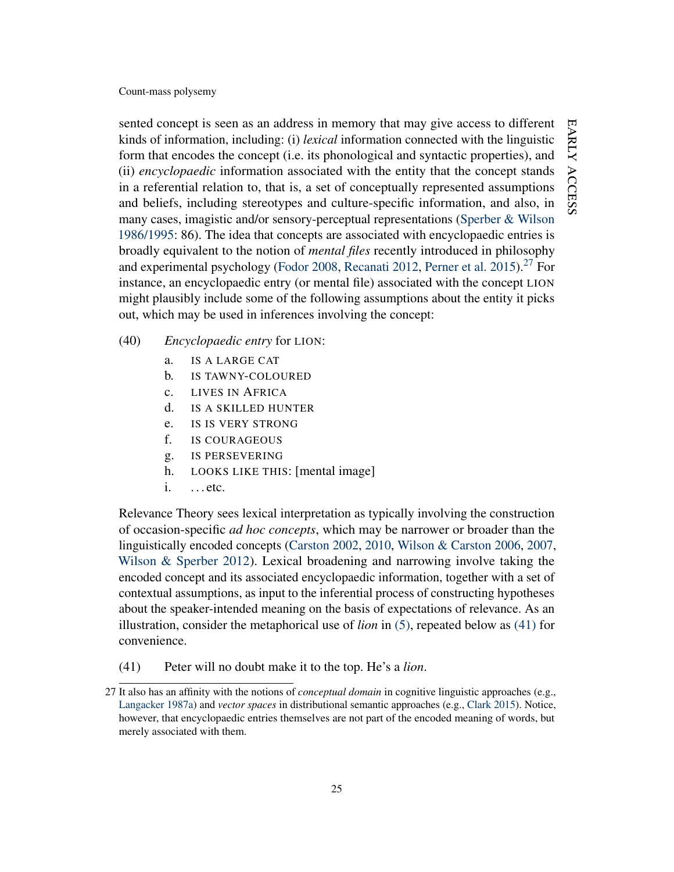sented concept is seen as an address in memory that may give access to different kinds of information, including: (i) *lexical* information connected with the linguistic form that encodes the concept (i.e. its phonological and syntactic properties), and (ii) *encyclopaedic* information associated with the entity that the concept stands in a referential relation to, that is, a set of conceptually represented assumptions and beliefs, including stereotypes and culture-specific information, and also, in many cases, imagistic and/or sensory-perceptual representations [\(Sperber & Wilson](#page-45-11) [1986/1995:](#page-45-11) 86). The idea that concepts are associated with encyclopaedic entries is broadly equivalent to the notion of *mental files* recently introduced in philosophy and experimental psychology [\(Fodor](#page-42-14) [2008,](#page-42-14) [Recanati](#page-45-16) [2012,](#page-45-16) [Perner et al.](#page-44-10) [2015\)](#page-44-10).<sup>[27](#page-25-0)</sup> For instance, an encyclopaedic entry (or mental file) associated with the concept LION might plausibly include some of the following assumptions about the entity it picks out, which may be used in inferences involving the concept:

- (40) *Encyclopaedic entry* for LION:
	- a. IS A LARGE CAT
	- b. IS TAWNY-COLOURED
	- c. LIVES IN AFRICA
	- d. IS A SKILLED HUNTER
	- e. IS IS VERY STRONG
	- f. IS COURAGEOUS
	- g. IS PERSEVERING
	- h. LOOKS LIKE THIS: [mental image]
	- i. . . . etc.

Relevance Theory sees lexical interpretation as typically involving the construction of occasion-specific *ad hoc concepts*, which may be narrower or broader than the linguistically encoded concepts [\(Carston](#page-40-4) [2002,](#page-40-4) [2010,](#page-40-5) [Wilson & Carston](#page-47-0) [2006,](#page-47-0) [2007,](#page-47-1) [Wilson & Sperber](#page-47-3) [2012\)](#page-47-3). Lexical broadening and narrowing involve taking the encoded concept and its associated encyclopaedic information, together with a set of contextual assumptions, as input to the inferential process of constructing hypotheses about the speaker-intended meaning on the basis of expectations of relevance. As an illustration, consider the metaphorical use of *lion* in [\(5\),](#page-2-0) repeated below as [\(41\)](#page-25-1) for convenience.

<span id="page-25-1"></span>(41) Peter will no doubt make it to the top. He's a *lion*.

<span id="page-25-0"></span><sup>27</sup> It also has an affinity with the notions of *conceptual domain* in cognitive linguistic approaches (e.g., [Langacker](#page-43-15) [1987a\)](#page-43-15) and *vector spaces* in distributional semantic approaches (e.g., [Clark](#page-41-3) [2015\)](#page-41-3). Notice, however, that encyclopaedic entries themselves are not part of the encoded meaning of words, but merely associated with them.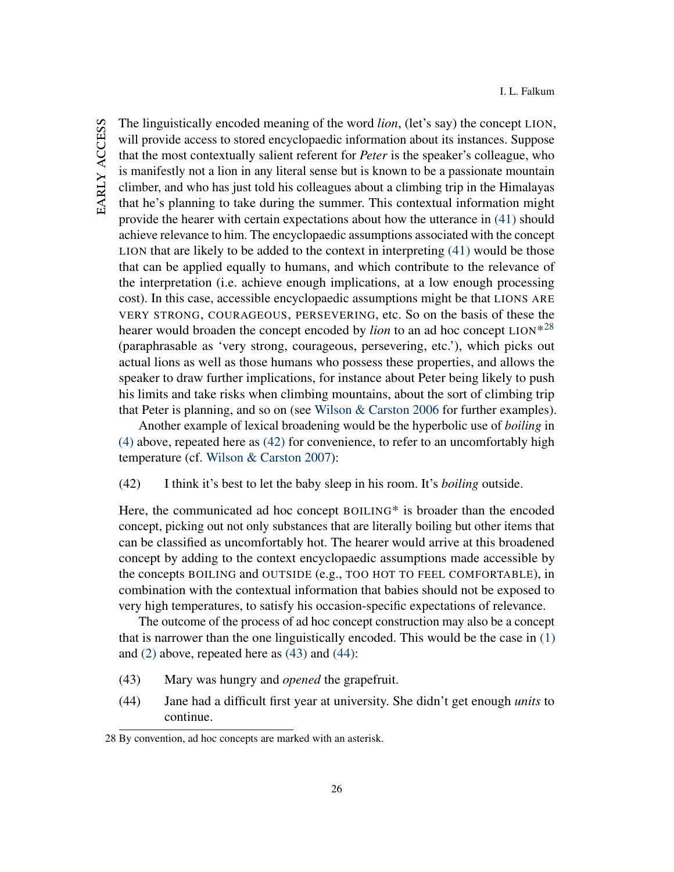The linguistically encoded meaning of the word *lion*, (let's say) the concept LION, will provide access to stored encyclopaedic information about its instances. Suppose that the most contextually salient referent for *Peter* is the speaker's colleague, who is manifestly not a lion in any literal sense but is known to be a passionate mountain climber, and who has just told his colleagues about a climbing trip in the Himalayas that he's planning to take during the summer. This contextual information might provide the hearer with certain expectations about how the utterance in [\(41\)](#page-25-1) should achieve relevance to him. The encyclopaedic assumptions associated with the concept LION that are likely to be added to the context in interpreting [\(41\)](#page-25-1) would be those that can be applied equally to humans, and which contribute to the relevance of the interpretation (i.e. achieve enough implications, at a low enough processing cost). In this case, accessible encyclopaedic assumptions might be that LIONS ARE VERY STRONG, COURAGEOUS, PERSEVERING, etc. So on the basis of these the hearer would broaden the concept encoded by *lion* to an ad hoc concept LION<sup>\*[28](#page-26-0)</sup> (paraphrasable as 'very strong, courageous, persevering, etc.'), which picks out actual lions as well as those humans who possess these properties, and allows the speaker to draw further implications, for instance about Peter being likely to push his limits and take risks when climbing mountains, about the sort of climbing trip that Peter is planning, and so on (see [Wilson & Carston](#page-47-0) [2006](#page-47-0) for further examples).

<span id="page-26-1"></span>Another example of lexical broadening would be the hyperbolic use of *boiling* in [\(4\)](#page-2-3) above, repeated here as [\(42\)](#page-26-1) for convenience, to refer to an uncomfortably high temperature (cf. [Wilson & Carston](#page-47-1) [2007\)](#page-47-1):

(42) I think it's best to let the baby sleep in his room. It's *boiling* outside.

Here, the communicated ad hoc concept BOILING\* is broader than the encoded concept, picking out not only substances that are literally boiling but other items that can be classified as uncomfortably hot. The hearer would arrive at this broadened concept by adding to the context encyclopaedic assumptions made accessible by the concepts BOILING and OUTSIDE (e.g., TOO HOT TO FEEL COMFORTABLE), in combination with the contextual information that babies should not be exposed to very high temperatures, to satisfy his occasion-specific expectations of relevance.

<span id="page-26-2"></span>The outcome of the process of ad hoc concept construction may also be a concept that is narrower than the one linguistically encoded. This would be the case in [\(1\)](#page-1-0) and [\(2\)](#page-1-2) above, repeated here as [\(43\)](#page-26-2) and [\(44\):](#page-26-3)

- <span id="page-26-3"></span>(43) Mary was hungry and *opened* the grapefruit.
- (44) Jane had a difficult first year at university. She didn't get enough *units* to continue.

<span id="page-26-0"></span><sup>28</sup> By convention, ad hoc concepts are marked with an asterisk.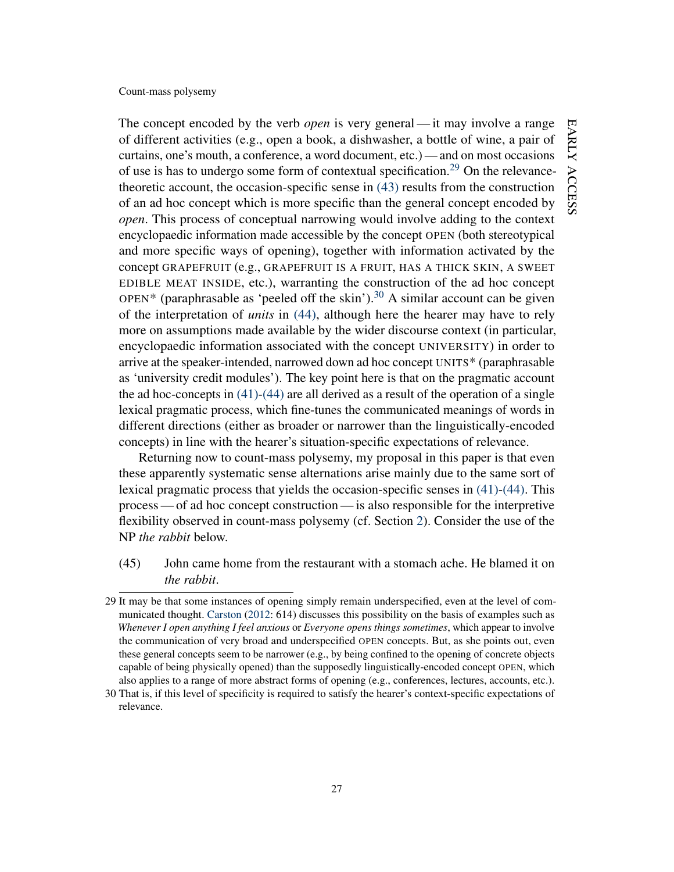The concept encoded by the verb *open* is very general— it may involve a range of different activities (e.g., open a book, a dishwasher, a bottle of wine, a pair of curtains, one's mouth, a conference, a word document, etc.) — and on most occasions of use is has to undergo some form of contextual specification.<sup>[29](#page-27-0)</sup> On the relevancetheoretic account, the occasion-specific sense in [\(43\)](#page-26-2) results from the construction of an ad hoc concept which is more specific than the general concept encoded by *open*. This process of conceptual narrowing would involve adding to the context encyclopaedic information made accessible by the concept OPEN (both stereotypical and more specific ways of opening), together with information activated by the concept GRAPEFRUIT (e.g., GRAPEFRUIT IS A FRUIT, HAS A THICK SKIN, A SWEET EDIBLE MEAT INSIDE, etc.), warranting the construction of the ad hoc concept OPEN<sup>\*</sup> (paraphrasable as 'peeled off the skin').<sup>[30](#page-27-1)</sup> A similar account can be given of the interpretation of *units* in [\(44\),](#page-26-3) although here the hearer may have to rely more on assumptions made available by the wider discourse context (in particular, encyclopaedic information associated with the concept UNIVERSITY) in order to arrive at the speaker-intended, narrowed down ad hoc concept UNITS\* (paraphrasable as 'university credit modules'). The key point here is that on the pragmatic account the ad hoc-concepts in [\(41\)-](#page-25-1)[\(44\)](#page-26-3) are all derived as a result of the operation of a single lexical pragmatic process, which fine-tunes the communicated meanings of words in different directions (either as broader or narrower than the linguistically-encoded concepts) in line with the hearer's situation-specific expectations of relevance.

Returning now to count-mass polysemy, my proposal in this paper is that even these apparently systematic sense alternations arise mainly due to the same sort of lexical pragmatic process that yields the occasion-specific senses in [\(41\)-](#page-25-1)[\(44\).](#page-26-3) This process— of ad hoc concept construction— is also responsible for the interpretive flexibility observed in count-mass polysemy (cf. Section [2\)](#page-6-0). Consider the use of the NP *the rabbit* below.

<span id="page-27-2"></span>(45) John came home from the restaurant with a stomach ache. He blamed it on *the rabbit*.

<span id="page-27-0"></span><sup>29</sup> It may be that some instances of opening simply remain underspecified, even at the level of communicated thought. [Carston](#page-41-9) [\(2012:](#page-41-9) 614) discusses this possibility on the basis of examples such as *Whenever I open anything I feel anxious* or *Everyone opens things sometimes*, which appear to involve the communication of very broad and underspecified OPEN concepts. But, as she points out, even these general concepts seem to be narrower (e.g., by being confined to the opening of concrete objects capable of being physically opened) than the supposedly linguistically-encoded concept OPEN, which also applies to a range of more abstract forms of opening (e.g., conferences, lectures, accounts, etc.).

<span id="page-27-1"></span><sup>30</sup> That is, if this level of specificity is required to satisfy the hearer's context-specific expectations of relevance.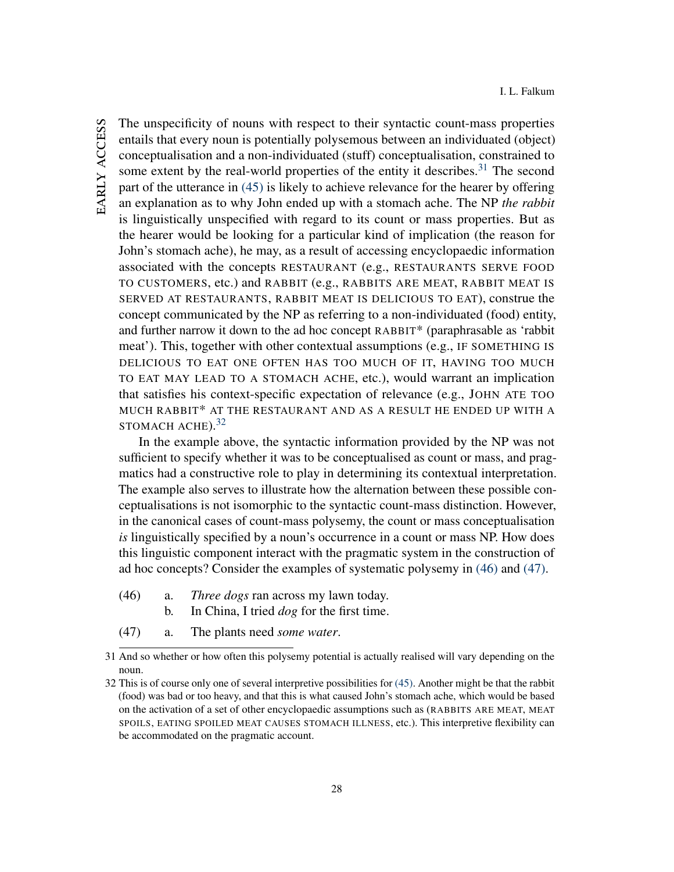The unspecificity of nouns with respect to their syntactic count-mass properties entails that every noun is potentially polysemous between an individuated (object) conceptualisation and a non-individuated (stuff) conceptualisation, constrained to some extent by the real-world properties of the entity it describes.<sup>[31](#page-28-0)</sup> The second part of the utterance in [\(45\)](#page-27-2) is likely to achieve relevance for the hearer by offering an explanation as to why John ended up with a stomach ache. The NP *the rabbit* is linguistically unspecified with regard to its count or mass properties. But as the hearer would be looking for a particular kind of implication (the reason for John's stomach ache), he may, as a result of accessing encyclopaedic information associated with the concepts RESTAURANT (e.g., RESTAURANTS SERVE FOOD TO CUSTOMERS, etc.) and RABBIT (e.g., RABBITS ARE MEAT, RABBIT MEAT IS SERVED AT RESTAURANTS, RABBIT MEAT IS DELICIOUS TO EAT), construe the concept communicated by the NP as referring to a non-individuated (food) entity, and further narrow it down to the ad hoc concept RABBIT\* (paraphrasable as 'rabbit meat'). This, together with other contextual assumptions (e.g., IF SOMETHING IS DELICIOUS TO EAT ONE OFTEN HAS TOO MUCH OF IT, HAVING TOO MUCH TO EAT MAY LEAD TO A STOMACH ACHE, etc.), would warrant an implication that satisfies his context-specific expectation of relevance (e.g., JOHN ATE TOO MUCH RABBIT\* AT THE RESTAURANT AND AS A RESULT HE ENDED UP WITH A STOMACH ACHE).<sup>[32](#page-28-1)</sup>

In the example above, the syntactic information provided by the NP was not sufficient to specify whether it was to be conceptualised as count or mass, and pragmatics had a constructive role to play in determining its contextual interpretation. The example also serves to illustrate how the alternation between these possible conceptualisations is not isomorphic to the syntactic count-mass distinction. However, in the canonical cases of count-mass polysemy, the count or mass conceptualisation *is* linguistically specified by a noun's occurrence in a count or mass NP. How does this linguistic component interact with the pragmatic system in the construction of ad hoc concepts? Consider the examples of systematic polysemy in [\(46\)](#page-28-2) and [\(47\).](#page-28-3)

- <span id="page-28-6"></span><span id="page-28-4"></span><span id="page-28-2"></span>(46) a. *Three dogs* ran across my lawn today.
	- b. In China, I tried *dog* for the first time.
- <span id="page-28-7"></span><span id="page-28-5"></span><span id="page-28-3"></span>(47) a. The plants need *some water*.

<span id="page-28-0"></span><sup>31</sup> And so whether or how often this polysemy potential is actually realised will vary depending on the noun.

<span id="page-28-1"></span><sup>32</sup> This is of course only one of several interpretive possibilities for [\(45\).](#page-27-2) Another might be that the rabbit (food) was bad or too heavy, and that this is what caused John's stomach ache, which would be based on the activation of a set of other encyclopaedic assumptions such as (RABBITS ARE MEAT, MEAT SPOILS, EATING SPOILED MEAT CAUSES STOMACH ILLNESS, etc.). This interpretive flexibility can be accommodated on the pragmatic account.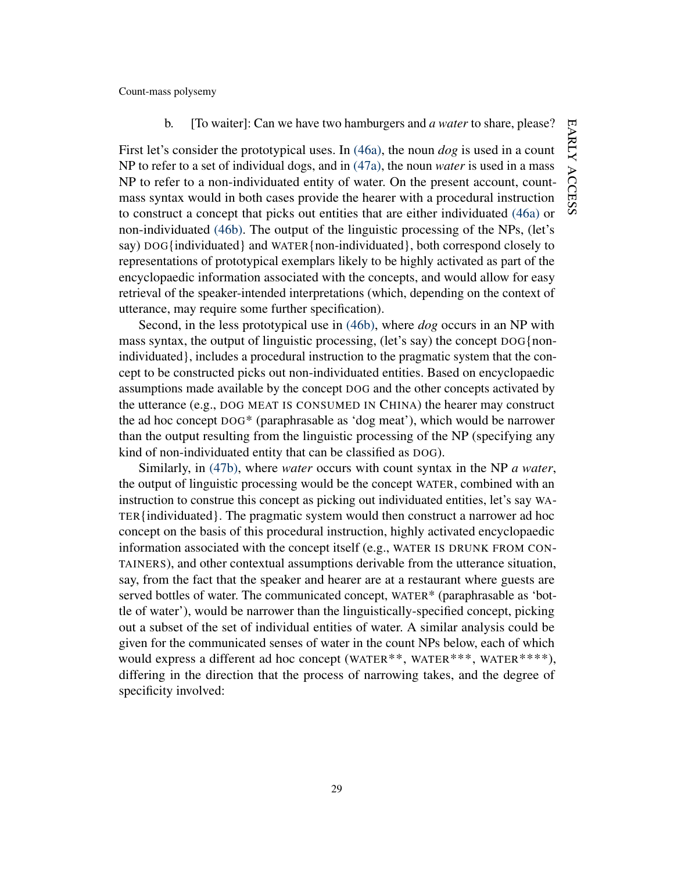### b. [To waiter]: Can we have two hamburgers and *a water* to share, please?

First let's consider the prototypical uses. In [\(46a\),](#page-28-4) the noun *dog* is used in a count NP to refer to a set of individual dogs, and in [\(47a\),](#page-28-5) the noun *water* is used in a mass NP to refer to a non-individuated entity of water. On the present account, countmass syntax would in both cases provide the hearer with a procedural instruction to construct a concept that picks out entities that are either individuated [\(46a\)](#page-28-4) or non-individuated [\(46b\).](#page-28-6) The output of the linguistic processing of the NPs, (let's say) DOG{individuated} and WATER{non-individuated}, both correspond closely to representations of prototypical exemplars likely to be highly activated as part of the encyclopaedic information associated with the concepts, and would allow for easy retrieval of the speaker-intended interpretations (which, depending on the context of utterance, may require some further specification).

Second, in the less prototypical use in [\(46b\),](#page-28-6) where *dog* occurs in an NP with mass syntax, the output of linguistic processing, (let's say) the concept DOG{nonindividuated}, includes a procedural instruction to the pragmatic system that the concept to be constructed picks out non-individuated entities. Based on encyclopaedic assumptions made available by the concept DOG and the other concepts activated by the utterance (e.g., DOG MEAT IS CONSUMED IN CHINA) the hearer may construct the ad hoc concept DOG\* (paraphrasable as 'dog meat'), which would be narrower than the output resulting from the linguistic processing of the NP (specifying any kind of non-individuated entity that can be classified as DOG).

Similarly, in [\(47b\),](#page-28-7) where *water* occurs with count syntax in the NP *a water*, the output of linguistic processing would be the concept WATER, combined with an instruction to construe this concept as picking out individuated entities, let's say WA-TER{individuated}. The pragmatic system would then construct a narrower ad hoc concept on the basis of this procedural instruction, highly activated encyclopaedic information associated with the concept itself (e.g., WATER IS DRUNK FROM CON-TAINERS), and other contextual assumptions derivable from the utterance situation, say, from the fact that the speaker and hearer are at a restaurant where guests are served bottles of water. The communicated concept, WATER\* (paraphrasable as 'bottle of water'), would be narrower than the linguistically-specified concept, picking out a subset of the set of individual entities of water. A similar analysis could be given for the communicated senses of water in the count NPs below, each of which would express a different ad hoc concept (WATER<sup>\*\*</sup>, WATER<sup>\*\*\*</sup>, WATER<sup>\*\*\*\*</sup>), differing in the direction that the process of narrowing takes, and the degree of specificity involved: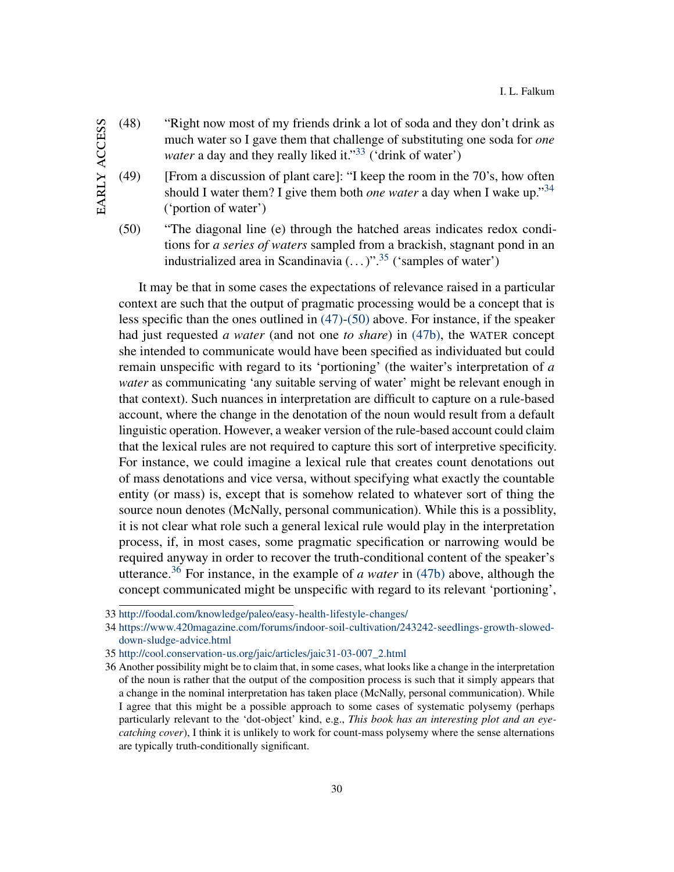- (48) "Right now most of my friends drink a lot of soda and they don't drink as much water so I gave them that challenge of substituting one soda for *one water* a day and they really liked it."<sup>[33](#page-30-0)</sup> ('drink of water')
- EARLY ACCESS early access

(49) [From a discussion of plant care]: "I keep the room in the  $70$ 's, how often should I water them? I give them both *one water* a day when I wake up."[34](#page-30-1) ('portion of water')

<span id="page-30-3"></span>(50) "The diagonal line (e) through the hatched areas indicates redox conditions for *a series of waters* sampled from a brackish, stagnant pond in an industrialized area in Scandinavia  $(\ldots)^{35}$  $(\ldots)^{35}$  $(\ldots)^{35}$  ('samples of water')

It may be that in some cases the expectations of relevance raised in a particular context are such that the output of pragmatic processing would be a concept that is less specific than the ones outlined in [\(47\)-](#page-28-3)[\(50\)](#page-30-3) above. For instance, if the speaker had just requested *a water* (and not one *to share*) in [\(47b\),](#page-28-7) the WATER concept she intended to communicate would have been specified as individuated but could remain unspecific with regard to its 'portioning' (the waiter's interpretation of *a water* as communicating 'any suitable serving of water' might be relevant enough in that context). Such nuances in interpretation are difficult to capture on a rule-based account, where the change in the denotation of the noun would result from a default linguistic operation. However, a weaker version of the rule-based account could claim that the lexical rules are not required to capture this sort of interpretive specificity. For instance, we could imagine a lexical rule that creates count denotations out of mass denotations and vice versa, without specifying what exactly the countable entity (or mass) is, except that is somehow related to whatever sort of thing the source noun denotes (McNally, personal communication). While this is a possiblity, it is not clear what role such a general lexical rule would play in the interpretation process, if, in most cases, some pragmatic specification or narrowing would be required anyway in order to recover the truth-conditional content of the speaker's utterance.[36](#page-30-4) For instance, in the example of *a water* in [\(47b\)](#page-28-7) above, although the concept communicated might be unspecific with regard to its relevant 'portioning',

<span id="page-30-0"></span><sup>33</sup> <http://foodal.com/knowledge/paleo/easy-health-lifestyle-changes/>

<span id="page-30-1"></span><sup>34</sup> [https://www.420magazine.com/forums/indoor-soil-cultivation/243242-seedlings-growth-slowed](https://www.420magazine.com/forums/indoor-soil-cultivation/243242-seedlings-growth-slowed-down-sludge-advice.html)[down-sludge-advice.html](https://www.420magazine.com/forums/indoor-soil-cultivation/243242-seedlings-growth-slowed-down-sludge-advice.html)

<span id="page-30-2"></span><sup>35</sup> [http://cool.conservation-us.org/jaic/articles/jaic31-03-007\\_2.html](http://cool.conservation-us.org/jaic/articles/jaic31-03-007_2.html)

<span id="page-30-4"></span><sup>36</sup> Another possibility might be to claim that, in some cases, what looks like a change in the interpretation of the noun is rather that the output of the composition process is such that it simply appears that a change in the nominal interpretation has taken place (McNally, personal communication). While I agree that this might be a possible approach to some cases of systematic polysemy (perhaps particularly relevant to the 'dot-object' kind, e.g., *This book has an interesting plot and an eyecatching cover*), I think it is unlikely to work for count-mass polysemy where the sense alternations are typically truth-conditionally significant.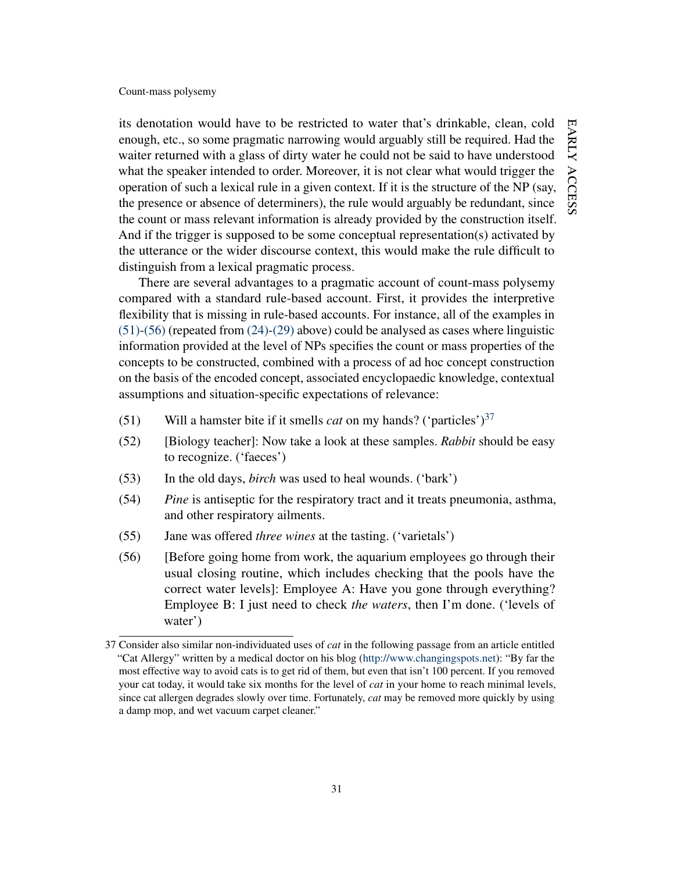its denotation would have to be restricted to water that's drinkable, clean, cold enough, etc., so some pragmatic narrowing would arguably still be required. Had the waiter returned with a glass of dirty water he could not be said to have understood what the speaker intended to order. Moreover, it is not clear what would trigger the operation of such a lexical rule in a given context. If it is the structure of the NP (say, the presence or absence of determiners), the rule would arguably be redundant, since the count or mass relevant information is already provided by the construction itself. And if the trigger is supposed to be some conceptual representation(s) activated by the utterance or the wider discourse context, this would make the rule difficult to distinguish from a lexical pragmatic process.

There are several advantages to a pragmatic account of count-mass polysemy compared with a standard rule-based account. First, it provides the interpretive flexibility that is missing in rule-based accounts. For instance, all of the examples in [\(51\)](#page-31-0)[-\(56\)](#page-31-1) (repeated from [\(24\)-](#page-9-0)[\(29\)](#page-9-1) above) could be analysed as cases where linguistic information provided at the level of NPs specifies the count or mass properties of the concepts to be constructed, combined with a process of ad hoc concept construction on the basis of the encoded concept, associated encyclopaedic knowledge, contextual assumptions and situation-specific expectations of relevance:

- <span id="page-31-0"></span>(51) Will a hamster bite if it smells *cat* on my hands? ('particles')[37](#page-31-2)
- (52) [Biology teacher]: Now take a look at these samples. *Rabbit* should be easy to recognize. ('faeces')
- (53) In the old days, *birch* was used to heal wounds. ('bark')
- (54) *Pine* is antiseptic for the respiratory tract and it treats pneumonia, asthma, and other respiratory ailments.
- <span id="page-31-1"></span>(55) Jane was offered *three wines* at the tasting. ('varietals')
- (56) [Before going home from work, the aquarium employees go through their usual closing routine, which includes checking that the pools have the correct water levels]: Employee A: Have you gone through everything? Employee B: I just need to check *the waters*, then I'm done. ('levels of water')

<span id="page-31-2"></span><sup>37</sup> Consider also similar non-individuated uses of *cat* in the following passage from an article entitled "Cat Allergy" written by a medical doctor on his blog [\(http://www.changingspots.net\)](http://www.changingspots.net): "By far the most effective way to avoid cats is to get rid of them, but even that isn't 100 percent. If you removed your cat today, it would take six months for the level of *cat* in your home to reach minimal levels, since cat allergen degrades slowly over time. Fortunately, *cat* may be removed more quickly by using a damp mop, and wet vacuum carpet cleaner."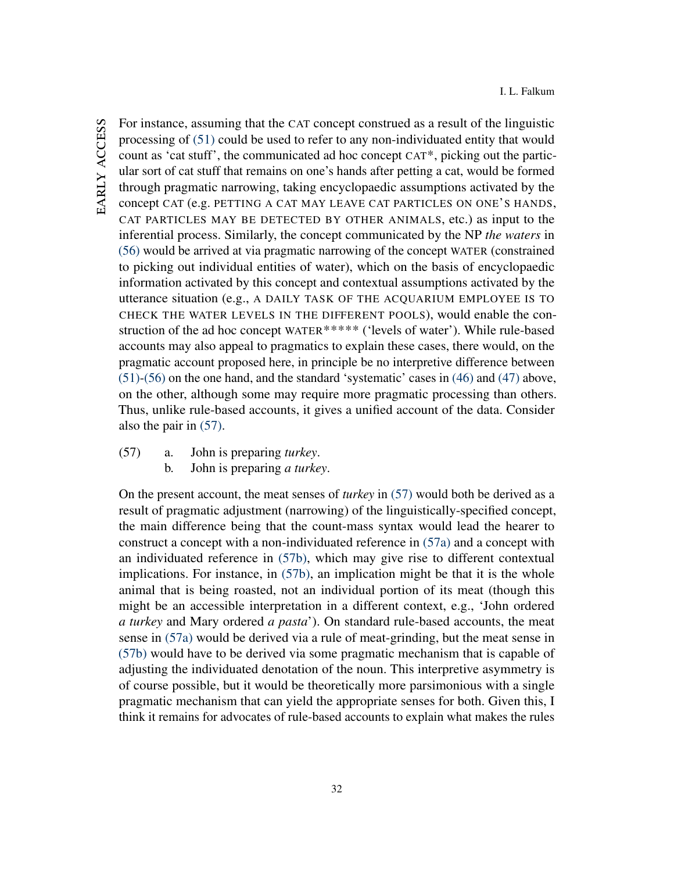For instance, assuming that the CAT concept construed as a result of the linguistic processing of [\(51\)](#page-31-0) could be used to refer to any non-individuated entity that would count as 'cat stuff', the communicated ad hoc concept CAT\*, picking out the particular sort of cat stuff that remains on one's hands after petting a cat, would be formed through pragmatic narrowing, taking encyclopaedic assumptions activated by the concept CAT (e.g. PETTING A CAT MAY LEAVE CAT PARTICLES ON ONE'S HANDS, CAT PARTICLES MAY BE DETECTED BY OTHER ANIMALS, etc.) as input to the inferential process. Similarly, the concept communicated by the NP *the waters* in [\(56\)](#page-31-1) would be arrived at via pragmatic narrowing of the concept WATER (constrained to picking out individual entities of water), which on the basis of encyclopaedic information activated by this concept and contextual assumptions activated by the utterance situation (e.g., A DAILY TASK OF THE ACQUARIUM EMPLOYEE IS TO CHECK THE WATER LEVELS IN THE DIFFERENT POOLS), would enable the construction of the ad hoc concept WATER\*\*\*\*\* ('levels of water'). While rule-based accounts may also appeal to pragmatics to explain these cases, there would, on the pragmatic account proposed here, in principle be no interpretive difference between [\(51\)](#page-31-0)[-\(56\)](#page-31-1) on the one hand, and the standard 'systematic' cases in [\(46\)](#page-28-2) and [\(47\)](#page-28-3) above, on the other, although some may require more pragmatic processing than others. Thus, unlike rule-based accounts, it gives a unified account of the data. Consider also the pair in [\(57\).](#page-32-0)

- <span id="page-32-2"></span><span id="page-32-1"></span><span id="page-32-0"></span>(57) a. John is preparing *turkey*.
	- b. John is preparing *a turkey*.

On the present account, the meat senses of *turkey* in [\(57\)](#page-32-0) would both be derived as a result of pragmatic adjustment (narrowing) of the linguistically-specified concept, the main difference being that the count-mass syntax would lead the hearer to construct a concept with a non-individuated reference in [\(57a\)](#page-32-1) and a concept with an individuated reference in [\(57b\),](#page-32-2) which may give rise to different contextual implications. For instance, in [\(57b\),](#page-32-2) an implication might be that it is the whole animal that is being roasted, not an individual portion of its meat (though this might be an accessible interpretation in a different context, e.g., 'John ordered *a turkey* and Mary ordered *a pasta*'). On standard rule-based accounts, the meat sense in [\(57a\)](#page-32-1) would be derived via a rule of meat-grinding, but the meat sense in [\(57b\)](#page-32-2) would have to be derived via some pragmatic mechanism that is capable of adjusting the individuated denotation of the noun. This interpretive asymmetry is of course possible, but it would be theoretically more parsimonious with a single pragmatic mechanism that can yield the appropriate senses for both. Given this, I think it remains for advocates of rule-based accounts to explain what makes the rules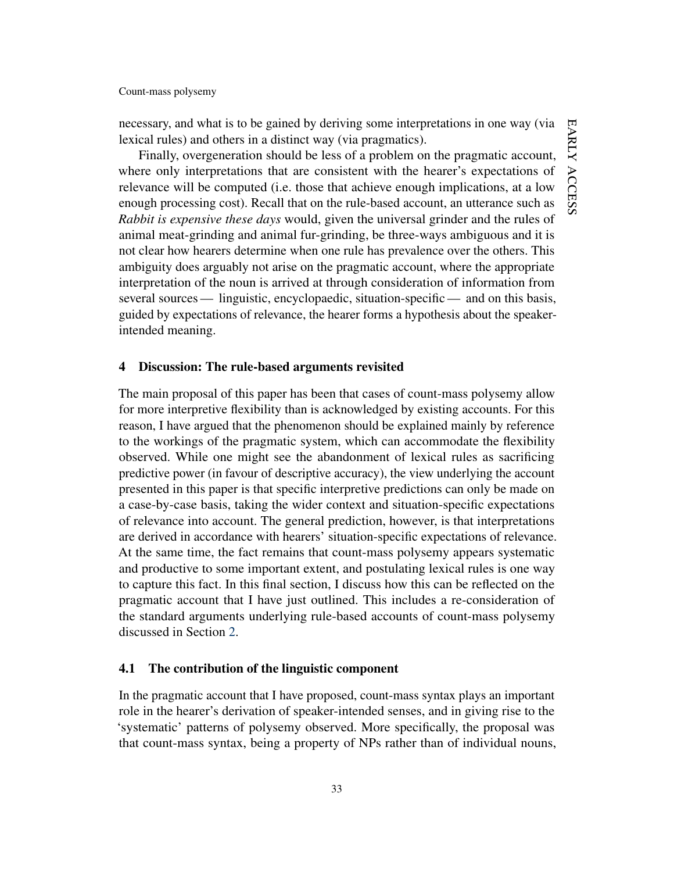necessary, and what is to be gained by deriving some interpretations in one way (via lexical rules) and others in a distinct way (via pragmatics).

Finally, overgeneration should be less of a problem on the pragmatic account, where only interpretations that are consistent with the hearer's expectations of relevance will be computed (i.e. those that achieve enough implications, at a low enough processing cost). Recall that on the rule-based account, an utterance such as *Rabbit is expensive these days* would, given the universal grinder and the rules of animal meat-grinding and animal fur-grinding, be three-ways ambiguous and it is not clear how hearers determine when one rule has prevalence over the others. This ambiguity does arguably not arise on the pragmatic account, where the appropriate interpretation of the noun is arrived at through consideration of information from several sources — linguistic, encyclopaedic, situation-specific — and on this basis, guided by expectations of relevance, the hearer forms a hypothesis about the speakerintended meaning.

### <span id="page-33-0"></span>4 Discussion: The rule-based arguments revisited

The main proposal of this paper has been that cases of count-mass polysemy allow for more interpretive flexibility than is acknowledged by existing accounts. For this reason, I have argued that the phenomenon should be explained mainly by reference to the workings of the pragmatic system, which can accommodate the flexibility observed. While one might see the abandonment of lexical rules as sacrificing predictive power (in favour of descriptive accuracy), the view underlying the account presented in this paper is that specific interpretive predictions can only be made on a case-by-case basis, taking the wider context and situation-specific expectations of relevance into account. The general prediction, however, is that interpretations are derived in accordance with hearers' situation-specific expectations of relevance. At the same time, the fact remains that count-mass polysemy appears systematic and productive to some important extent, and postulating lexical rules is one way to capture this fact. In this final section, I discuss how this can be reflected on the pragmatic account that I have just outlined. This includes a re-consideration of the standard arguments underlying rule-based accounts of count-mass polysemy discussed in Section [2.](#page-6-0)

### 4.1 The contribution of the linguistic component

In the pragmatic account that I have proposed, count-mass syntax plays an important role in the hearer's derivation of speaker-intended senses, and in giving rise to the 'systematic' patterns of polysemy observed. More specifically, the proposal was that count-mass syntax, being a property of NPs rather than of individual nouns,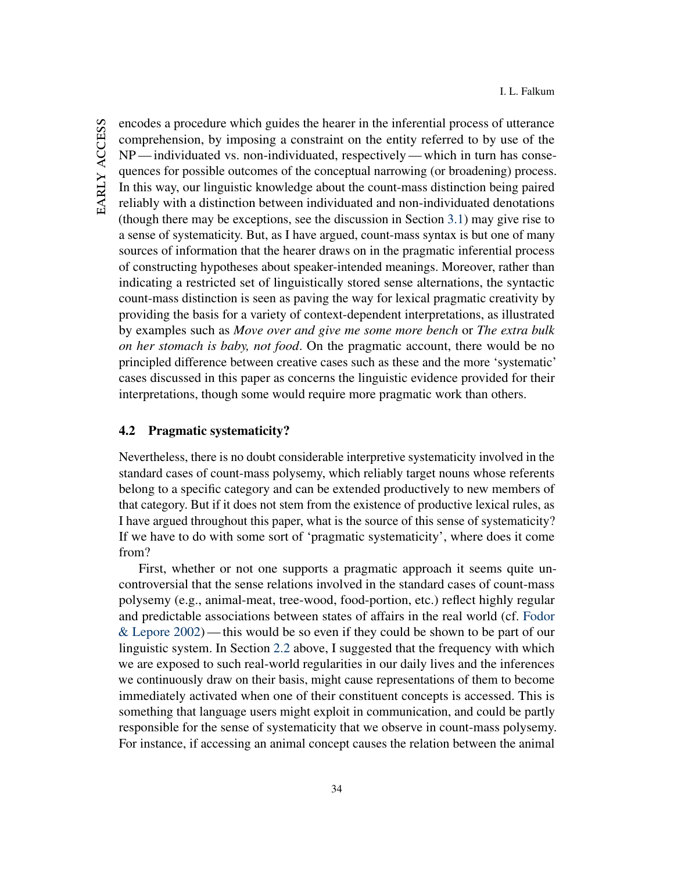encodes a procedure which guides the hearer in the inferential process of utterance comprehension, by imposing a constraint on the entity referred to by use of the NP— individuated vs. non-individuated, respectively— which in turn has consequences for possible outcomes of the conceptual narrowing (or broadening) process. In this way, our linguistic knowledge about the count-mass distinction being paired reliably with a distinction between individuated and non-individuated denotations (though there may be exceptions, see the discussion in Section [3.1\)](#page-18-1) may give rise to a sense of systematicity. But, as I have argued, count-mass syntax is but one of many sources of information that the hearer draws on in the pragmatic inferential process of constructing hypotheses about speaker-intended meanings. Moreover, rather than indicating a restricted set of linguistically stored sense alternations, the syntactic count-mass distinction is seen as paving the way for lexical pragmatic creativity by providing the basis for a variety of context-dependent interpretations, as illustrated by examples such as *Move over and give me some more bench* or *The extra bulk on her stomach is baby, not food*. On the pragmatic account, there would be no principled difference between creative cases such as these and the more 'systematic' cases discussed in this paper as concerns the linguistic evidence provided for their interpretations, though some would require more pragmatic work than others.

# 4.2 Pragmatic systematicity?

Nevertheless, there is no doubt considerable interpretive systematicity involved in the standard cases of count-mass polysemy, which reliably target nouns whose referents belong to a specific category and can be extended productively to new members of that category. But if it does not stem from the existence of productive lexical rules, as I have argued throughout this paper, what is the source of this sense of systematicity? If we have to do with some sort of 'pragmatic systematicity', where does it come from?

First, whether or not one supports a pragmatic approach it seems quite uncontroversial that the sense relations involved in the standard cases of count-mass polysemy (e.g., animal-meat, tree-wood, food-portion, etc.) reflect highly regular and predictable associations between states of affairs in the real world (cf. [Fodor](#page-42-8) [& Lepore](#page-42-8) [2002\)](#page-42-8)— this would be so even if they could be shown to be part of our linguistic system. In Section [2.2](#page-11-1) above, I suggested that the frequency with which we are exposed to such real-world regularities in our daily lives and the inferences we continuously draw on their basis, might cause representations of them to become immediately activated when one of their constituent concepts is accessed. This is something that language users might exploit in communication, and could be partly responsible for the sense of systematicity that we observe in count-mass polysemy. For instance, if accessing an animal concept causes the relation between the animal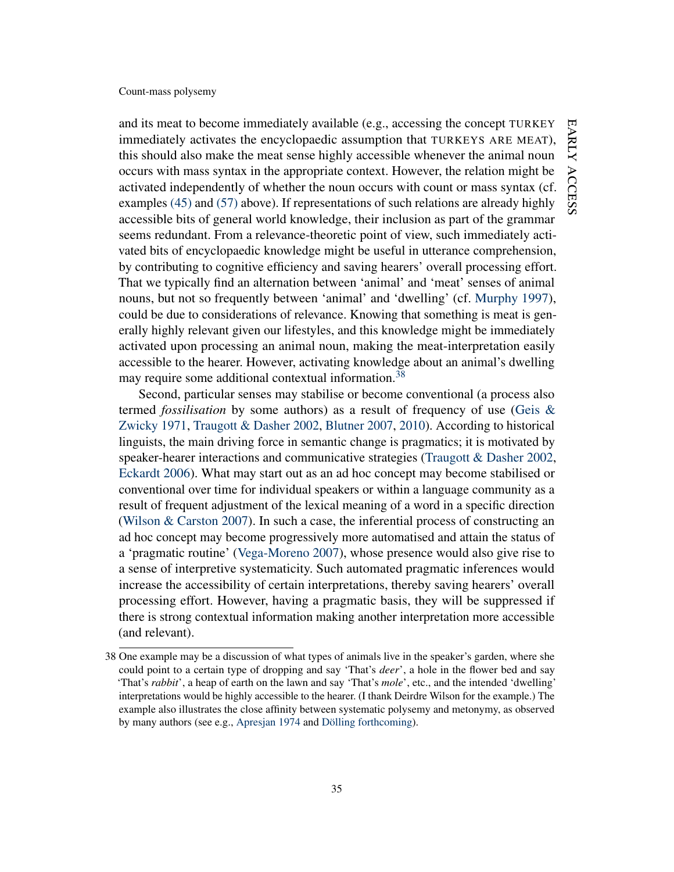and its meat to become immediately available (e.g., accessing the concept TURKEY immediately activates the encyclopaedic assumption that TURKEYS ARE MEAT), this should also make the meat sense highly accessible whenever the animal noun occurs with mass syntax in the appropriate context. However, the relation might be activated independently of whether the noun occurs with count or mass syntax (cf. examples [\(45\)](#page-27-2) and [\(57\)](#page-32-0) above). If representations of such relations are already highly accessible bits of general world knowledge, their inclusion as part of the grammar seems redundant. From a relevance-theoretic point of view, such immediately activated bits of encyclopaedic knowledge might be useful in utterance comprehension, by contributing to cognitive efficiency and saving hearers' overall processing effort. That we typically find an alternation between 'animal' and 'meat' senses of animal nouns, but not so frequently between 'animal' and 'dwelling' (cf. [Murphy](#page-44-2) [1997\)](#page-44-2), could be due to considerations of relevance. Knowing that something is meat is generally highly relevant given our lifestyles, and this knowledge might be immediately activated upon processing an animal noun, making the meat-interpretation easily accessible to the hearer. However, activating knowledge about an animal's dwelling may require some additional contextual information.<sup>[38](#page-35-0)</sup>

Second, particular senses may stabilise or become conventional (a process also termed *fossilisation* by some authors) as a result of frequency of use [\(Geis &](#page-42-15) [Zwicky](#page-42-15) [1971,](#page-42-15) [Traugott & Dasher](#page-46-7) [2002,](#page-46-7) [Blutner](#page-39-14) [2007,](#page-39-14) [2010\)](#page-40-12). According to historical linguists, the main driving force in semantic change is pragmatics; it is motivated by speaker-hearer interactions and communicative strategies [\(Traugott & Dasher](#page-46-7) [2002,](#page-46-7) [Eckardt](#page-41-13) [2006\)](#page-41-13). What may start out as an ad hoc concept may become stabilised or conventional over time for individual speakers or within a language community as a result of frequent adjustment of the lexical meaning of a word in a specific direction [\(Wilson & Carston](#page-47-1) [2007\)](#page-47-1). In such a case, the inferential process of constructing an ad hoc concept may become progressively more automatised and attain the status of a 'pragmatic routine' [\(Vega-Moreno](#page-46-14) [2007\)](#page-46-14), whose presence would also give rise to a sense of interpretive systematicity. Such automated pragmatic inferences would increase the accessibility of certain interpretations, thereby saving hearers' overall processing effort. However, having a pragmatic basis, they will be suppressed if there is strong contextual information making another interpretation more accessible (and relevant).

<span id="page-35-0"></span><sup>38</sup> One example may be a discussion of what types of animals live in the speaker's garden, where she could point to a certain type of dropping and say 'That's *deer*', a hole in the flower bed and say 'That's *rabbit*', a heap of earth on the lawn and say 'That's *mole*', etc., and the intended 'dwelling' interpretations would be highly accessible to the hearer. (I thank Deirdre Wilson for the example.) The example also illustrates the close affinity between systematic polysemy and metonymy, as observed by many authors (see e.g., [Apresjan](#page-39-15) [1974](#page-39-15) and [Dölling](#page-41-2) [forthcoming\)](#page-41-2).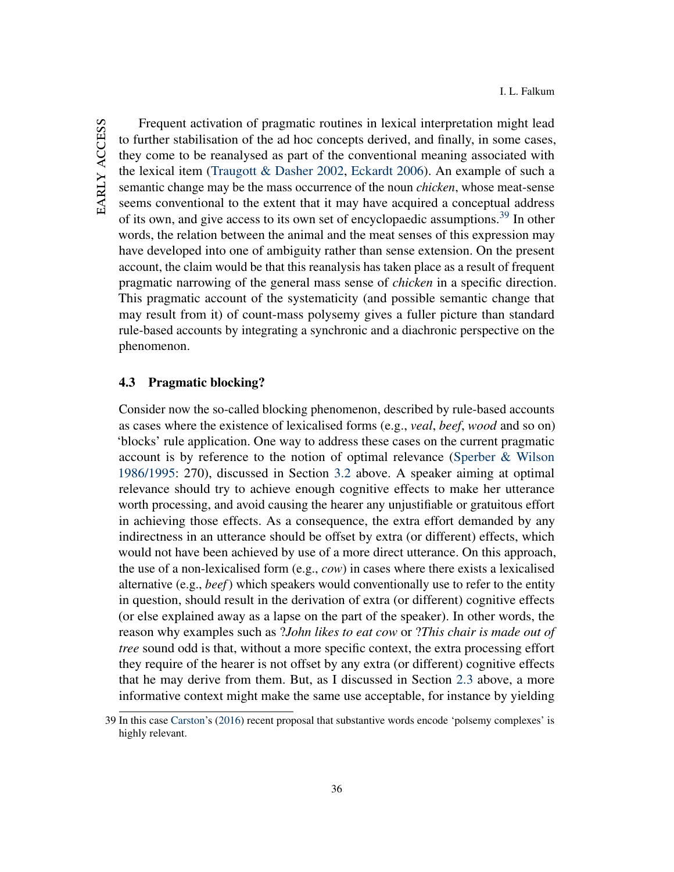Frequent activation of pragmatic routines in lexical interpretation might lead to further stabilisation of the ad hoc concepts derived, and finally, in some cases, they come to be reanalysed as part of the conventional meaning associated with the lexical item [\(Traugott & Dasher](#page-46-7) [2002,](#page-46-7) [Eckardt](#page-41-13) [2006\)](#page-41-13). An example of such a semantic change may be the mass occurrence of the noun *chicken*, whose meat-sense seems conventional to the extent that it may have acquired a conceptual address of its own, and give access to its own set of encyclopaedic assumptions.<sup>[39](#page-36-0)</sup> In other words, the relation between the animal and the meat senses of this expression may have developed into one of ambiguity rather than sense extension. On the present account, the claim would be that this reanalysis has taken place as a result of frequent pragmatic narrowing of the general mass sense of *chicken* in a specific direction. This pragmatic account of the systematicity (and possible semantic change that may result from it) of count-mass polysemy gives a fuller picture than standard rule-based accounts by integrating a synchronic and a diachronic perspective on the phenomenon.

# 4.3 Pragmatic blocking?

Consider now the so-called blocking phenomenon, described by rule-based accounts as cases where the existence of lexicalised forms (e.g., *veal*, *beef*, *wood* and so on) 'blocks' rule application. One way to address these cases on the current pragmatic account is by reference to the notion of optimal relevance [\(Sperber & Wilson](#page-45-11) [1986/1995:](#page-45-11) 270), discussed in Section [3.2](#page-22-0) above. A speaker aiming at optimal relevance should try to achieve enough cognitive effects to make her utterance worth processing, and avoid causing the hearer any unjustifiable or gratuitous effort in achieving those effects. As a consequence, the extra effort demanded by any indirectness in an utterance should be offset by extra (or different) effects, which would not have been achieved by use of a more direct utterance. On this approach, the use of a non-lexicalised form (e.g., *cow*) in cases where there exists a lexicalised alternative (e.g., *beef*) which speakers would conventionally use to refer to the entity in question, should result in the derivation of extra (or different) cognitive effects (or else explained away as a lapse on the part of the speaker). In other words, the reason why examples such as ?*John likes to eat cow* or ?*This chair is made out of tree* sound odd is that, without a more specific context, the extra processing effort they require of the hearer is not offset by any extra (or different) cognitive effects that he may derive from them. But, as I discussed in Section [2.3](#page-13-3) above, a more informative context might make the same use acceptable, for instance by yielding

<span id="page-36-0"></span><sup>39</sup> In this case [Carston'](#page-41-11)s [\(2016\)](#page-41-11) recent proposal that substantive words encode 'polsemy complexes' is highly relevant.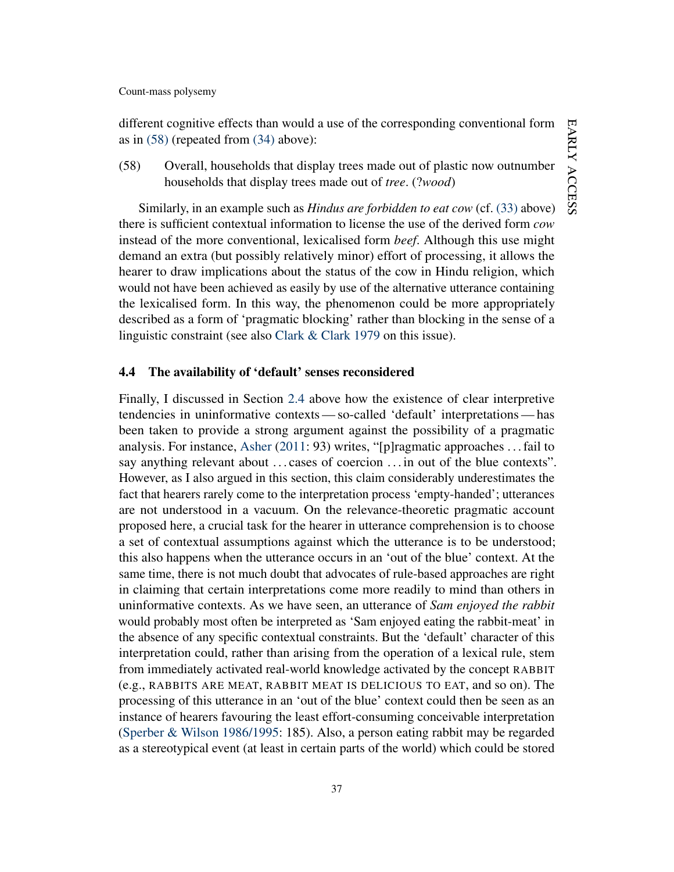different cognitive effects than would a use of the corresponding conventional form as in [\(58\)](#page-37-0) (repeated from [\(34\)](#page-13-1) above):

<span id="page-37-0"></span>(58) Overall, households that display trees made out of plastic now outnumber households that display trees made out of *tree*. (?*wood*)

Similarly, in an example such as *Hindus are forbidden to eat cow* (cf. [\(33\)](#page-13-0) above) there is sufficient contextual information to license the use of the derived form *cow* instead of the more conventional, lexicalised form *beef*. Although this use might demand an extra (but possibly relatively minor) effort of processing, it allows the hearer to draw implications about the status of the cow in Hindu religion, which would not have been achieved as easily by use of the alternative utterance containing the lexicalised form. In this way, the phenomenon could be more appropriately described as a form of 'pragmatic blocking' rather than blocking in the sense of a linguistic constraint (see also [Clark & Clark](#page-41-7) [1979](#page-41-7) on this issue).

### 4.4 The availability of 'default' senses reconsidered

Finally, I discussed in Section [2.4](#page-14-2) above how the existence of clear interpretive tendencies in uninformative contexts— so-called 'default' interpretations— has been taken to provide a strong argument against the possibility of a pragmatic analysis. For instance, [Asher](#page-39-2) [\(2011:](#page-39-2) 93) writes, "[p]ragmatic approaches . . . fail to say anything relevant about ... cases of coercion ... in out of the blue contexts". However, as I also argued in this section, this claim considerably underestimates the fact that hearers rarely come to the interpretation process 'empty-handed'; utterances are not understood in a vacuum. On the relevance-theoretic pragmatic account proposed here, a crucial task for the hearer in utterance comprehension is to choose a set of contextual assumptions against which the utterance is to be understood; this also happens when the utterance occurs in an 'out of the blue' context. At the same time, there is not much doubt that advocates of rule-based approaches are right in claiming that certain interpretations come more readily to mind than others in uninformative contexts. As we have seen, an utterance of *Sam enjoyed the rabbit* would probably most often be interpreted as 'Sam enjoyed eating the rabbit-meat' in the absence of any specific contextual constraints. But the 'default' character of this interpretation could, rather than arising from the operation of a lexical rule, stem from immediately activated real-world knowledge activated by the concept RABBIT (e.g., RABBITS ARE MEAT, RABBIT MEAT IS DELICIOUS TO EAT, and so on). The processing of this utterance in an 'out of the blue' context could then be seen as an instance of hearers favouring the least effort-consuming conceivable interpretation [\(Sperber & Wilson](#page-45-11) [1986/1995:](#page-45-11) 185). Also, a person eating rabbit may be regarded as a stereotypical event (at least in certain parts of the world) which could be stored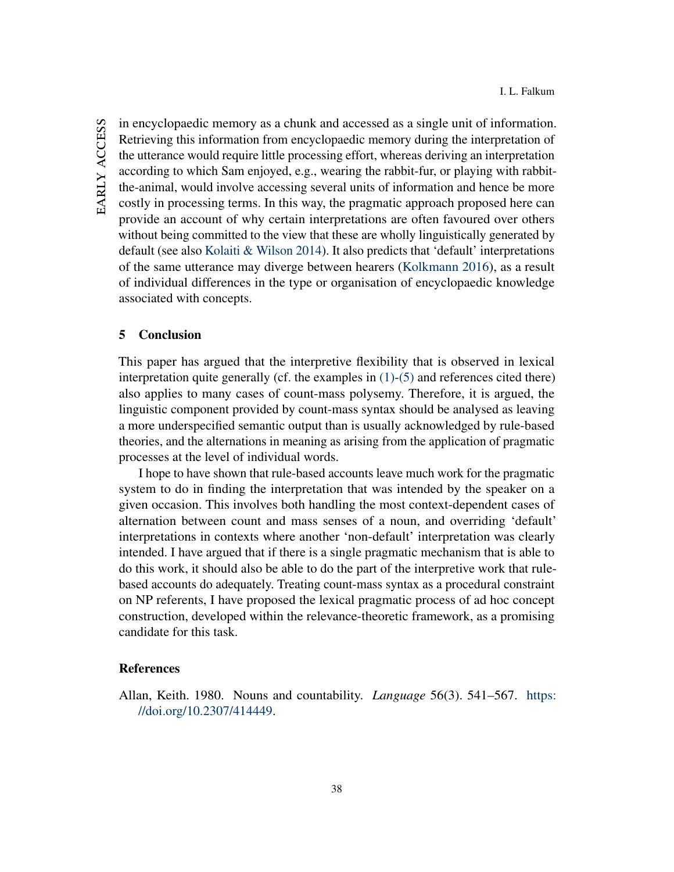in encyclopaedic memory as a chunk and accessed as a single unit of information. Retrieving this information from encyclopaedic memory during the interpretation of the utterance would require little processing effort, whereas deriving an interpretation according to which Sam enjoyed, e.g., wearing the rabbit-fur, or playing with rabbitthe-animal, would involve accessing several units of information and hence be more costly in processing terms. In this way, the pragmatic approach proposed here can provide an account of why certain interpretations are often favoured over others without being committed to the view that these are wholly linguistically generated by default (see also [Kolaiti & Wilson](#page-43-1) [2014\)](#page-43-1). It also predicts that 'default' interpretations of the same utterance may diverge between hearers [\(Kolkmann](#page-43-8) [2016\)](#page-43-8), as a result of individual differences in the type or organisation of encyclopaedic knowledge associated with concepts.

### 5 Conclusion

This paper has argued that the interpretive flexibility that is observed in lexical interpretation quite generally (cf. the examples in  $(1)-(5)$  $(1)-(5)$  and references cited there) also applies to many cases of count-mass polysemy. Therefore, it is argued, the linguistic component provided by count-mass syntax should be analysed as leaving a more underspecified semantic output than is usually acknowledged by rule-based theories, and the alternations in meaning as arising from the application of pragmatic processes at the level of individual words.

I hope to have shown that rule-based accounts leave much work for the pragmatic system to do in finding the interpretation that was intended by the speaker on a given occasion. This involves both handling the most context-dependent cases of alternation between count and mass senses of a noun, and overriding 'default' interpretations in contexts where another 'non-default' interpretation was clearly intended. I have argued that if there is a single pragmatic mechanism that is able to do this work, it should also be able to do the part of the interpretive work that rulebased accounts do adequately. Treating count-mass syntax as a procedural constraint on NP referents, I have proposed the lexical pragmatic process of ad hoc concept construction, developed within the relevance-theoretic framework, as a promising candidate for this task.

### **References**

<span id="page-38-0"></span>Allan, Keith. 1980. Nouns and countability. *Language* 56(3). 541–567. [https:](https://doi.org/10.2307/414449) [//doi.org/10.2307/414449.](https://doi.org/10.2307/414449)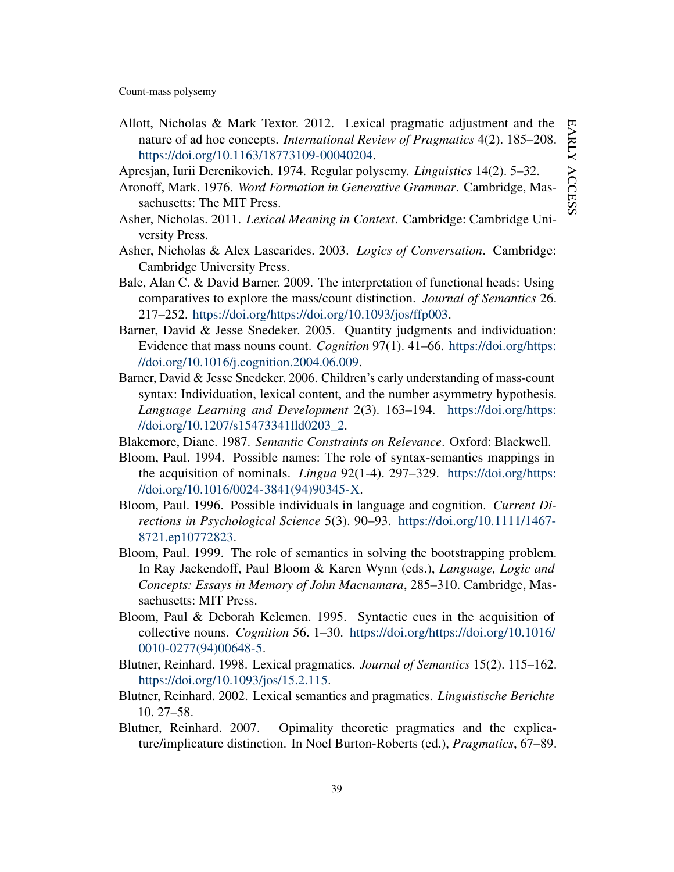- <span id="page-39-13"></span>Allott, Nicholas & Mark Textor. 2012. Lexical pragmatic adjustment and the nature of ad hoc concepts. *International Review of Pragmatics* 4(2). 185–208. [https://doi.org/10.1163/18773109-00040204.](https://doi.org/10.1163/18773109-00040204)
- <span id="page-39-15"></span>Apresjan, Iurii Derenikovich. 1974. Regular polysemy. *Linguistics* 14(2). 5–32.
- <span id="page-39-4"></span>Aronoff, Mark. 1976. *Word Formation in Generative Grammar*. Cambridge, Massachusetts: The MIT Press.
- <span id="page-39-2"></span>Asher, Nicholas. 2011. *Lexical Meaning in Context*. Cambridge: Cambridge University Press.
- <span id="page-39-3"></span>Asher, Nicholas & Alex Lascarides. 2003. *Logics of Conversation*. Cambridge: Cambridge University Press.
- <span id="page-39-10"></span>Bale, Alan C. & David Barner. 2009. The interpretation of functional heads: Using comparatives to explore the mass/count distinction. *Journal of Semantics* 26. 217–252. [https://doi.org/https://doi.org/10.1093/jos/ffp003.](https://doi.org/https://doi.org/10.1093/jos/ffp003)
- <span id="page-39-11"></span>Barner, David & Jesse Snedeker. 2005. Quantity judgments and individuation: Evidence that mass nouns count. *Cognition* 97(1). 41–66. [https://doi.org/https:](https://doi.org/https://doi.org/10.1016/j.cognition.2004.06.009) [//doi.org/10.1016/j.cognition.2004.06.009.](https://doi.org/https://doi.org/10.1016/j.cognition.2004.06.009)
- <span id="page-39-5"></span>Barner, David & Jesse Snedeker. 2006. Children's early understanding of mass-count syntax: Individuation, lexical content, and the number asymmetry hypothesis. *Language Learning and Development* 2(3). 163–194. [https://doi.org/https:](https://doi.org/https://doi.org/10.1207/s15473341lld0203_2) [//doi.org/10.1207/s15473341lld0203\\_2.](https://doi.org/https://doi.org/10.1207/s15473341lld0203_2)
- <span id="page-39-12"></span>Blakemore, Diane. 1987. *Semantic Constraints on Relevance*. Oxford: Blackwell.
- <span id="page-39-6"></span>Bloom, Paul. 1994. Possible names: The role of syntax-semantics mappings in the acquisition of nominals. *Lingua* 92(1-4). 297–329. [https://doi.org/https:](https://doi.org/https://doi.org/10.1016/0024-3841(94)90345-X) [//doi.org/10.1016/0024-3841\(94\)90345-X.](https://doi.org/https://doi.org/10.1016/0024-3841(94)90345-X)
- <span id="page-39-8"></span>Bloom, Paul. 1996. Possible individuals in language and cognition. *Current Directions in Psychological Science* 5(3). 90–93. [https://doi.org/10.1111/1467-](https://doi.org/10.1111/1467-8721.ep10772823) [8721.ep10772823.](https://doi.org/10.1111/1467-8721.ep10772823)
- <span id="page-39-7"></span>Bloom, Paul. 1999. The role of semantics in solving the bootstrapping problem. In Ray Jackendoff, Paul Bloom & Karen Wynn (eds.), *Language, Logic and Concepts: Essays in Memory of John Macnamara*, 285–310. Cambridge, Massachusetts: MIT Press.
- <span id="page-39-9"></span>Bloom, Paul & Deborah Kelemen. 1995. Syntactic cues in the acquisition of collective nouns. *Cognition* 56. 1–30. [https://doi.org/https://doi.org/10.1016/](https://doi.org/https://doi.org/10.1016/0010-0277(94)00648-5) [0010-0277\(94\)00648-5.](https://doi.org/https://doi.org/10.1016/0010-0277(94)00648-5)
- <span id="page-39-0"></span>Blutner, Reinhard. 1998. Lexical pragmatics. *Journal of Semantics* 15(2). 115–162. [https://doi.org/10.1093/jos/15.2.115.](https://doi.org/10.1093/jos/15.2.115)
- <span id="page-39-1"></span>Blutner, Reinhard. 2002. Lexical semantics and pragmatics. *Linguistische Berichte* 10. 27–58.
- <span id="page-39-14"></span>Blutner, Reinhard. 2007. Opimality theoretic pragmatics and the explicature/implicature distinction. In Noel Burton-Roberts (ed.), *Pragmatics*, 67–89.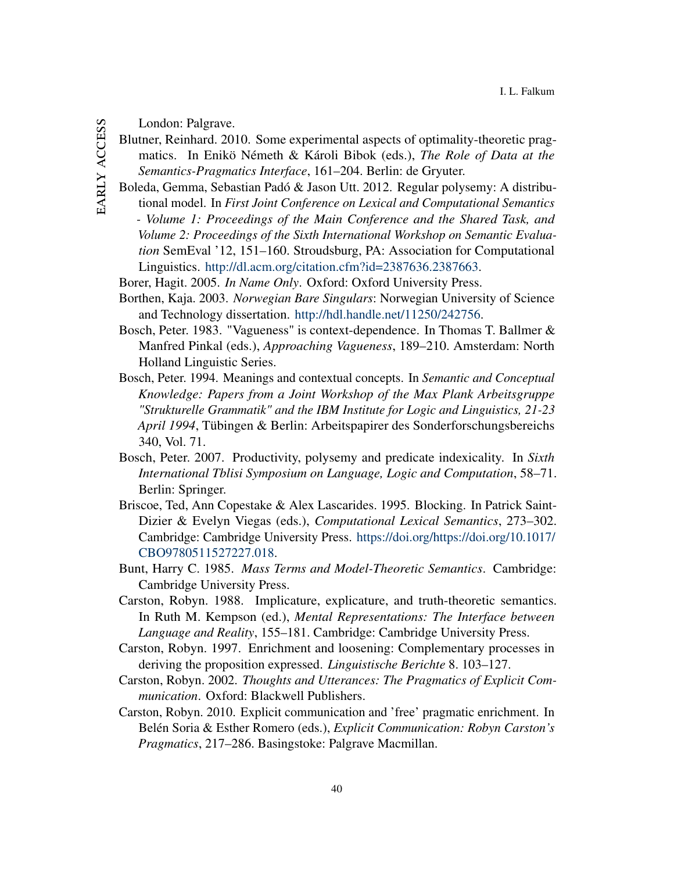<span id="page-40-12"></span>EARLY ACCESS early access

- London: Palgrave.
- Blutner, Reinhard. 2010. Some experimental aspects of optimality-theoretic pragmatics. In Enikö Németh & Károli Bibok (eds.), *The Role of Data at the Semantics-Pragmatics Interface*, 161–204. Berlin: de Gryuter.
- <span id="page-40-7"></span>Boleda, Gemma, Sebastian Padó & Jason Utt. 2012. Regular polysemy: A distributional model. In *First Joint Conference on Lexical and Computational Semantics - Volume 1: Proceedings of the Main Conference and the Shared Task, and Volume 2: Proceedings of the Sixth International Workshop on Semantic Evaluation* SemEval '12, 151–160. Stroudsburg, PA: Association for Computational Linguistics. [http://dl.acm.org/citation.cfm?id=2387636.2387663.](http://dl.acm.org/citation.cfm?id=2387636.2387663)
- <span id="page-40-11"></span>Borer, Hagit. 2005. *In Name Only*. Oxford: Oxford University Press.
- <span id="page-40-9"></span>Borthen, Kaja. 2003. *Norwegian Bare Singulars*: Norwegian University of Science and Technology dissertation. [http://hdl.handle.net/11250/242756.](http://hdl.handle.net/11250/242756)
- <span id="page-40-1"></span>Bosch, Peter. 1983. "Vagueness" is context-dependence. In Thomas T. Ballmer & Manfred Pinkal (eds.), *Approaching Vagueness*, 189–210. Amsterdam: North Holland Linguistic Series.
- <span id="page-40-2"></span>Bosch, Peter. 1994. Meanings and contextual concepts. In *Semantic and Conceptual Knowledge: Papers from a Joint Workshop of the Max Plank Arbeitsgruppe "Strukturelle Grammatik" and the IBM Institute for Logic and Linguistics, 21-23 April 1994*, Tübingen & Berlin: Arbeitspapirer des Sonderforschungsbereichs 340, Vol. 71.
- <span id="page-40-3"></span>Bosch, Peter. 2007. Productivity, polysemy and predicate indexicality. In *Sixth International Tblisi Symposium on Language, Logic and Computation*, 58–71. Berlin: Springer.
- <span id="page-40-10"></span>Briscoe, Ted, Ann Copestake & Alex Lascarides. 1995. Blocking. In Patrick Saint-Dizier & Evelyn Viegas (eds.), *Computational Lexical Semantics*, 273–302. Cambridge: Cambridge University Press. [https://doi.org/https://doi.org/10.1017/](https://doi.org/https://doi.org/10.1017/CBO9780511527227.018) [CBO9780511527227.018.](https://doi.org/https://doi.org/10.1017/CBO9780511527227.018)
- <span id="page-40-8"></span>Bunt, Harry C. 1985. *Mass Terms and Model-Theoretic Semantics*. Cambridge: Cambridge University Press.
- <span id="page-40-0"></span>Carston, Robyn. 1988. Implicature, explicature, and truth-theoretic semantics. In Ruth M. Kempson (ed.), *Mental Representations: The Interface between Language and Reality*, 155–181. Cambridge: Cambridge University Press.
- <span id="page-40-6"></span>Carston, Robyn. 1997. Enrichment and loosening: Complementary processes in deriving the proposition expressed. *Linguistische Berichte* 8. 103–127.
- <span id="page-40-4"></span>Carston, Robyn. 2002. *Thoughts and Utterances: The Pragmatics of Explicit Communication*. Oxford: Blackwell Publishers.
- <span id="page-40-5"></span>Carston, Robyn. 2010. Explicit communication and 'free' pragmatic enrichment. In Belén Soria & Esther Romero (eds.), *Explicit Communication: Robyn Carston's Pragmatics*, 217–286. Basingstoke: Palgrave Macmillan.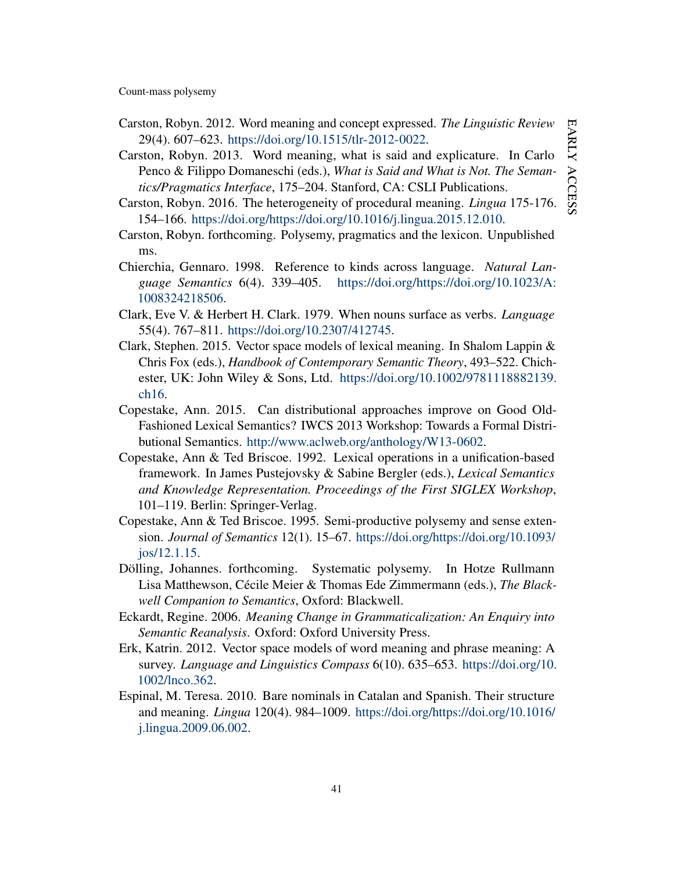- <span id="page-41-9"></span>Carston, Robyn. 2012. Word meaning and concept expressed. *The Linguistic Review* 29(4). 607–623. [https://doi.org/10.1515/tlr-2012-0022.](https://doi.org/10.1515/tlr-2012-0022)
- <span id="page-41-10"></span>Carston, Robyn. 2013. Word meaning, what is said and explicature. In Carlo Penco & Filippo Domaneschi (eds.), *What is Said and What is Not. The Semantics/Pragmatics Interface*, 175–204. Stanford, CA: CSLI Publications.
- <span id="page-41-11"></span>Carston, Robyn. 2016. The heterogeneity of procedural meaning. *Lingua* 175-176. 154–166. [https://doi.org/https://doi.org/10.1016/j.lingua.2015.12.010.](https://doi.org/https://doi.org/10.1016/j.lingua.2015.12.010)
- <span id="page-41-12"></span>Carston, Robyn. forthcoming. Polysemy, pragmatics and the lexicon. Unpublished ms.
- <span id="page-41-8"></span>Chierchia, Gennaro. 1998. Reference to kinds across language. *Natural Language Semantics* 6(4). 339–405. [https://doi.org/https://doi.org/10.1023/A:](https://doi.org/https://doi.org/10.1023/A:1008324218506) [1008324218506.](https://doi.org/https://doi.org/10.1023/A:1008324218506)
- <span id="page-41-7"></span>Clark, Eve V. & Herbert H. Clark. 1979. When nouns surface as verbs. *Language* 55(4). 767–811. [https://doi.org/10.2307/412745.](https://doi.org/10.2307/412745)
- <span id="page-41-3"></span>Clark, Stephen. 2015. Vector space models of lexical meaning. In Shalom Lappin & Chris Fox (eds.), *Handbook of Contemporary Semantic Theory*, 493–522. Chichester, UK: John Wiley & Sons, Ltd. [https://doi.org/10.1002/9781118882139.](https://doi.org/10.1002/9781118882139.ch16) [ch16.](https://doi.org/10.1002/9781118882139.ch16)
- <span id="page-41-5"></span>Copestake, Ann. 2015. Can distributional approaches improve on Good Old-Fashioned Lexical Semantics? IWCS 2013 Workshop: Towards a Formal Distributional Semantics. [http://www.aclweb.org/anthology/W13-0602.](http://www.aclweb.org/anthology/W13-0602)
- <span id="page-41-0"></span>Copestake, Ann & Ted Briscoe. 1992. Lexical operations in a unification-based framework. In James Pustejovsky & Sabine Bergler (eds.), *Lexical Semantics and Knowledge Representation. Proceedings of the First SIGLEX Workshop*, 101–119. Berlin: Springer-Verlag.
- <span id="page-41-1"></span>Copestake, Ann & Ted Briscoe. 1995. Semi-productive polysemy and sense extension. *Journal of Semantics* 12(1). 15–67. [https://doi.org/https://doi.org/10.1093/](https://doi.org/https://doi.org/10.1093/jos/12.1.15) [jos/12.1.15.](https://doi.org/https://doi.org/10.1093/jos/12.1.15)
- <span id="page-41-2"></span>Dölling, Johannes. forthcoming. Systematic polysemy. In Hotze Rullmann Lisa Matthewson, Cécile Meier & Thomas Ede Zimmermann (eds.), *The Blackwell Companion to Semantics*, Oxford: Blackwell.
- <span id="page-41-13"></span>Eckardt, Regine. 2006. *Meaning Change in Grammaticalization: An Enquiry into Semantic Reanalysis*. Oxford: Oxford University Press.
- <span id="page-41-4"></span>Erk, Katrin. 2012. Vector space models of word meaning and phrase meaning: A survey. *Language and Linguistics Compass* 6(10). 635–653. [https://doi.org/10.](https://doi.org/10.1002/lnco.362) [1002/lnco.362.](https://doi.org/10.1002/lnco.362)
- <span id="page-41-6"></span>Espinal, M. Teresa. 2010. Bare nominals in Catalan and Spanish. Their structure and meaning. *Lingua* 120(4). 984–1009. [https://doi.org/https://doi.org/10.1016/](https://doi.org/https://doi.org/10.1016/j.lingua.2009.06.002) [j.lingua.2009.06.002.](https://doi.org/https://doi.org/10.1016/j.lingua.2009.06.002)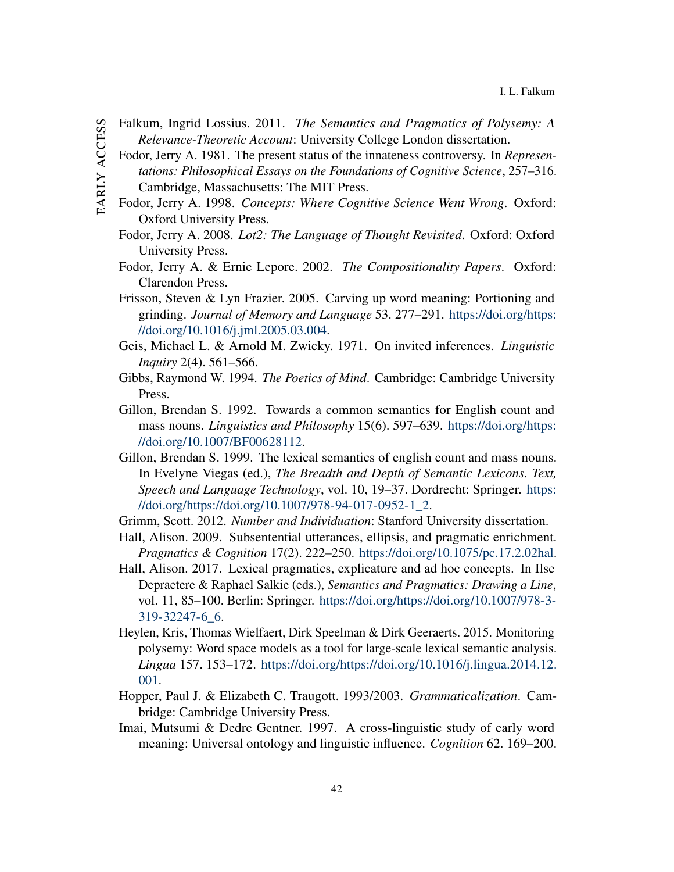- <span id="page-42-11"></span><span id="page-42-1"></span>EARLY ACCESS early access
- Falkum, Ingrid Lossius. 2011. *The Semantics and Pragmatics of Polysemy: A Relevance-Theoretic Account*: University College London dissertation.
- Fodor, Jerry A. 1981. The present status of the innateness controversy. In *Representations: Philosophical Essays on the Foundations of Cognitive Science*, 257–316. Cambridge, Massachusetts: The MIT Press.
- <span id="page-42-15"></span><span id="page-42-14"></span><span id="page-42-13"></span><span id="page-42-12"></span><span id="page-42-10"></span><span id="page-42-9"></span><span id="page-42-8"></span><span id="page-42-7"></span><span id="page-42-6"></span><span id="page-42-5"></span><span id="page-42-4"></span><span id="page-42-3"></span><span id="page-42-2"></span><span id="page-42-0"></span>Fodor, Jerry A. 1998. *Concepts: Where Cognitive Science Went Wrong*. Oxford: Oxford University Press.
	- Fodor, Jerry A. 2008. *Lot2: The Language of Thought Revisited*. Oxford: Oxford University Press.
	- Fodor, Jerry A. & Ernie Lepore. 2002. *The Compositionality Papers*. Oxford: Clarendon Press.
	- Frisson, Steven & Lyn Frazier. 2005. Carving up word meaning: Portioning and grinding. *Journal of Memory and Language* 53. 277–291. [https://doi.org/https:](https://doi.org/https://doi.org/10.1016/j.jml.2005.03.004) [//doi.org/10.1016/j.jml.2005.03.004.](https://doi.org/https://doi.org/10.1016/j.jml.2005.03.004)
	- Geis, Michael L. & Arnold M. Zwicky. 1971. On invited inferences. *Linguistic Inquiry* 2(4). 561–566.
	- Gibbs, Raymond W. 1994. *The Poetics of Mind*. Cambridge: Cambridge University Press.
	- Gillon, Brendan S. 1992. Towards a common semantics for English count and mass nouns. *Linguistics and Philosophy* 15(6). 597–639. [https://doi.org/https:](https://doi.org/https://doi.org/10.1007/BF00628112) [//doi.org/10.1007/BF00628112.](https://doi.org/https://doi.org/10.1007/BF00628112)
	- Gillon, Brendan S. 1999. The lexical semantics of english count and mass nouns. In Evelyne Viegas (ed.), *The Breadth and Depth of Semantic Lexicons. Text, Speech and Language Technology*, vol. 10, 19–37. Dordrecht: Springer. [https:](https://doi.org/https://doi.org/10.1007/978-94-017-0952-1_2) [//doi.org/https://doi.org/10.1007/978-94-017-0952-1\\_2.](https://doi.org/https://doi.org/10.1007/978-94-017-0952-1_2)
	- Grimm, Scott. 2012. *Number and Individuation*: Stanford University dissertation.
	- Hall, Alison. 2009. Subsentential utterances, ellipsis, and pragmatic enrichment. *Pragmatics & Cognition* 17(2). 222–250. [https://doi.org/10.1075/pc.17.2.02hal.](https://doi.org/10.1075/pc.17.2.02hal)
	- Hall, Alison. 2017. Lexical pragmatics, explicature and ad hoc concepts. In Ilse Depraetere & Raphael Salkie (eds.), *Semantics and Pragmatics: Drawing a Line*, vol. 11, 85–100. Berlin: Springer. [https://doi.org/https://doi.org/10.1007/978-3-](https://doi.org/https://doi.org/10.1007/978-3-319-32247-6_6) [319-32247-6\\_6.](https://doi.org/https://doi.org/10.1007/978-3-319-32247-6_6)
	- Heylen, Kris, Thomas Wielfaert, Dirk Speelman & Dirk Geeraerts. 2015. Monitoring polysemy: Word space models as a tool for large-scale lexical semantic analysis. *Lingua* 157. 153–172. [https://doi.org/https://doi.org/10.1016/j.lingua.2014.12.](https://doi.org/https://doi.org/10.1016/j.lingua.2014.12.001) [001.](https://doi.org/https://doi.org/10.1016/j.lingua.2014.12.001)
	- Hopper, Paul J. & Elizabeth C. Traugott. 1993/2003. *Grammaticalization*. Cambridge: Cambridge University Press.
	- Imai, Mutsumi & Dedre Gentner. 1997. A cross-linguistic study of early word meaning: Universal ontology and linguistic influence. *Cognition* 62. 169–200.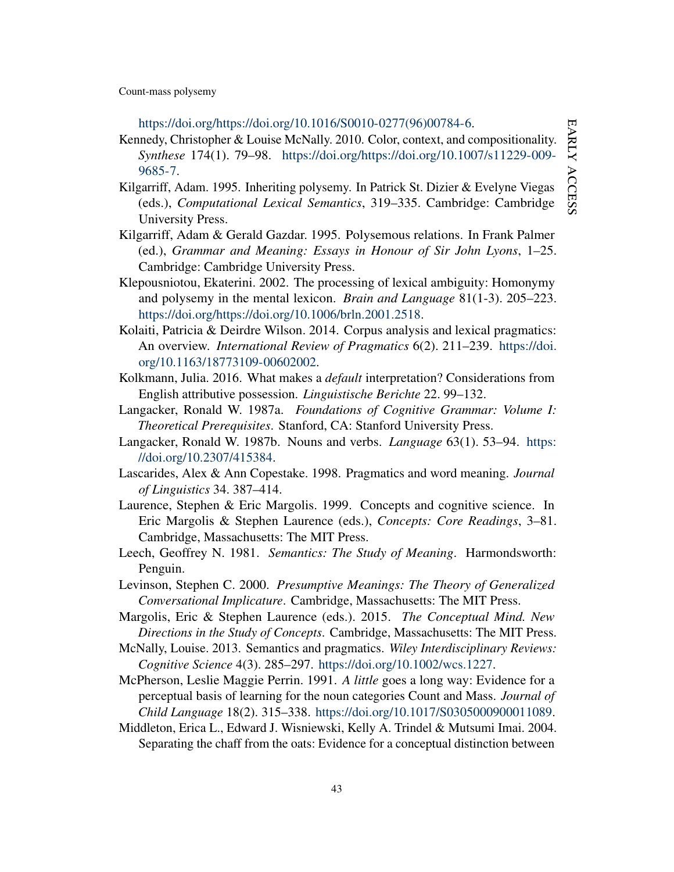[https://doi.org/https://doi.org/10.1016/S0010-0277\(96\)00784-6.](https://doi.org/https://doi.org/10.1016/S0010-0277(96)00784-6)

- <span id="page-43-2"></span>Kennedy, Christopher & Louise McNally. 2010. Color, context, and compositionality. *Synthese* 174(1). 79–98. [https://doi.org/https://doi.org/10.1007/s11229-009-](https://doi.org/https://doi.org/10.1007/s11229-009-9685-7) [9685-7.](https://doi.org/https://doi.org/10.1007/s11229-009-9685-7)
- <span id="page-43-3"></span>Kilgarriff, Adam. 1995. Inheriting polysemy. In Patrick St. Dizier & Evelyne Viegas (eds.), *Computational Lexical Semantics*, 319–335. Cambridge: Cambridge University Press.
- <span id="page-43-4"></span>Kilgarriff, Adam & Gerald Gazdar. 1995. Polysemous relations. In Frank Palmer (ed.), *Grammar and Meaning: Essays in Honour of Sir John Lyons*, 1–25. Cambridge: Cambridge University Press.
- <span id="page-43-5"></span>Klepousniotou, Ekaterini. 2002. The processing of lexical ambiguity: Homonymy and polysemy in the mental lexicon. *Brain and Language* 81(1-3). 205–223. [https://doi.org/https://doi.org/10.1006/brln.2001.2518.](https://doi.org/https://doi.org/10.1006/brln.2001.2518)
- <span id="page-43-1"></span>Kolaiti, Patricia & Deirdre Wilson. 2014. Corpus analysis and lexical pragmatics: An overview. *International Review of Pragmatics* 6(2). 211–239. [https://doi.](https://doi.org/10.1163/18773109-00602002) [org/10.1163/18773109-00602002.](https://doi.org/10.1163/18773109-00602002)
- <span id="page-43-8"></span>Kolkmann, Julia. 2016. What makes a *default* interpretation? Considerations from English attributive possession. *Linguistische Berichte* 22. 99–132.
- <span id="page-43-15"></span>Langacker, Ronald W. 1987a. *Foundations of Cognitive Grammar: Volume I: Theoretical Prerequisites*. Stanford, CA: Stanford University Press.
- <span id="page-43-9"></span>Langacker, Ronald W. 1987b. Nouns and verbs. *Language* 63(1). 53–94. [https:](https://doi.org/10.2307/415384) [//doi.org/10.2307/415384.](https://doi.org/10.2307/415384)
- <span id="page-43-7"></span>Lascarides, Alex & Ann Copestake. 1998. Pragmatics and word meaning. *Journal of Linguistics* 34. 387–414.
- <span id="page-43-13"></span>Laurence, Stephen & Eric Margolis. 1999. Concepts and cognitive science. In Eric Margolis & Stephen Laurence (eds.), *Concepts: Core Readings*, 3–81. Cambridge, Massachusetts: The MIT Press.
- <span id="page-43-6"></span>Leech, Geoffrey N. 1981. *Semantics: The Study of Meaning*. Harmondsworth: Penguin.
- <span id="page-43-0"></span>Levinson, Stephen C. 2000. *Presumptive Meanings: The Theory of Generalized Conversational Implicature*. Cambridge, Massachusetts: The MIT Press.
- <span id="page-43-14"></span>Margolis, Eric & Stephen Laurence (eds.). 2015. *The Conceptual Mind. New Directions in the Study of Concepts*. Cambridge, Massachusetts: The MIT Press.
- <span id="page-43-12"></span>McNally, Louise. 2013. Semantics and pragmatics. *Wiley Interdisciplinary Reviews: Cognitive Science* 4(3). 285–297. [https://doi.org/10.1002/wcs.1227.](https://doi.org/10.1002/wcs.1227)
- <span id="page-43-10"></span>McPherson, Leslie Maggie Perrin. 1991. *A little* goes a long way: Evidence for a perceptual basis of learning for the noun categories Count and Mass. *Journal of Child Language* 18(2). 315–338. [https://doi.org/10.1017/S0305000900011089.](https://doi.org/10.1017/S0305000900011089)
- <span id="page-43-11"></span>Middleton, Erica L., Edward J. Wisniewski, Kelly A. Trindel & Mutsumi Imai. 2004. Separating the chaff from the oats: Evidence for a conceptual distinction between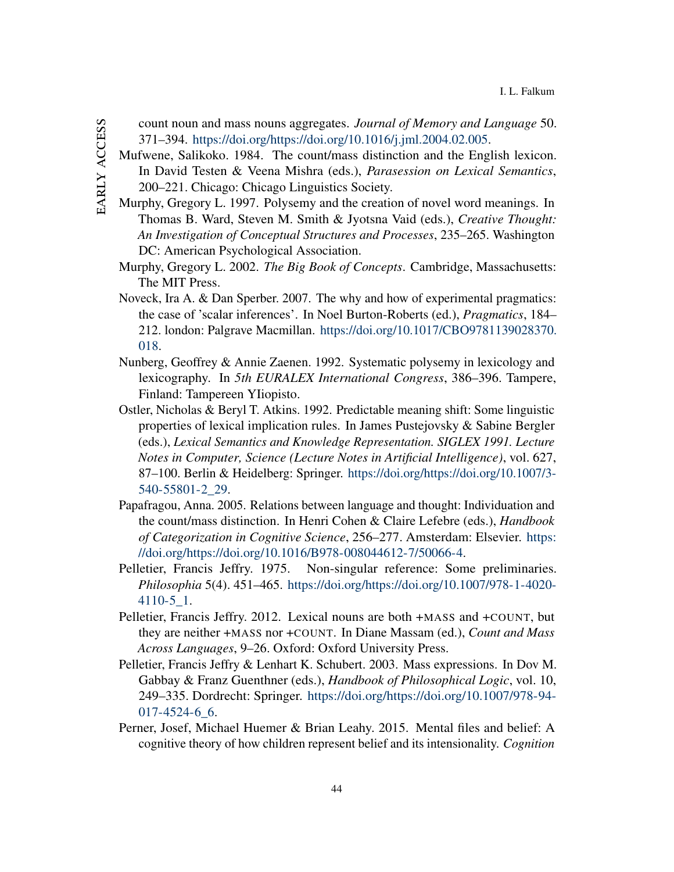- count noun and mass nouns aggregates. *Journal of Memory and Language* 50. 371–394. [https://doi.org/https://doi.org/10.1016/j.jml.2004.02.005.](https://doi.org/https://doi.org/10.1016/j.jml.2004.02.005)
- <span id="page-44-8"></span>Mufwene, Salikoko. 1984. The count/mass distinction and the English lexicon. In David Testen & Veena Mishra (eds.), *Parasession on Lexical Semantics*, 200–221. Chicago: Chicago Linguistics Society.
- <span id="page-44-2"></span>Murphy, Gregory L. 1997. Polysemy and the creation of novel word meanings. In Thomas B. Ward, Steven M. Smith & Jyotsna Vaid (eds.), *Creative Thought: An Investigation of Conceptual Structures and Processes*, 235–265. Washington DC: American Psychological Association.
- <span id="page-44-0"></span>Murphy, Gregory L. 2002. *The Big Book of Concepts*. Cambridge, Massachusetts: The MIT Press.
- <span id="page-44-9"></span>Noveck, Ira A. & Dan Sperber. 2007. The why and how of experimental pragmatics: the case of 'scalar inferences'. In Noel Burton-Roberts (ed.), *Pragmatics*, 184– 212. london: Palgrave Macmillan. [https://doi.org/10.1017/CBO9781139028370.](https://doi.org/10.1017/CBO9781139028370.018) [018.](https://doi.org/10.1017/CBO9781139028370.018)
- <span id="page-44-6"></span>Nunberg, Geoffrey & Annie Zaenen. 1992. Systematic polysemy in lexicology and lexicography. In *5th EURALEX International Congress*, 386–396. Tampere, Finland: Tampereen YIiopisto.
- <span id="page-44-1"></span>Ostler, Nicholas & Beryl T. Atkins. 1992. Predictable meaning shift: Some linguistic properties of lexical implication rules. In James Pustejovsky & Sabine Bergler (eds.), *Lexical Semantics and Knowledge Representation. SIGLEX 1991. Lecture Notes in Computer, Science (Lecture Notes in Artificial Intelligence)*, vol. 627, 87–100. Berlin & Heidelberg: Springer. [https://doi.org/https://doi.org/10.1007/3-](https://doi.org/https://doi.org/10.1007/3-540-55801-2_29) [540-55801-2\\_29.](https://doi.org/https://doi.org/10.1007/3-540-55801-2_29)
- <span id="page-44-7"></span>Papafragou, Anna. 2005. Relations between language and thought: Individuation and the count/mass distinction. In Henri Cohen & Claire Lefebre (eds.), *Handbook of Categorization in Cognitive Science*, 256–277. Amsterdam: Elsevier. [https:](https://doi.org/https://doi.org/10.1016/B978-008044612-7/50066-4) [//doi.org/https://doi.org/10.1016/B978-008044612-7/50066-4.](https://doi.org/https://doi.org/10.1016/B978-008044612-7/50066-4)
- <span id="page-44-3"></span>Pelletier, Francis Jeffry. 1975. Non-singular reference: Some preliminaries. *Philosophia* 5(4). 451–465. [https://doi.org/https://doi.org/10.1007/978-1-4020-](https://doi.org/https://doi.org/10.1007/978-1-4020-4110-5_1) [4110-5\\_1.](https://doi.org/https://doi.org/10.1007/978-1-4020-4110-5_1)
- <span id="page-44-5"></span>Pelletier, Francis Jeffry. 2012. Lexical nouns are both +MASS and +COUNT, but they are neither +MASS nor +COUNT. In Diane Massam (ed.), *Count and Mass Across Languages*, 9–26. Oxford: Oxford University Press.
- <span id="page-44-4"></span>Pelletier, Francis Jeffry & Lenhart K. Schubert. 2003. Mass expressions. In Dov M. Gabbay & Franz Guenthner (eds.), *Handbook of Philosophical Logic*, vol. 10, 249–335. Dordrecht: Springer. [https://doi.org/https://doi.org/10.1007/978-94-](https://doi.org/https://doi.org/10.1007/978-94-017-4524-6_6) [017-4524-6\\_6.](https://doi.org/https://doi.org/10.1007/978-94-017-4524-6_6)
- <span id="page-44-10"></span>Perner, Josef, Michael Huemer & Brian Leahy. 2015. Mental files and belief: A cognitive theory of how children represent belief and its intensionality. *Cognition*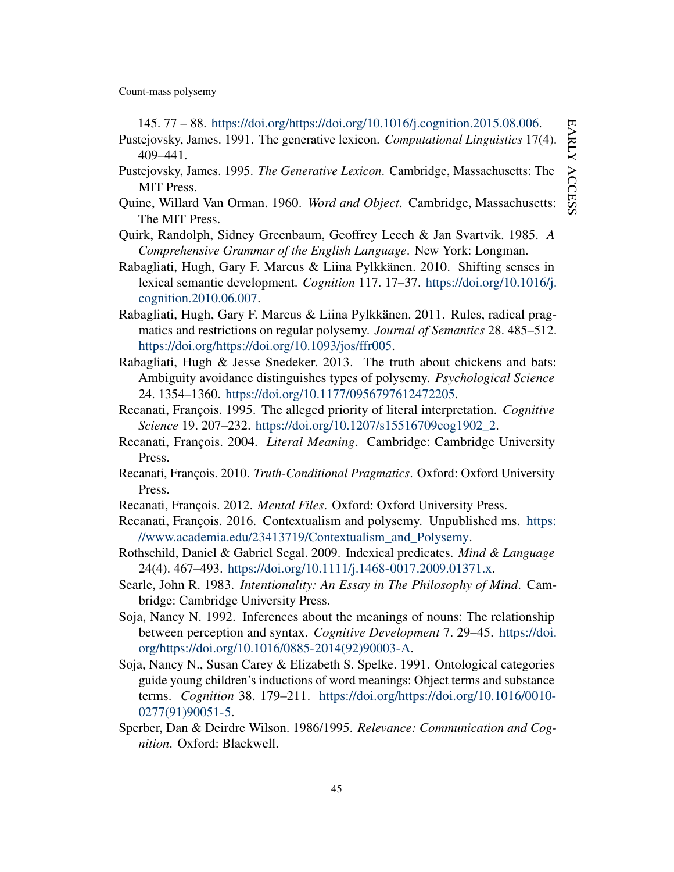<span id="page-45-7"></span>145. 77 – 88. [https://doi.org/https://doi.org/10.1016/j.cognition.2015.08.006.](https://doi.org/https://doi.org/10.1016/j.cognition.2015.08.006) Pustejovsky, James. 1991. The generative lexicon. *Computational Linguistics* 17(4). 409–441.

- <span id="page-45-8"></span>Pustejovsky, James. 1995. *The Generative Lexicon*. Cambridge, Massachusetts: The MIT Press.
- <span id="page-45-13"></span>Quine, Willard Van Orman. 1960. *Word and Object*. Cambridge, Massachusetts: The MIT Press.
- <span id="page-45-12"></span>Quirk, Randolph, Sidney Greenbaum, Geoffrey Leech & Jan Svartvik. 1985. *A Comprehensive Grammar of the English Language*. New York: Longman.
- <span id="page-45-9"></span>Rabagliati, Hugh, Gary F. Marcus & Liina Pylkkänen. 2010. Shifting senses in lexical semantic development. *Cognition* 117. 17–37. [https://doi.org/10.1016/j.](https://doi.org/10.1016/j.cognition.2010.06.007) [cognition.2010.06.007.](https://doi.org/10.1016/j.cognition.2010.06.007)
- <span id="page-45-5"></span>Rabagliati, Hugh, Gary F. Marcus & Liina Pylkkänen. 2011. Rules, radical pragmatics and restrictions on regular polysemy. *Journal of Semantics* 28. 485–512. [https://doi.org/https://doi.org/10.1093/jos/ffr005.](https://doi.org/https://doi.org/10.1093/jos/ffr005)
- <span id="page-45-10"></span>Rabagliati, Hugh & Jesse Snedeker. 2013. The truth about chickens and bats: Ambiguity avoidance distinguishes types of polysemy. *Psychological Science* 24. 1354–1360. [https://doi.org/10.1177/0956797612472205.](https://doi.org/10.1177/0956797612472205)
- <span id="page-45-0"></span>Recanati, François. 1995. The alleged priority of literal interpretation. *Cognitive Science* 19. 207–232. [https://doi.org/10.1207/s15516709cog1902\\_2.](https://doi.org/10.1207/s15516709cog1902_2)
- <span id="page-45-1"></span>Recanati, François. 2004. *Literal Meaning*. Cambridge: Cambridge University Press.
- <span id="page-45-3"></span>Recanati, François. 2010. *Truth-Conditional Pragmatics*. Oxford: Oxford University Press.
- <span id="page-45-16"></span>Recanati, François. 2012. *Mental Files*. Oxford: Oxford University Press.
- <span id="page-45-2"></span>Recanati, François. 2016. Contextualism and polysemy. Unpublished ms. [https:](https://www.academia.edu/23413719/Contextualism_and_Polysemy) [//www.academia.edu/23413719/Contextualism\\_and\\_Polysemy.](https://www.academia.edu/23413719/Contextualism_and_Polysemy)
- <span id="page-45-6"></span>Rothschild, Daniel & Gabriel Segal. 2009. Indexical predicates. *Mind & Language* 24(4). 467–493. [https://doi.org/10.1111/j.1468-0017.2009.01371.x.](https://doi.org/10.1111/j.1468-0017.2009.01371.x)
- <span id="page-45-4"></span>Searle, John R. 1983. *Intentionality: An Essay in The Philosophy of Mind*. Cambridge: Cambridge University Press.
- <span id="page-45-14"></span>Soja, Nancy N. 1992. Inferences about the meanings of nouns: The relationship between perception and syntax. *Cognitive Development* 7. 29–45. [https://doi.](https://doi.org/https://doi.org/10.1016/0885-2014(92)90003-A) [org/https://doi.org/10.1016/0885-2014\(92\)90003-A.](https://doi.org/https://doi.org/10.1016/0885-2014(92)90003-A)
- <span id="page-45-15"></span>Soja, Nancy N., Susan Carey & Elizabeth S. Spelke. 1991. Ontological categories guide young children's inductions of word meanings: Object terms and substance terms. *Cognition* 38. 179–211. [https://doi.org/https://doi.org/10.1016/0010-](https://doi.org/https://doi.org/10.1016/0010-0277(91)90051-5) [0277\(91\)90051-5.](https://doi.org/https://doi.org/10.1016/0010-0277(91)90051-5)
- <span id="page-45-11"></span>Sperber, Dan & Deirdre Wilson. 1986/1995. *Relevance: Communication and Cognition*. Oxford: Blackwell.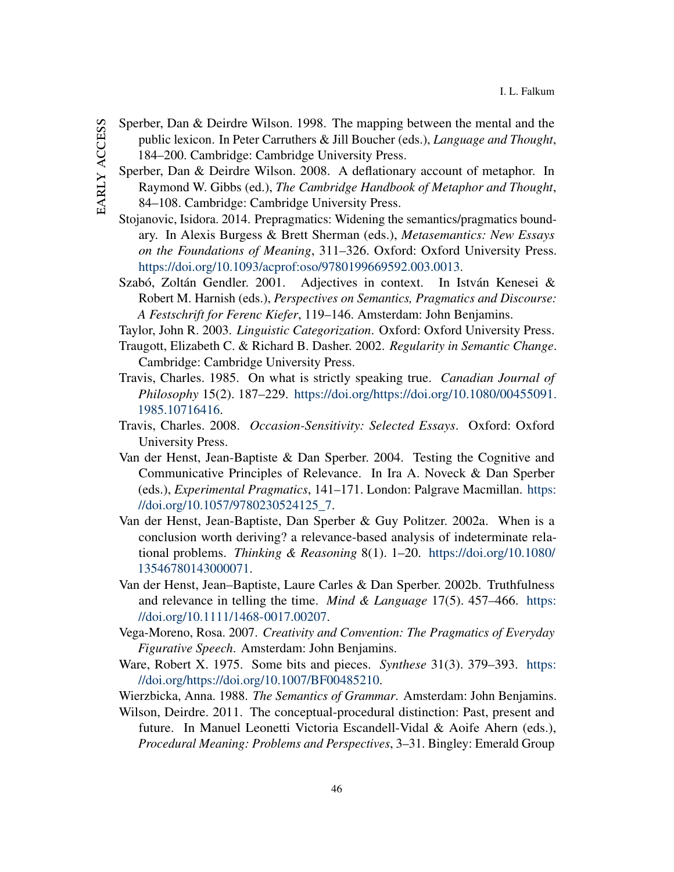- <span id="page-46-14"></span><span id="page-46-13"></span><span id="page-46-12"></span><span id="page-46-11"></span><span id="page-46-10"></span><span id="page-46-9"></span><span id="page-46-8"></span><span id="page-46-7"></span><span id="page-46-6"></span><span id="page-46-5"></span><span id="page-46-4"></span><span id="page-46-3"></span><span id="page-46-2"></span><span id="page-46-1"></span><span id="page-46-0"></span>Sperber, Dan & Deirdre Wilson. 1998. The mapping between the mental and the public lexicon. In Peter Carruthers & Jill Boucher (eds.), *Language and Thought*, 184–200. Cambridge: Cambridge University Press.
	- Sperber, Dan & Deirdre Wilson. 2008. A deflationary account of metaphor. In Raymond W. Gibbs (ed.), *The Cambridge Handbook of Metaphor and Thought*, 84–108. Cambridge: Cambridge University Press.
	- Stojanovic, Isidora. 2014. Prepragmatics: Widening the semantics/pragmatics boundary. In Alexis Burgess & Brett Sherman (eds.), *Metasemantics: New Essays on the Foundations of Meaning*, 311–326. Oxford: Oxford University Press. [https://doi.org/10.1093/acprof:oso/9780199669592.003.0013.](https://doi.org/10.1093/acprof:oso/9780199669592.003.0013)
	- Szabó, Zoltán Gendler. 2001. Adjectives in context. In István Kenesei & Robert M. Harnish (eds.), *Perspectives on Semantics, Pragmatics and Discourse: A Festschrift for Ferenc Kiefer*, 119–146. Amsterdam: John Benjamins.
	- Taylor, John R. 2003. *Linguistic Categorization*. Oxford: Oxford University Press.
	- Traugott, Elizabeth C. & Richard B. Dasher. 2002. *Regularity in Semantic Change*. Cambridge: Cambridge University Press.
	- Travis, Charles. 1985. On what is strictly speaking true. *Canadian Journal of Philosophy* 15(2). 187–229. [https://doi.org/https://doi.org/10.1080/00455091.](https://doi.org/https://doi.org/10.1080/00455091.1985.10716416) [1985.10716416.](https://doi.org/https://doi.org/10.1080/00455091.1985.10716416)
	- Travis, Charles. 2008. *Occasion-Sensitivity: Selected Essays*. Oxford: Oxford University Press.
	- Van der Henst, Jean-Baptiste & Dan Sperber. 2004. Testing the Cognitive and Communicative Principles of Relevance. In Ira A. Noveck & Dan Sperber (eds.), *Experimental Pragmatics*, 141–171. London: Palgrave Macmillan. [https:](https://doi.org/10.1057/9780230524125_7) [//doi.org/10.1057/9780230524125\\_7.](https://doi.org/10.1057/9780230524125_7)
	- Van der Henst, Jean-Baptiste, Dan Sperber & Guy Politzer. 2002a. When is a conclusion worth deriving? a relevance-based analysis of indeterminate relational problems. *Thinking & Reasoning* 8(1). 1–20. [https://doi.org/10.1080/](https://doi.org/10.1080/13546780143000071) [13546780143000071.](https://doi.org/10.1080/13546780143000071)
	- Van der Henst, Jean–Baptiste, Laure Carles & Dan Sperber. 2002b. Truthfulness and relevance in telling the time. *Mind & Language* 17(5). 457–466. [https:](https://doi.org/10.1111/1468-0017.00207) [//doi.org/10.1111/1468-0017.00207.](https://doi.org/10.1111/1468-0017.00207)
	- Vega-Moreno, Rosa. 2007. *Creativity and Convention: The Pragmatics of Everyday Figurative Speech*. Amsterdam: John Benjamins.
	- Ware, Robert X. 1975. Some bits and pieces. *Synthese* 31(3). 379–393. [https:](https://doi.org/https://doi.org/10.1007/BF00485210) [//doi.org/https://doi.org/10.1007/BF00485210.](https://doi.org/https://doi.org/10.1007/BF00485210)
	- Wierzbicka, Anna. 1988. *The Semantics of Grammar*. Amsterdam: John Benjamins.
	- Wilson, Deirdre. 2011. The conceptual-procedural distinction: Past, present and future. In Manuel Leonetti Victoria Escandell-Vidal & Aoife Ahern (eds.), *Procedural Meaning: Problems and Perspectives*, 3–31. Bingley: Emerald Group